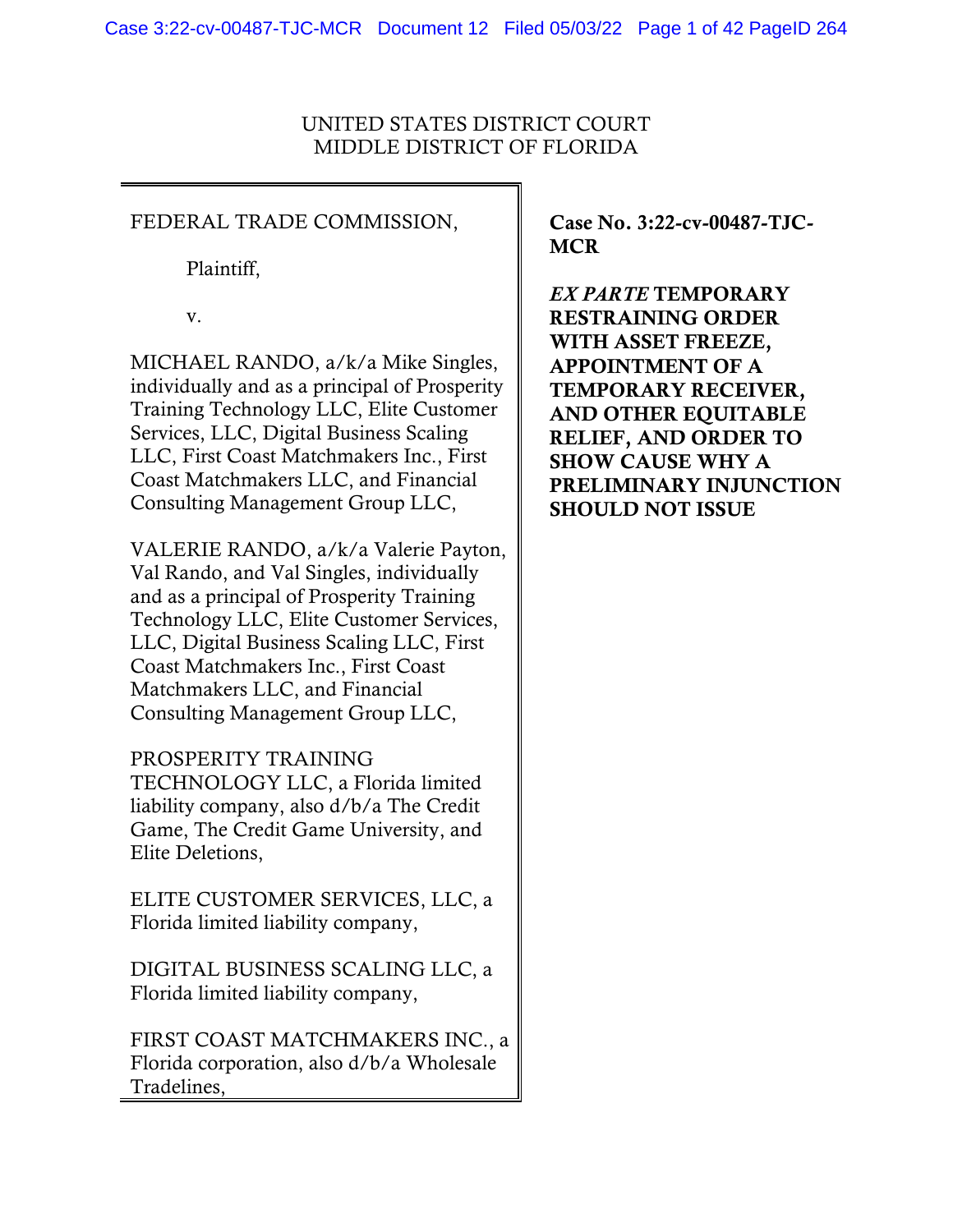# UNITED STATES DISTRICT COURT MIDDLE DISTRICT OF FLORIDA

# FEDERAL TRADE COMMISSION,

Plaintiff,

v.

MICHAEL RANDO, a/k/a Mike Singles, individually and as a principal of Prosperity Training Technology LLC, Elite Customer Services, LLC, Digital Business Scaling LLC, First Coast Matchmakers Inc., First Coast Matchmakers LLC, and Financial Consulting Management Group LLC,

VALERIE RANDO, a/k/a Valerie Payton, Val Rando, and Val Singles, individually and as a principal of Prosperity Training Technology LLC, Elite Customer Services, LLC, Digital Business Scaling LLC, First Coast Matchmakers Inc., First Coast Matchmakers LLC, and Financial Consulting Management Group LLC,

PROSPERITY TRAINING TECHNOLOGY LLC, a Florida limited liability company, also d/b/a The Credit Game, The Credit Game University, and Elite Deletions,

ELITE CUSTOMER SERVICES, LLC, a Florida limited liability company,

DIGITAL BUSINESS SCALING LLC, a Florida limited liability company,

FIRST COAST MATCHMAKERS INC., a Florida corporation, also d/b/a Wholesale Tradelines,

Case No. 3:22-cv-00487-TJC-**MCR** 

*EX PARTE* TEMPORARY RESTRAINING ORDER WITH ASSET FREEZE, APPOINTMENT OF A TEMPORARY RECEIVER, AND OTHER EQUITABLE RELIEF, AND ORDER TO SHOW CAUSE WHY A PRELIMINARY INJUNCTION SHOULD NOT ISSUE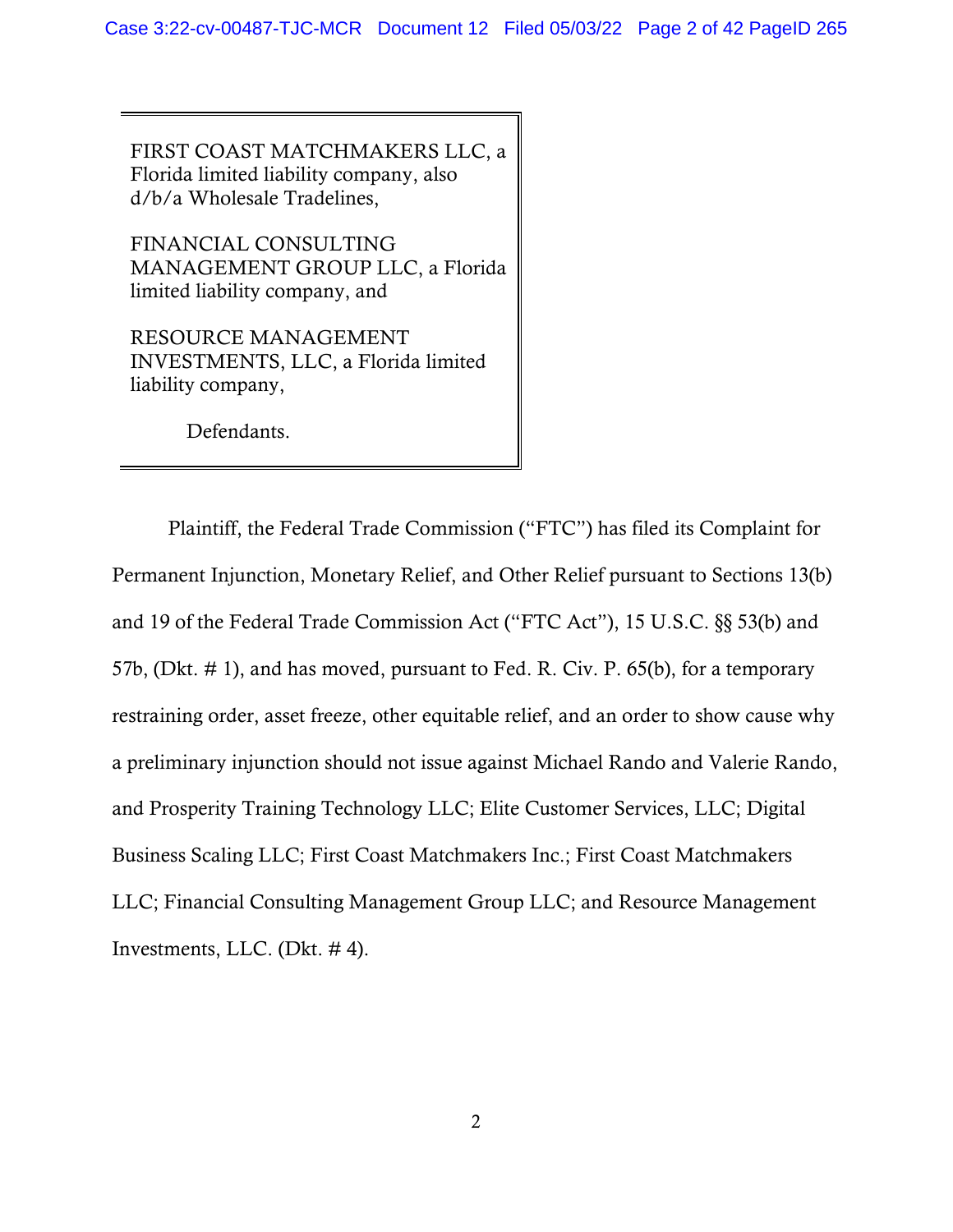FIRST COAST MATCHMAKERS LLC, a Florida limited liability company, also d/b/a Wholesale Tradelines,

FINANCIAL CONSULTING MANAGEMENT GROUP LLC, a Florida limited liability company, and

RESOURCE MANAGEMENT INVESTMENTS, LLC, a Florida limited liability company,

Defendants.

Plaintiff, the Federal Trade Commission ("FTC") has filed its Complaint for Permanent Injunction, Monetary Relief, and Other Relief pursuant to Sections 13(b) and 19 of the Federal Trade Commission Act ("FTC Act"), 15 U.S.C. §§ 53(b) and 57b, (Dkt. # 1), and has moved, pursuant to Fed. R. Civ. P. 65(b), for a temporary restraining order, asset freeze, other equitable relief, and an order to show cause why a preliminary injunction should not issue against Michael Rando and Valerie Rando, and Prosperity Training Technology LLC; Elite Customer Services, LLC; Digital Business Scaling LLC; First Coast Matchmakers Inc.; First Coast Matchmakers LLC; Financial Consulting Management Group LLC; and Resource Management Investments, LLC. (Dkt. # 4).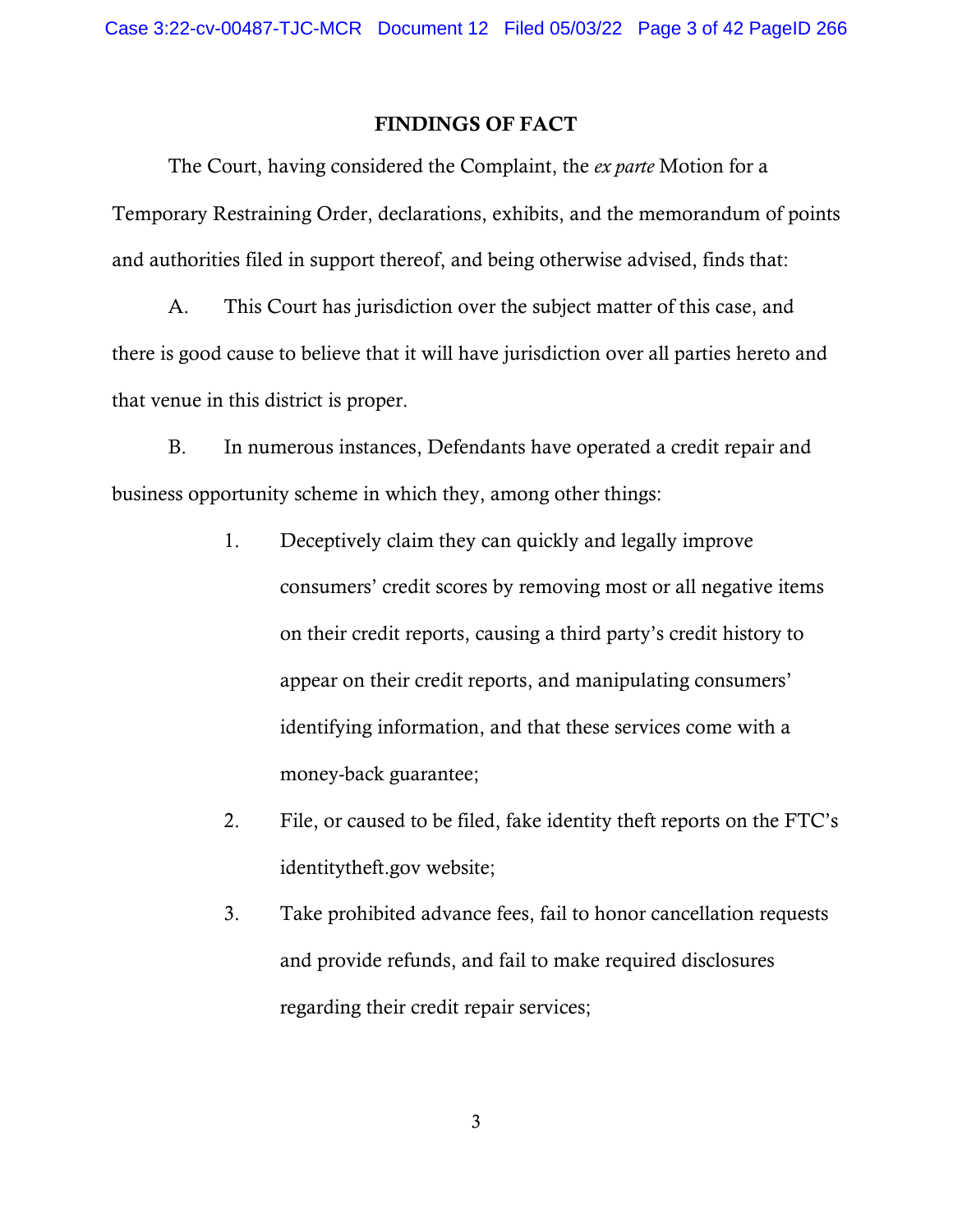## FINDINGS OF FACT

The Court, having considered the Complaint, the *ex parte* Motion for a Temporary Restraining Order, declarations, exhibits, and the memorandum of points and authorities filed in support thereof, and being otherwise advised, finds that:

A. This Court has jurisdiction over the subject matter of this case, and there is good cause to believe that it will have jurisdiction over all parties hereto and that venue in this district is proper.

B. In numerous instances, Defendants have operated a credit repair and business opportunity scheme in which they, among other things:

- 1. Deceptively claim they can quickly and legally improve consumers' credit scores by removing most or all negative items on their credit reports, causing a third party's credit history to appear on their credit reports, and manipulating consumers' identifying information, and that these services come with a money-back guarantee;
- 2. File, or caused to be filed, fake identity theft reports on the FTC's identitytheft.gov website;
- 3. Take prohibited advance fees, fail to honor cancellation requests and provide refunds, and fail to make required disclosures regarding their credit repair services;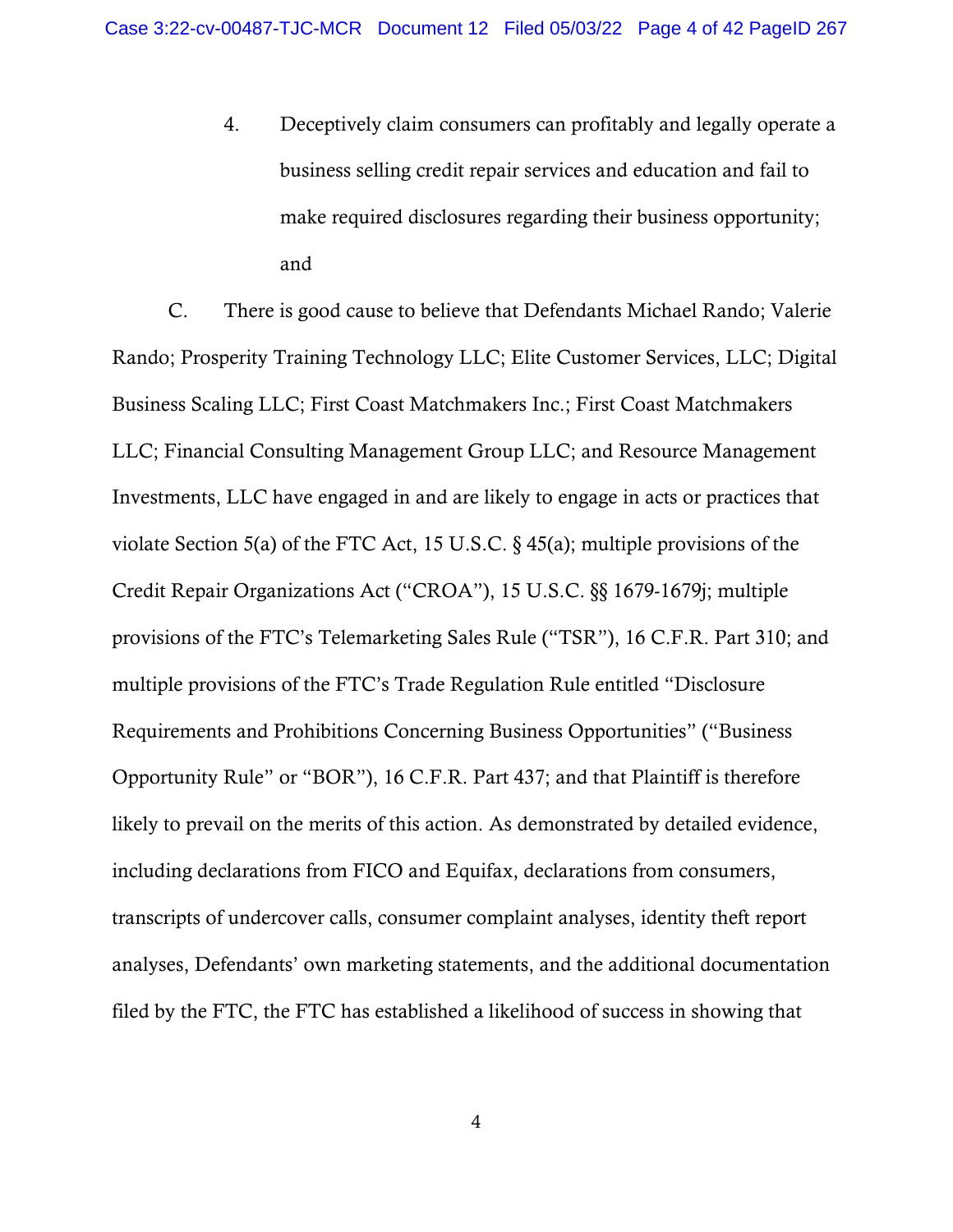4. Deceptively claim consumers can profitably and legally operate a business selling credit repair services and education and fail to make required disclosures regarding their business opportunity; and

C. There is good cause to believe that Defendants Michael Rando; Valerie Rando; Prosperity Training Technology LLC; Elite Customer Services, LLC; Digital Business Scaling LLC; First Coast Matchmakers Inc.; First Coast Matchmakers LLC; Financial Consulting Management Group LLC; and Resource Management Investments, LLC have engaged in and are likely to engage in acts or practices that violate Section 5(a) of the FTC Act, 15 U.S.C. § 45(a); multiple provisions of the Credit Repair Organizations Act ("CROA"), 15 U.S.C. §§ 1679-1679j; multiple provisions of the FTC's Telemarketing Sales Rule ("TSR"), 16 C.F.R. Part 310; and multiple provisions of the FTC's Trade Regulation Rule entitled "Disclosure Requirements and Prohibitions Concerning Business Opportunities" ("Business Opportunity Rule" or "BOR"), 16 C.F.R. Part 437; and that Plaintiff is therefore likely to prevail on the merits of this action. As demonstrated by detailed evidence, including declarations from FICO and Equifax, declarations from consumers, transcripts of undercover calls, consumer complaint analyses, identity theft report analyses, Defendants' own marketing statements, and the additional documentation filed by the FTC, the FTC has established a likelihood of success in showing that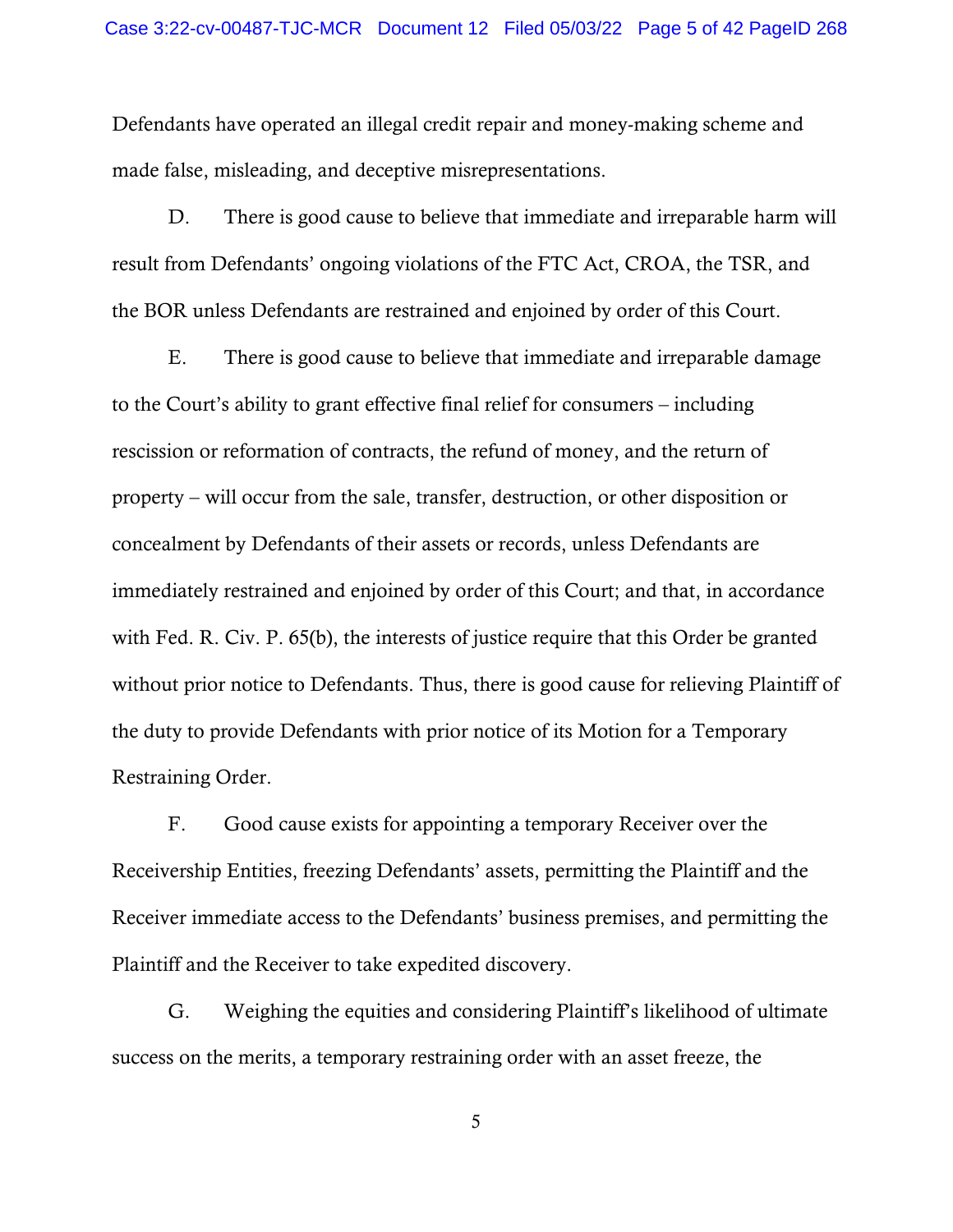Defendants have operated an illegal credit repair and money-making scheme and made false, misleading, and deceptive misrepresentations.

D. There is good cause to believe that immediate and irreparable harm will result from Defendants' ongoing violations of the FTC Act, CROA, the TSR, and the BOR unless Defendants are restrained and enjoined by order of this Court.

E. There is good cause to believe that immediate and irreparable damage to the Court's ability to grant effective final relief for consumers – including rescission or reformation of contracts, the refund of money, and the return of property – will occur from the sale, transfer, destruction, or other disposition or concealment by Defendants of their assets or records, unless Defendants are immediately restrained and enjoined by order of this Court; and that, in accordance with Fed. R. Civ. P. 65(b), the interests of justice require that this Order be granted without prior notice to Defendants. Thus, there is good cause for relieving Plaintiff of the duty to provide Defendants with prior notice of its Motion for a Temporary Restraining Order.

F. Good cause exists for appointing a temporary Receiver over the Receivership Entities, freezing Defendants' assets, permitting the Plaintiff and the Receiver immediate access to the Defendants' business premises, and permitting the Plaintiff and the Receiver to take expedited discovery.

G. Weighing the equities and considering Plaintiff's likelihood of ultimate success on the merits, a temporary restraining order with an asset freeze, the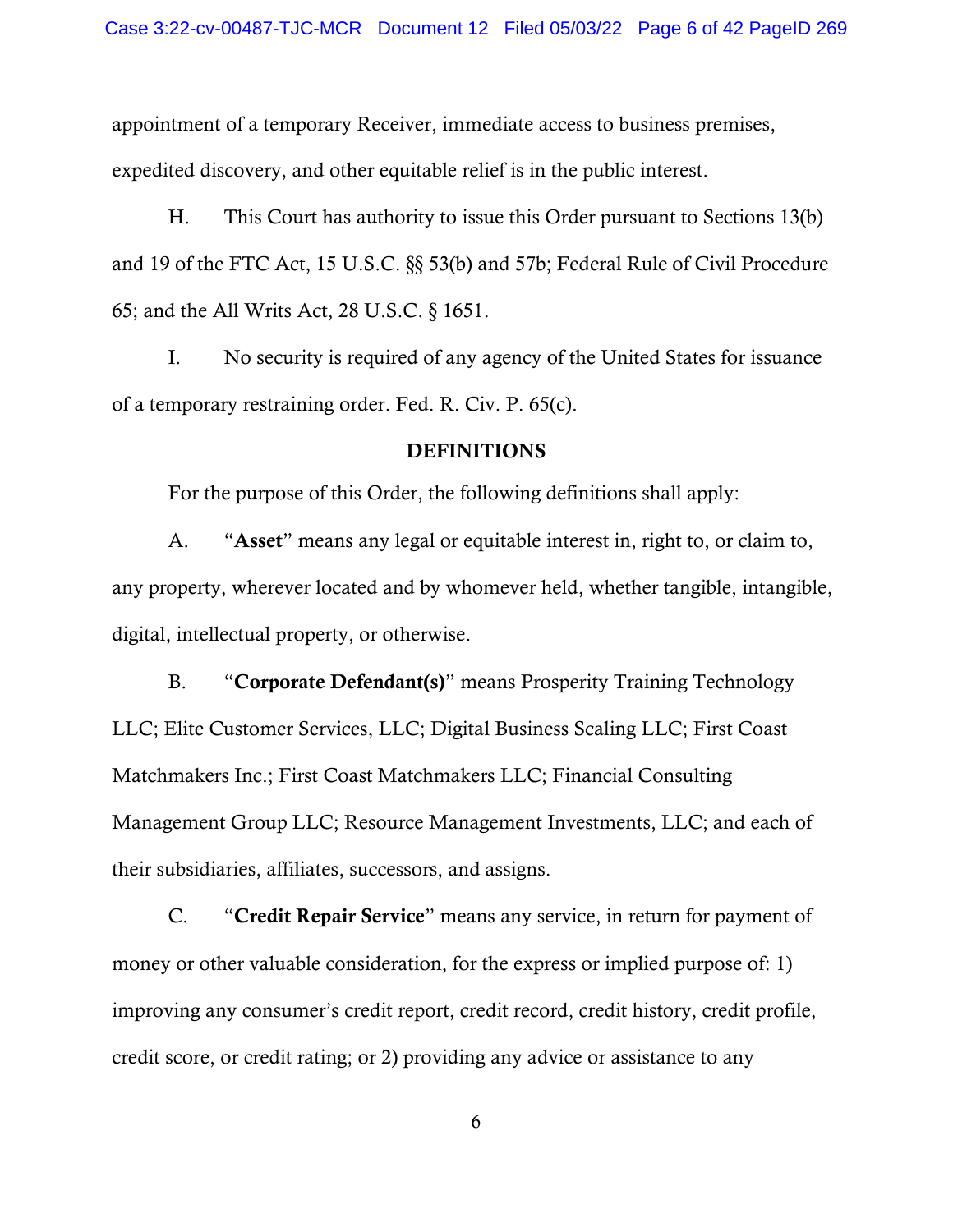appointment of a temporary Receiver, immediate access to business premises, expedited discovery, and other equitable relief is in the public interest.

H. This Court has authority to issue this Order pursuant to Sections 13(b) and 19 of the FTC Act, 15 U.S.C. §§ 53(b) and 57b; Federal Rule of Civil Procedure 65; and the All Writs Act, 28 U.S.C. § 1651.

I. No security is required of any agency of the United States for issuance of a temporary restraining order. Fed. R. Civ. P. 65(c).

#### DEFINITIONS

For the purpose of this Order, the following definitions shall apply:

A. "Asset" means any legal or equitable interest in, right to, or claim to, any property, wherever located and by whomever held, whether tangible, intangible, digital, intellectual property, or otherwise.

B. "Corporate Defendant(s)" means Prosperity Training Technology LLC; Elite Customer Services, LLC; Digital Business Scaling LLC; First Coast Matchmakers Inc.; First Coast Matchmakers LLC; Financial Consulting Management Group LLC; Resource Management Investments, LLC; and each of their subsidiaries, affiliates, successors, and assigns.

C. "Credit Repair Service" means any service, in return for payment of money or other valuable consideration, for the express or implied purpose of: 1) improving any consumer's credit report, credit record, credit history, credit profile, credit score, or credit rating; or 2) providing any advice or assistance to any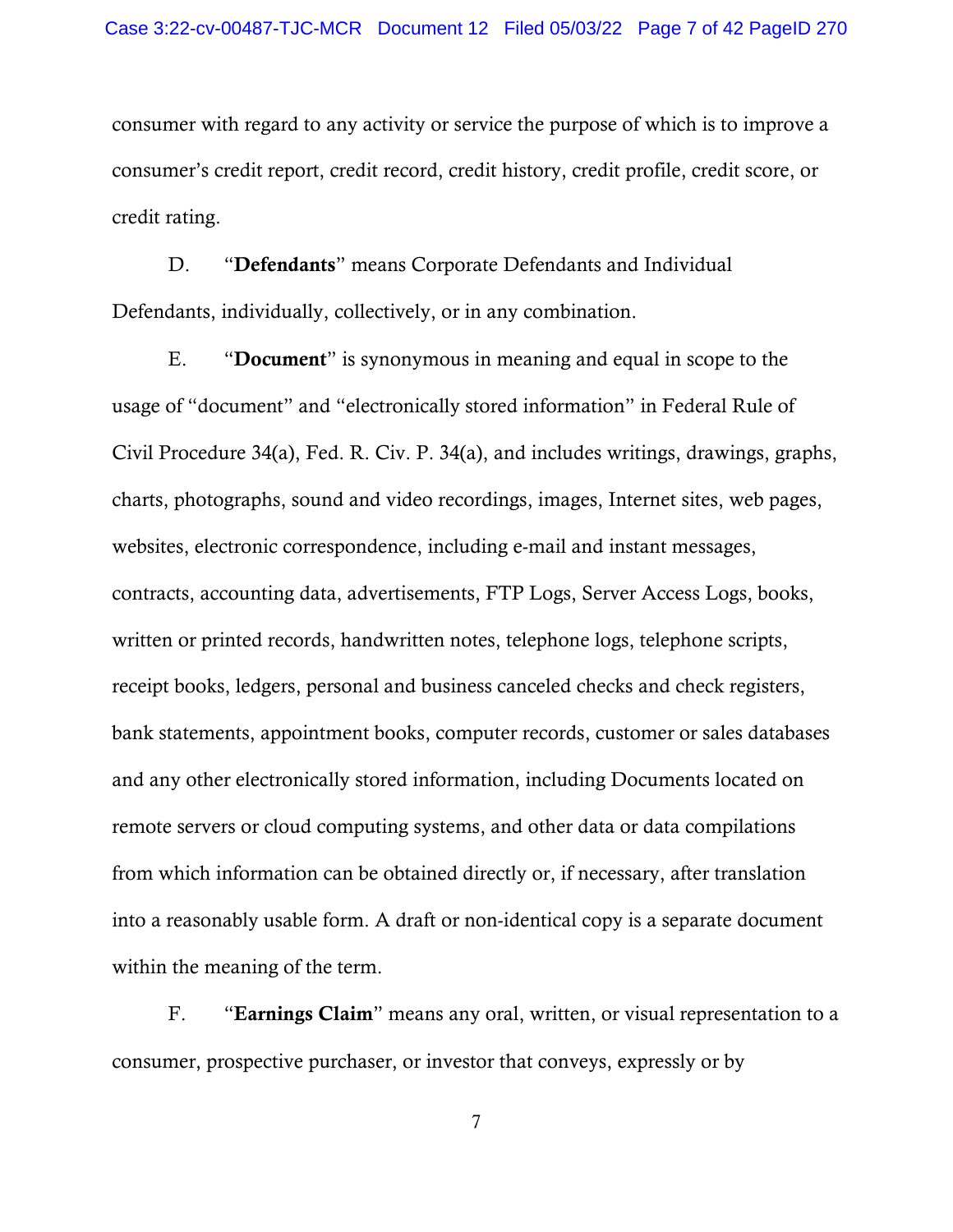consumer with regard to any activity or service the purpose of which is to improve a consumer's credit report, credit record, credit history, credit profile, credit score, or credit rating.

D. "Defendants" means Corporate Defendants and Individual Defendants, individually, collectively, or in any combination.

E. "Document" is synonymous in meaning and equal in scope to the usage of "document" and "electronically stored information" in Federal Rule of Civil Procedure 34(a), Fed. R. Civ. P. 34(a), and includes writings, drawings, graphs, charts, photographs, sound and video recordings, images, Internet sites, web pages, websites, electronic correspondence, including e-mail and instant messages, contracts, accounting data, advertisements, FTP Logs, Server Access Logs, books, written or printed records, handwritten notes, telephone logs, telephone scripts, receipt books, ledgers, personal and business canceled checks and check registers, bank statements, appointment books, computer records, customer or sales databases and any other electronically stored information, including Documents located on remote servers or cloud computing systems, and other data or data compilations from which information can be obtained directly or, if necessary, after translation into a reasonably usable form. A draft or non-identical copy is a separate document within the meaning of the term.

F. "Earnings Claim" means any oral, written, or visual representation to a consumer, prospective purchaser, or investor that conveys, expressly or by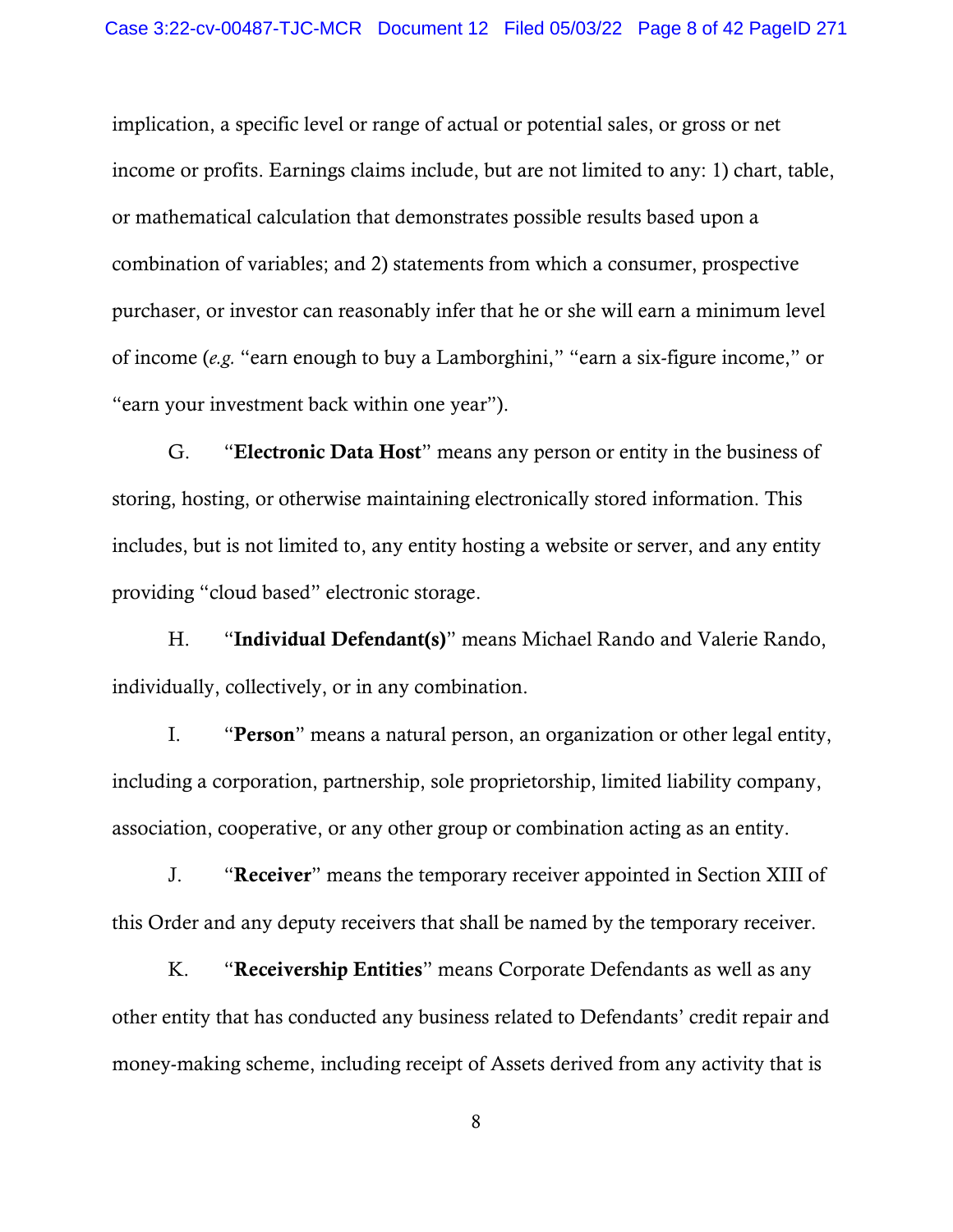implication, a specific level or range of actual or potential sales, or gross or net income or profits. Earnings claims include, but are not limited to any: 1) chart, table, or mathematical calculation that demonstrates possible results based upon a combination of variables; and 2) statements from which a consumer, prospective purchaser, or investor can reasonably infer that he or she will earn a minimum level of income (*e.g.* "earn enough to buy a Lamborghini," "earn a six-figure income," or "earn your investment back within one year").

G. "Electronic Data Host" means any person or entity in the business of storing, hosting, or otherwise maintaining electronically stored information. This includes, but is not limited to, any entity hosting a website or server, and any entity providing "cloud based" electronic storage.

H. "Individual Defendant(s)" means Michael Rando and Valerie Rando, individually, collectively, or in any combination.

I. "Person" means a natural person, an organization or other legal entity, including a corporation, partnership, sole proprietorship, limited liability company, association, cooperative, or any other group or combination acting as an entity.

J. "Receiver" means the temporary receiver appointed in Section XIII of this Order and any deputy receivers that shall be named by the temporary receiver.

K. "Receivership Entities" means Corporate Defendants as well as any other entity that has conducted any business related to Defendants' credit repair and money-making scheme, including receipt of Assets derived from any activity that is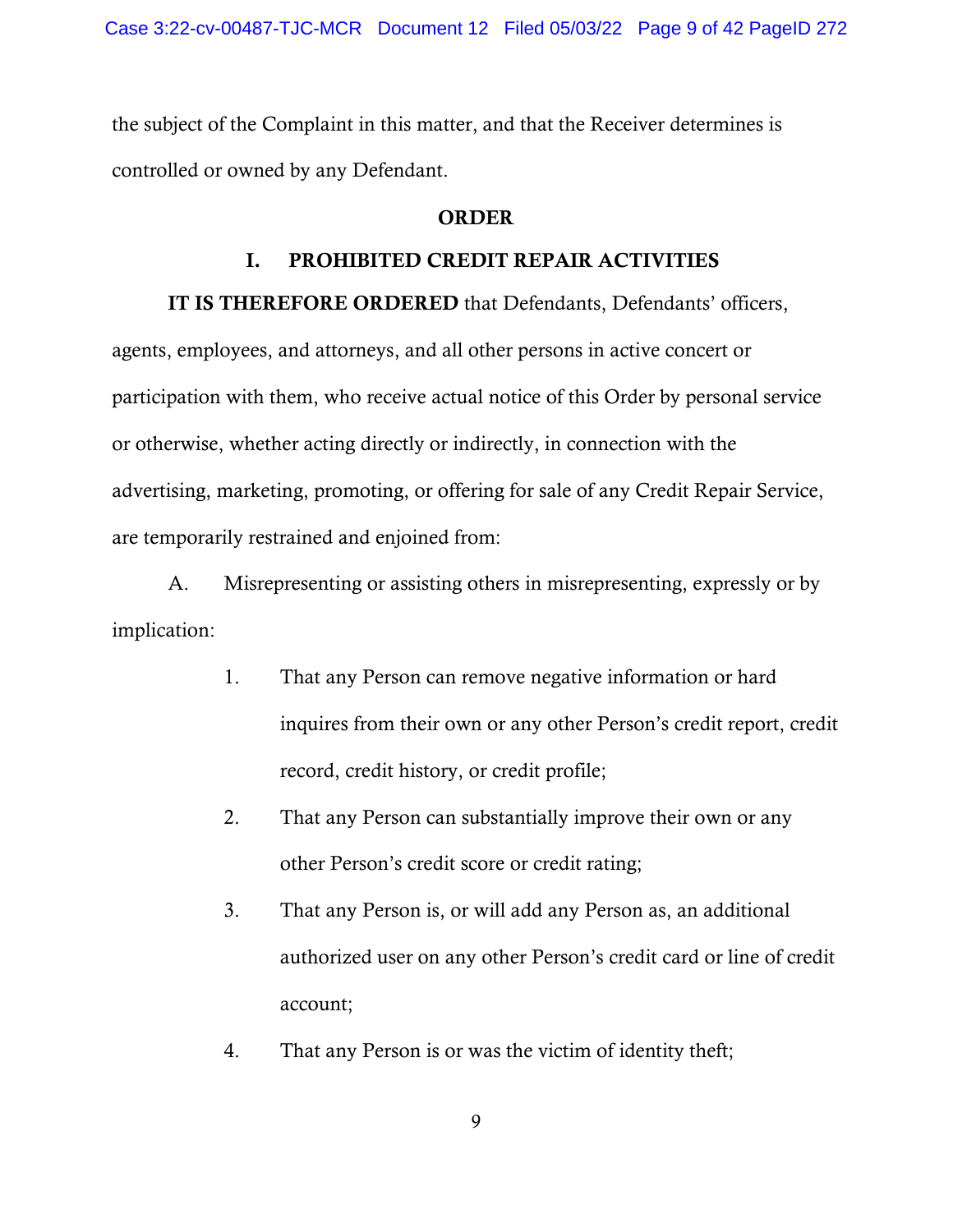the subject of the Complaint in this matter, and that the Receiver determines is controlled or owned by any Defendant.

## ORDER

## I. PROHIBITED CREDIT REPAIR ACTIVITIES

IT IS THEREFORE ORDERED that Defendants, Defendants' officers, agents, employees, and attorneys, and all other persons in active concert or participation with them, who receive actual notice of this Order by personal service or otherwise, whether acting directly or indirectly, in connection with the advertising, marketing, promoting, or offering for sale of any Credit Repair Service, are temporarily restrained and enjoined from:

A. Misrepresenting or assisting others in misrepresenting, expressly or by implication:

- 1. That any Person can remove negative information or hard inquires from their own or any other Person's credit report, credit record, credit history, or credit profile;
- 2. That any Person can substantially improve their own or any other Person's credit score or credit rating;
- 3. That any Person is, or will add any Person as, an additional authorized user on any other Person's credit card or line of credit account;
- 4. That any Person is or was the victim of identity theft;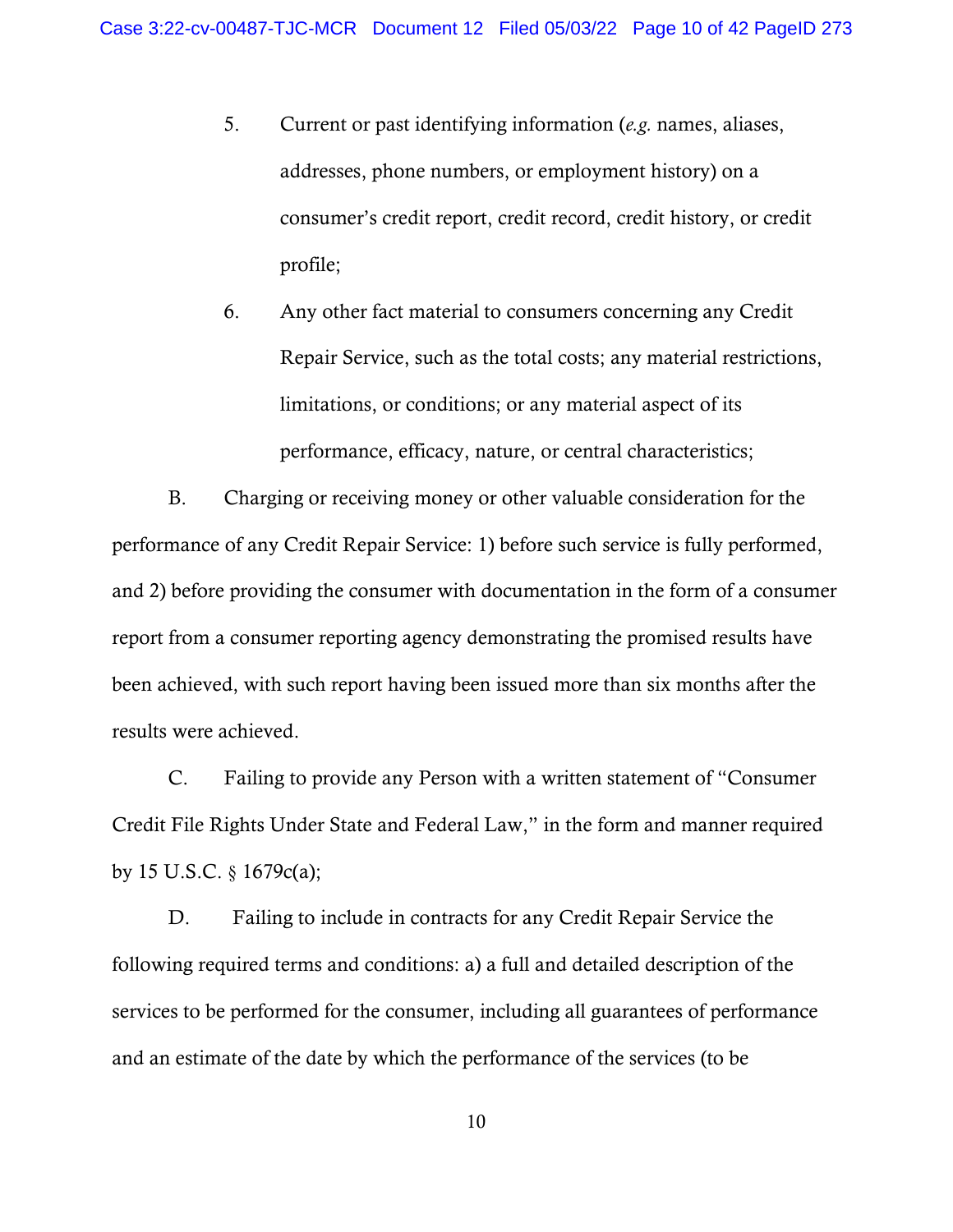- 5. Current or past identifying information (*e.g.* names, aliases, addresses, phone numbers, or employment history) on a consumer's credit report, credit record, credit history, or credit profile;
- 6. Any other fact material to consumers concerning any Credit Repair Service, such as the total costs; any material restrictions, limitations, or conditions; or any material aspect of its performance, efficacy, nature, or central characteristics;

B. Charging or receiving money or other valuable consideration for the performance of any Credit Repair Service: 1) before such service is fully performed, and 2) before providing the consumer with documentation in the form of a consumer report from a consumer reporting agency demonstrating the promised results have been achieved, with such report having been issued more than six months after the results were achieved.

C. Failing to provide any Person with a written statement of "Consumer Credit File Rights Under State and Federal Law," in the form and manner required by 15 U.S.C. § 1679c(a);

D. Failing to include in contracts for any Credit Repair Service the following required terms and conditions: a) a full and detailed description of the services to be performed for the consumer, including all guarantees of performance and an estimate of the date by which the performance of the services (to be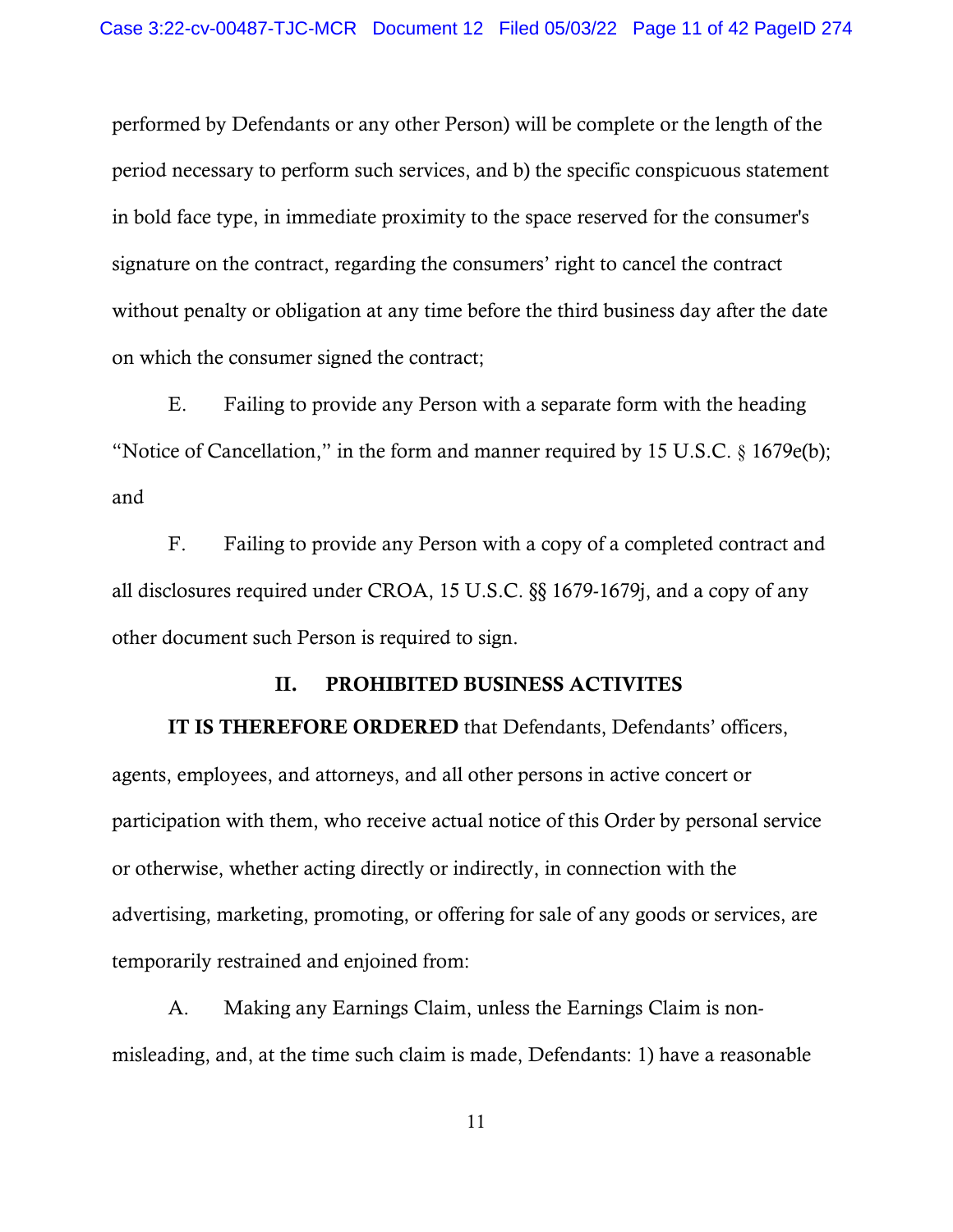performed by Defendants or any other Person) will be complete or the length of the period necessary to perform such services, and b) the specific conspicuous statement in bold face type, in immediate proximity to the space reserved for the consumer's signature on the contract, regarding the consumers' right to cancel the contract without penalty or obligation at any time before the third business day after the date on which the consumer signed the contract;

E. Failing to provide any Person with a separate form with the heading "Notice of Cancellation," in the form and manner required by 15 U.S.C. § 1679e(b); and

F. Failing to provide any Person with a copy of a completed contract and all disclosures required under CROA, 15 U.S.C. §§ 1679-1679j, and a copy of any other document such Person is required to sign.

## II. PROHIBITED BUSINESS ACTIVITES

IT IS THEREFORE ORDERED that Defendants, Defendants' officers, agents, employees, and attorneys, and all other persons in active concert or participation with them, who receive actual notice of this Order by personal service or otherwise, whether acting directly or indirectly, in connection with the advertising, marketing, promoting, or offering for sale of any goods or services, are temporarily restrained and enjoined from:

A. Making any Earnings Claim, unless the Earnings Claim is nonmisleading, and, at the time such claim is made, Defendants: 1) have a reasonable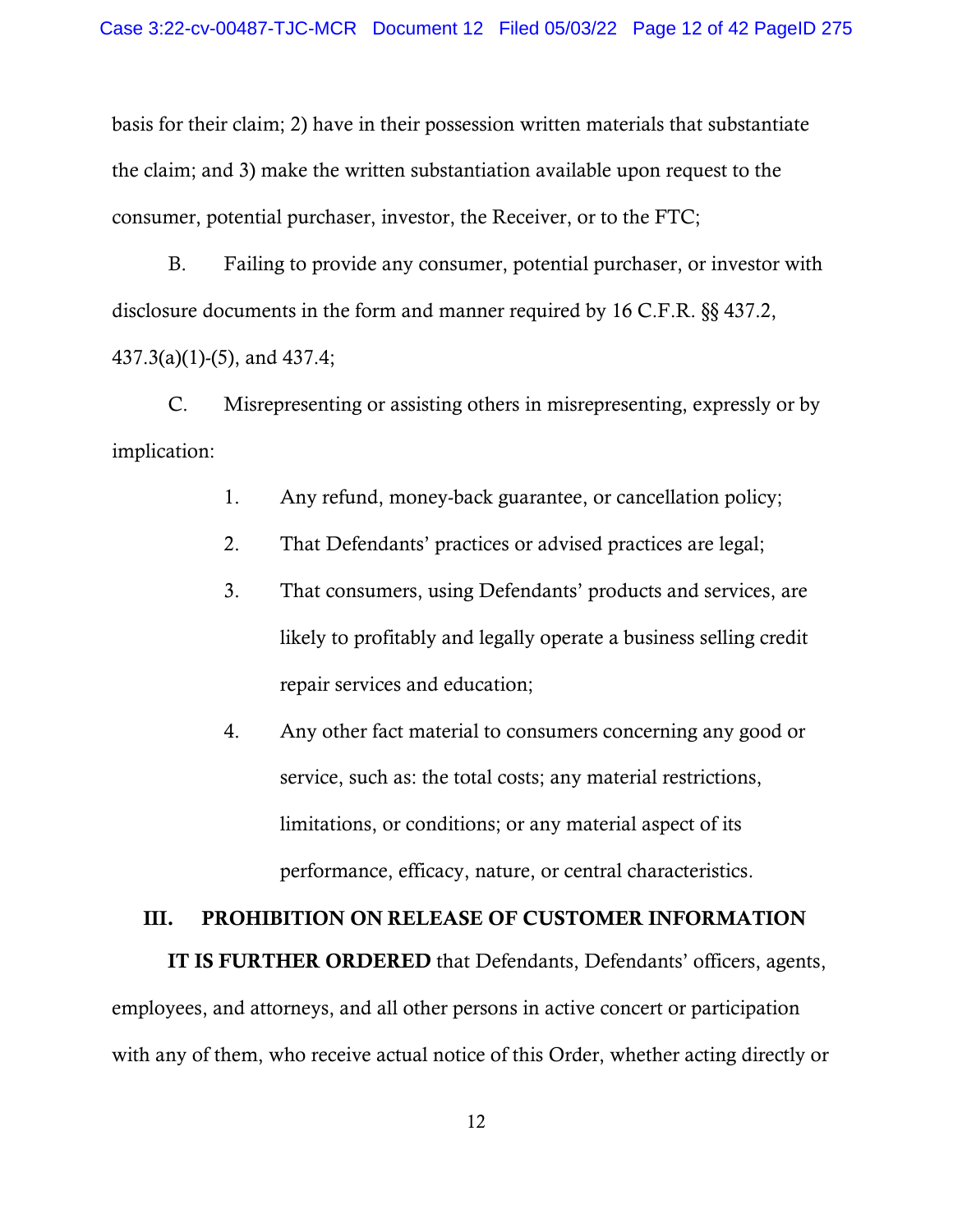basis for their claim; 2) have in their possession written materials that substantiate the claim; and 3) make the written substantiation available upon request to the consumer, potential purchaser, investor, the Receiver, or to the FTC;

B. Failing to provide any consumer, potential purchaser, or investor with disclosure documents in the form and manner required by 16 C.F.R. §§ 437.2, 437.3(a)(1)-(5), and 437.4;

C. Misrepresenting or assisting others in misrepresenting, expressly or by implication:

- 1. Any refund, money-back guarantee, or cancellation policy;
- 2. That Defendants' practices or advised practices are legal;
- 3. That consumers, using Defendants' products and services, are likely to profitably and legally operate a business selling credit repair services and education;
- 4. Any other fact material to consumers concerning any good or service, such as: the total costs; any material restrictions, limitations, or conditions; or any material aspect of its performance, efficacy, nature, or central characteristics.

# III. PROHIBITION ON RELEASE OF CUSTOMER INFORMATION

IT IS FURTHER ORDERED that Defendants, Defendants' officers, agents, employees, and attorneys, and all other persons in active concert or participation with any of them, who receive actual notice of this Order, whether acting directly or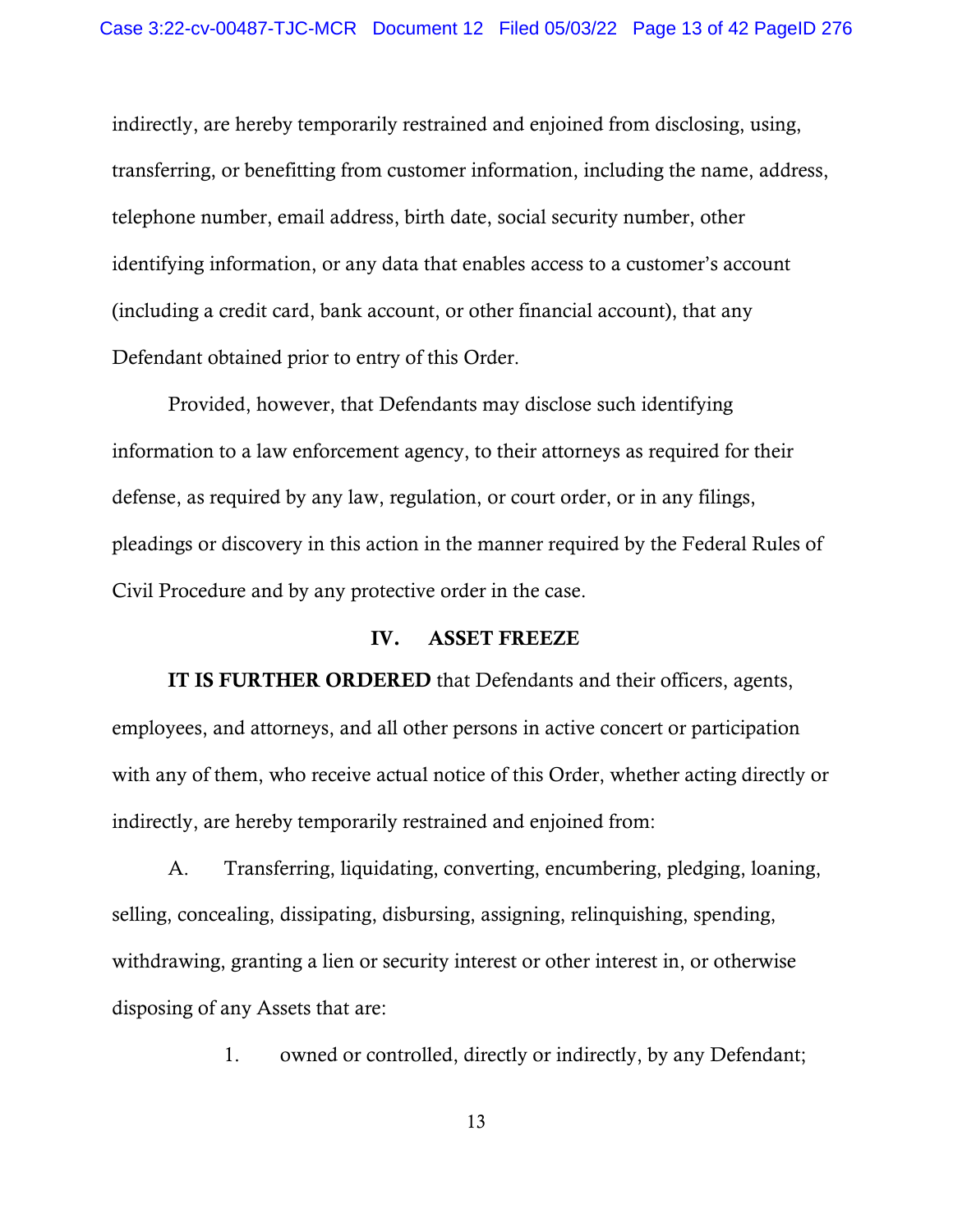indirectly, are hereby temporarily restrained and enjoined from disclosing, using, transferring, or benefitting from customer information, including the name, address, telephone number, email address, birth date, social security number, other identifying information, or any data that enables access to a customer's account (including a credit card, bank account, or other financial account), that any Defendant obtained prior to entry of this Order.

Provided, however, that Defendants may disclose such identifying information to a law enforcement agency, to their attorneys as required for their defense, as required by any law, regulation, or court order, or in any filings, pleadings or discovery in this action in the manner required by the Federal Rules of Civil Procedure and by any protective order in the case.

#### IV. ASSET FREEZE

IT IS FURTHER ORDERED that Defendants and their officers, agents, employees, and attorneys, and all other persons in active concert or participation with any of them, who receive actual notice of this Order, whether acting directly or indirectly, are hereby temporarily restrained and enjoined from:

A. Transferring, liquidating, converting, encumbering, pledging, loaning, selling, concealing, dissipating, disbursing, assigning, relinquishing, spending, withdrawing, granting a lien or security interest or other interest in, or otherwise disposing of any Assets that are:

1. owned or controlled, directly or indirectly, by any Defendant;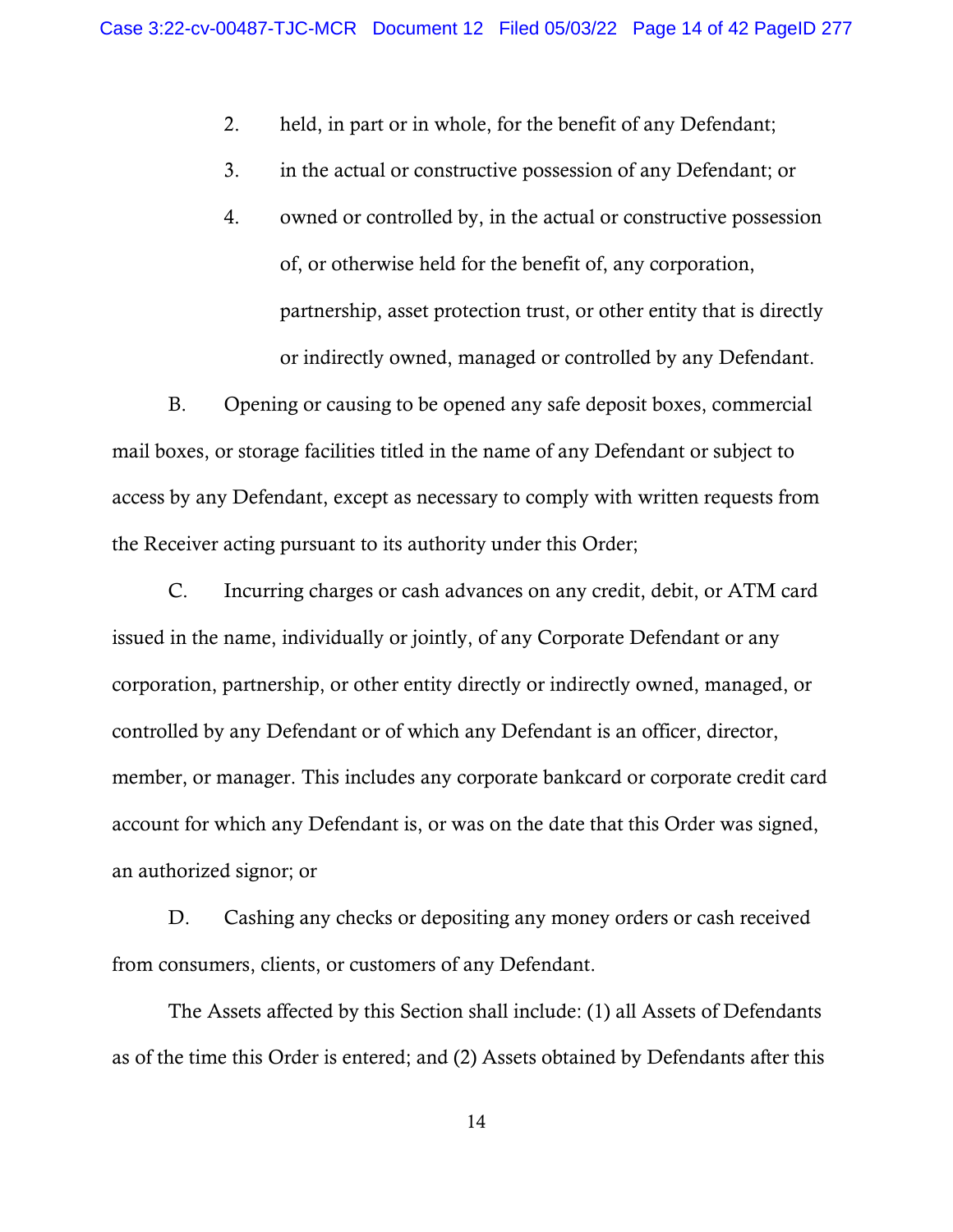- 2. held, in part or in whole, for the benefit of any Defendant;
- 3. in the actual or constructive possession of any Defendant; or
- 4. owned or controlled by, in the actual or constructive possession of, or otherwise held for the benefit of, any corporation, partnership, asset protection trust, or other entity that is directly or indirectly owned, managed or controlled by any Defendant.

B. Opening or causing to be opened any safe deposit boxes, commercial mail boxes, or storage facilities titled in the name of any Defendant or subject to access by any Defendant, except as necessary to comply with written requests from the Receiver acting pursuant to its authority under this Order;

C. Incurring charges or cash advances on any credit, debit, or ATM card issued in the name, individually or jointly, of any Corporate Defendant or any corporation, partnership, or other entity directly or indirectly owned, managed, or controlled by any Defendant or of which any Defendant is an officer, director, member, or manager. This includes any corporate bankcard or corporate credit card account for which any Defendant is, or was on the date that this Order was signed, an authorized signor; or

D. Cashing any checks or depositing any money orders or cash received from consumers, clients, or customers of any Defendant.

The Assets affected by this Section shall include: (1) all Assets of Defendants as of the time this Order is entered; and (2) Assets obtained by Defendants after this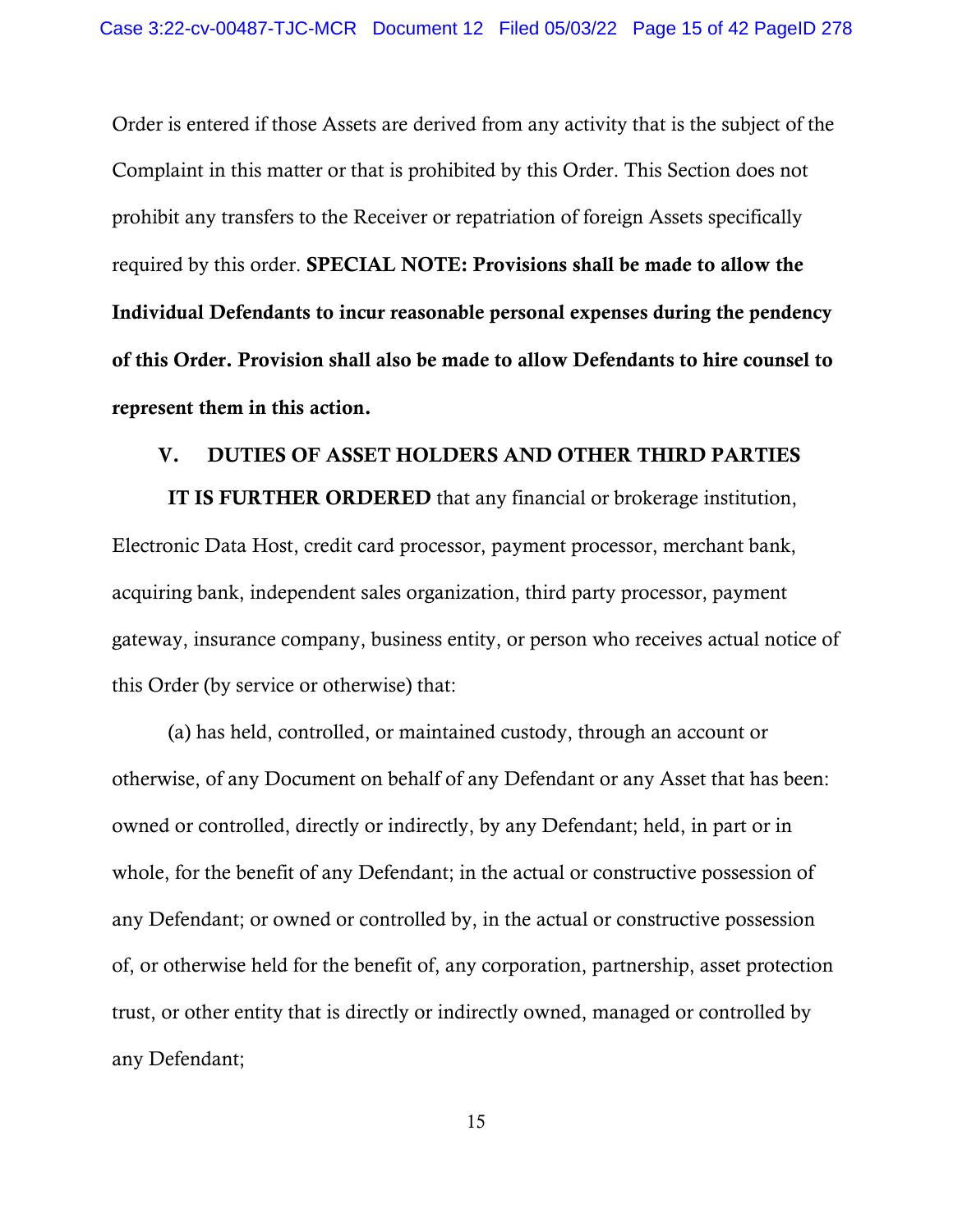Order is entered if those Assets are derived from any activity that is the subject of the Complaint in this matter or that is prohibited by this Order. This Section does not prohibit any transfers to the Receiver or repatriation of foreign Assets specifically required by this order. SPECIAL NOTE: Provisions shall be made to allow the Individual Defendants to incur reasonable personal expenses during the pendency of this Order. Provision shall also be made to allow Defendants to hire counsel to represent them in this action.

# V. DUTIES OF ASSET HOLDERS AND OTHER THIRD PARTIES

IT IS FURTHER ORDERED that any financial or brokerage institution, Electronic Data Host, credit card processor, payment processor, merchant bank, acquiring bank, independent sales organization, third party processor, payment gateway, insurance company, business entity, or person who receives actual notice of this Order (by service or otherwise) that:

(a) has held, controlled, or maintained custody, through an account or otherwise, of any Document on behalf of any Defendant or any Asset that has been: owned or controlled, directly or indirectly, by any Defendant; held, in part or in whole, for the benefit of any Defendant; in the actual or constructive possession of any Defendant; or owned or controlled by, in the actual or constructive possession of, or otherwise held for the benefit of, any corporation, partnership, asset protection trust, or other entity that is directly or indirectly owned, managed or controlled by any Defendant;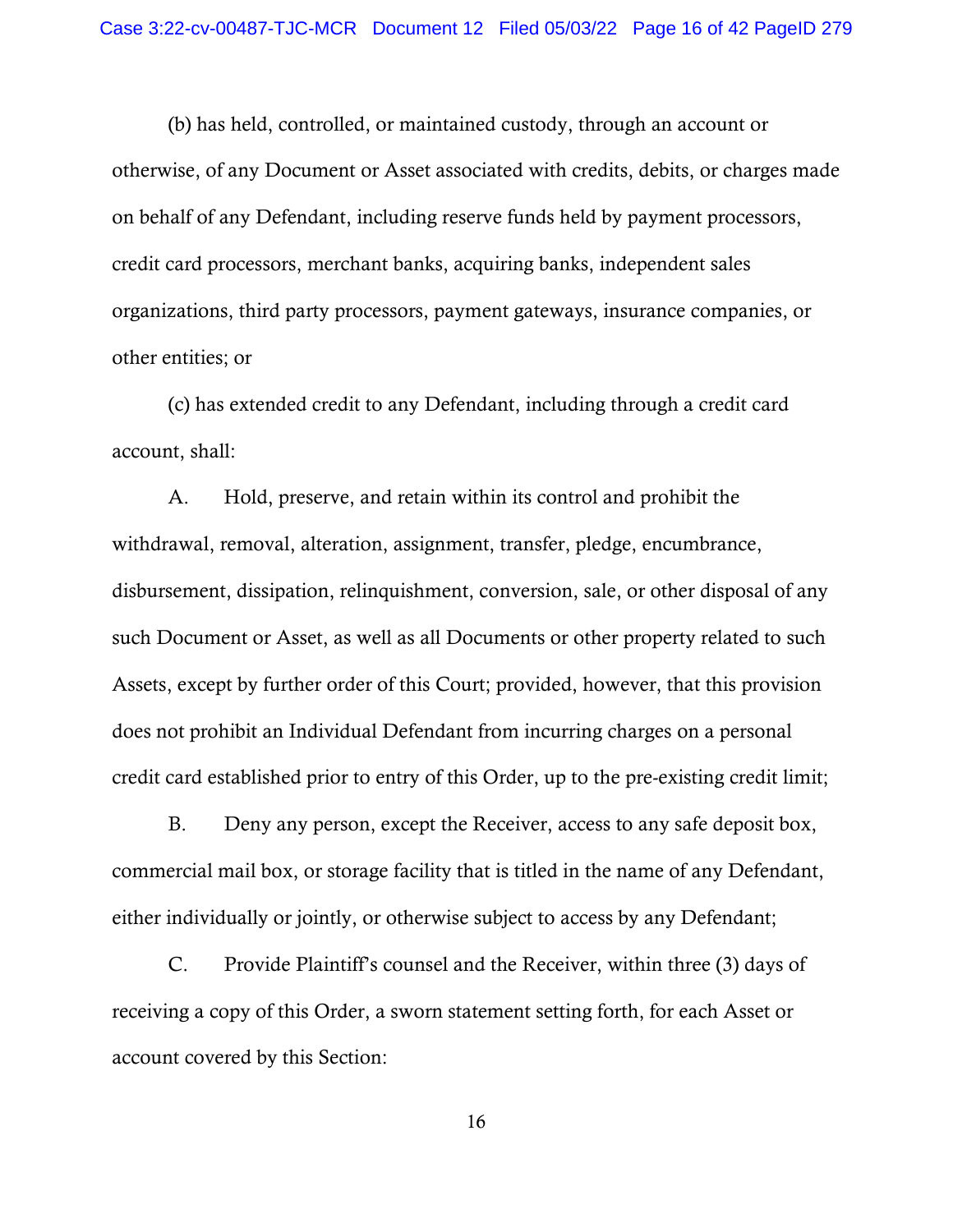(b) has held, controlled, or maintained custody, through an account or otherwise, of any Document or Asset associated with credits, debits, or charges made on behalf of any Defendant, including reserve funds held by payment processors, credit card processors, merchant banks, acquiring banks, independent sales organizations, third party processors, payment gateways, insurance companies, or other entities; or

(c) has extended credit to any Defendant, including through a credit card account, shall:

A. Hold, preserve, and retain within its control and prohibit the withdrawal, removal, alteration, assignment, transfer, pledge, encumbrance, disbursement, dissipation, relinquishment, conversion, sale, or other disposal of any such Document or Asset, as well as all Documents or other property related to such Assets, except by further order of this Court; provided, however, that this provision does not prohibit an Individual Defendant from incurring charges on a personal credit card established prior to entry of this Order, up to the pre-existing credit limit;

B. Deny any person, except the Receiver, access to any safe deposit box, commercial mail box, or storage facility that is titled in the name of any Defendant, either individually or jointly, or otherwise subject to access by any Defendant;

C. Provide Plaintiff's counsel and the Receiver, within three (3) days of receiving a copy of this Order, a sworn statement setting forth, for each Asset or account covered by this Section: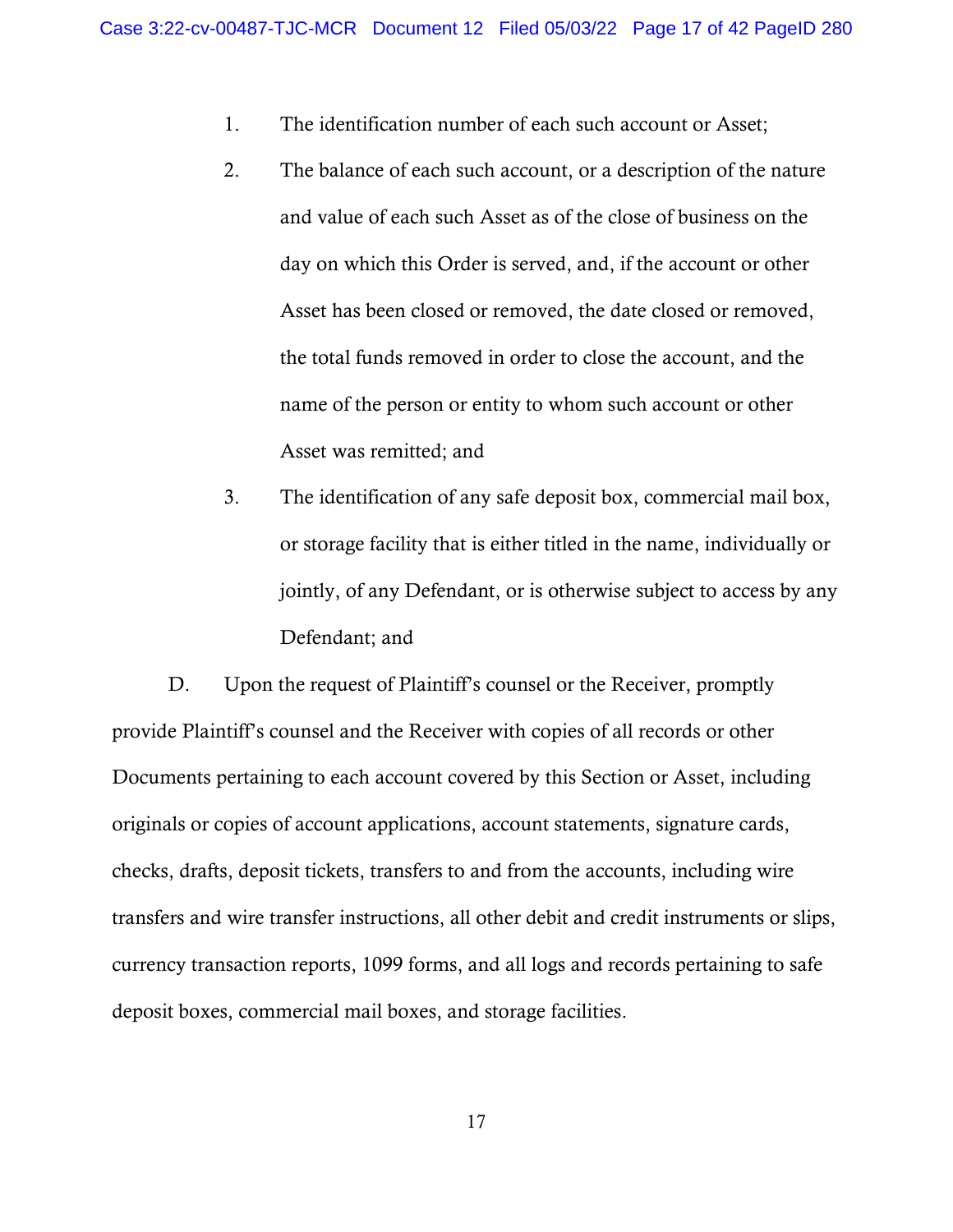- 1. The identification number of each such account or Asset;
- 2. The balance of each such account, or a description of the nature and value of each such Asset as of the close of business on the day on which this Order is served, and, if the account or other Asset has been closed or removed, the date closed or removed, the total funds removed in order to close the account, and the name of the person or entity to whom such account or other Asset was remitted; and
- 3. The identification of any safe deposit box, commercial mail box, or storage facility that is either titled in the name, individually or jointly, of any Defendant, or is otherwise subject to access by any Defendant; and

D. Upon the request of Plaintiff's counsel or the Receiver, promptly provide Plaintiff's counsel and the Receiver with copies of all records or other Documents pertaining to each account covered by this Section or Asset, including originals or copies of account applications, account statements, signature cards, checks, drafts, deposit tickets, transfers to and from the accounts, including wire transfers and wire transfer instructions, all other debit and credit instruments or slips, currency transaction reports, 1099 forms, and all logs and records pertaining to safe deposit boxes, commercial mail boxes, and storage facilities.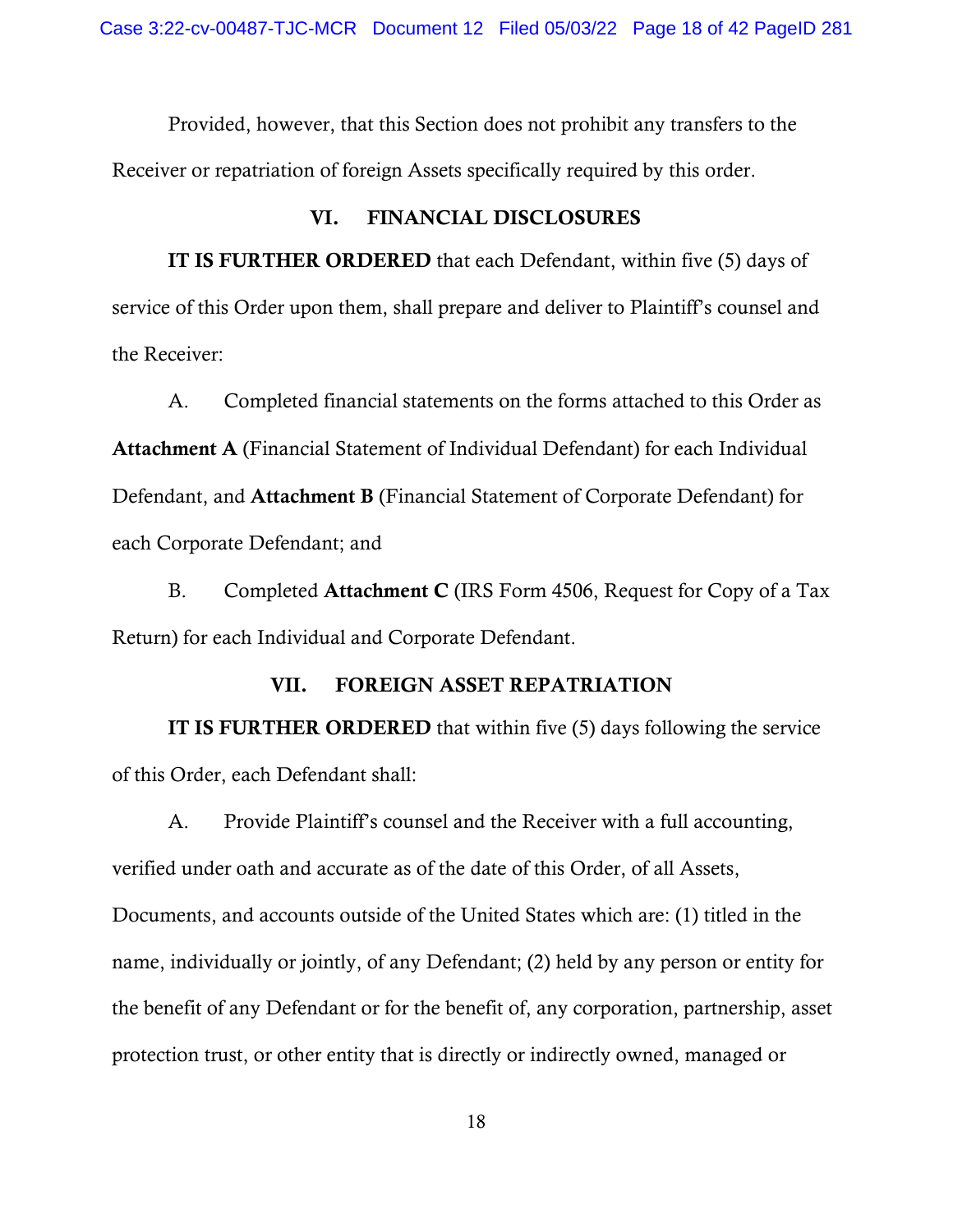Provided, however, that this Section does not prohibit any transfers to the Receiver or repatriation of foreign Assets specifically required by this order.

## VI. FINANCIAL DISCLOSURES

IT IS FURTHER ORDERED that each Defendant, within five (5) days of service of this Order upon them, shall prepare and deliver to Plaintiff's counsel and the Receiver:

A. Completed financial statements on the forms attached to this Order as Attachment A (Financial Statement of Individual Defendant) for each Individual Defendant, and Attachment B (Financial Statement of Corporate Defendant) for each Corporate Defendant; and

B. Completed Attachment C (IRS Form 4506, Request for Copy of a Tax Return) for each Individual and Corporate Defendant.

## VII. FOREIGN ASSET REPATRIATION

IT IS FURTHER ORDERED that within five (5) days following the service of this Order, each Defendant shall:

A. Provide Plaintiff's counsel and the Receiver with a full accounting, verified under oath and accurate as of the date of this Order, of all Assets, Documents, and accounts outside of the United States which are: (1) titled in the name, individually or jointly, of any Defendant; (2) held by any person or entity for the benefit of any Defendant or for the benefit of, any corporation, partnership, asset protection trust, or other entity that is directly or indirectly owned, managed or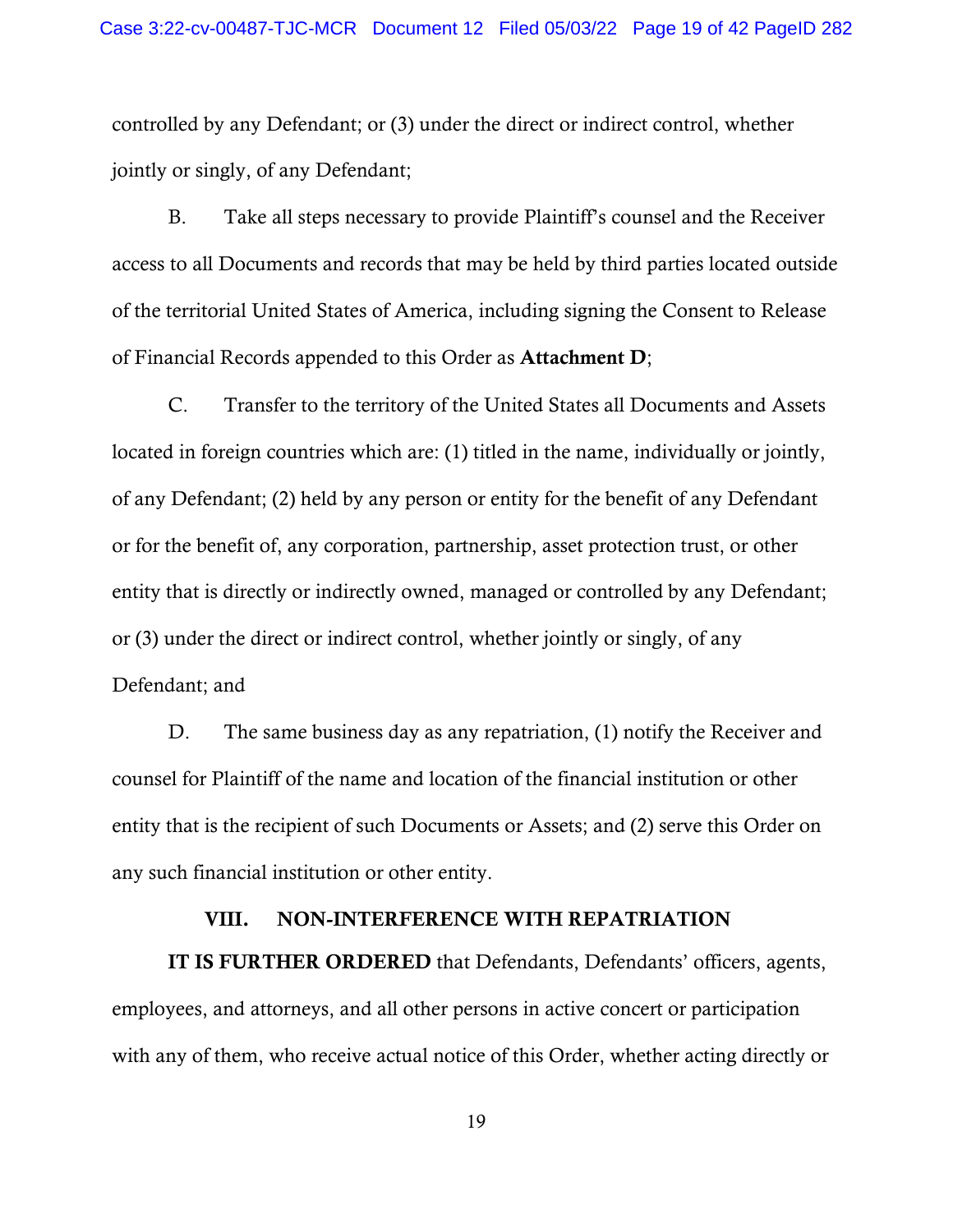controlled by any Defendant; or (3) under the direct or indirect control, whether jointly or singly, of any Defendant;

B. Take all steps necessary to provide Plaintiff's counsel and the Receiver access to all Documents and records that may be held by third parties located outside of the territorial United States of America, including signing the Consent to Release of Financial Records appended to this Order as Attachment D;

C. Transfer to the territory of the United States all Documents and Assets located in foreign countries which are: (1) titled in the name, individually or jointly, of any Defendant; (2) held by any person or entity for the benefit of any Defendant or for the benefit of, any corporation, partnership, asset protection trust, or other entity that is directly or indirectly owned, managed or controlled by any Defendant; or (3) under the direct or indirect control, whether jointly or singly, of any Defendant; and

D. The same business day as any repatriation, (1) notify the Receiver and counsel for Plaintiff of the name and location of the financial institution or other entity that is the recipient of such Documents or Assets; and (2) serve this Order on any such financial institution or other entity.

## VIII. NON-INTERFERENCE WITH REPATRIATION

IT IS FURTHER ORDERED that Defendants, Defendants' officers, agents, employees, and attorneys, and all other persons in active concert or participation with any of them, who receive actual notice of this Order, whether acting directly or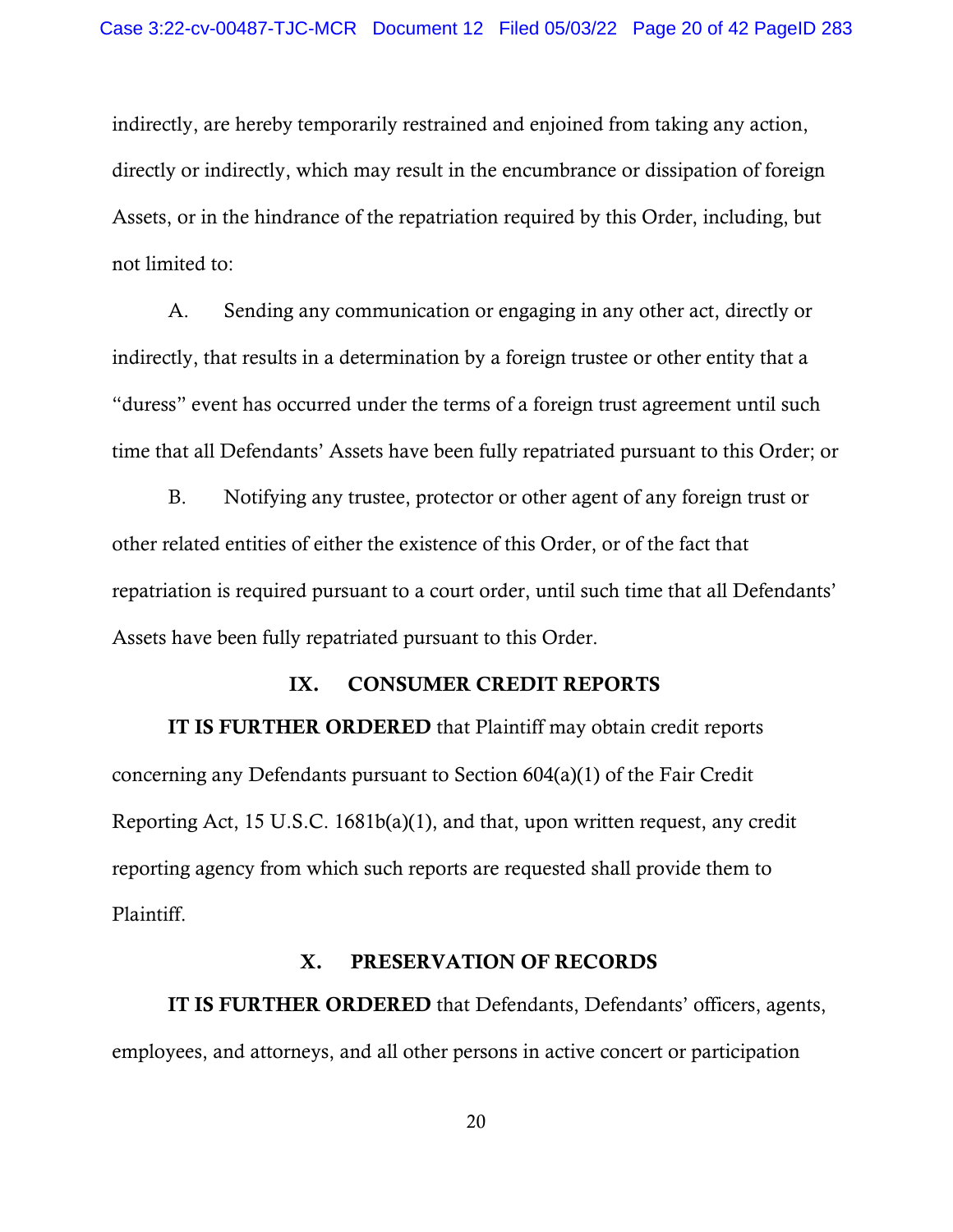indirectly, are hereby temporarily restrained and enjoined from taking any action, directly or indirectly, which may result in the encumbrance or dissipation of foreign Assets, or in the hindrance of the repatriation required by this Order, including, but not limited to:

A. Sending any communication or engaging in any other act, directly or indirectly, that results in a determination by a foreign trustee or other entity that a "duress" event has occurred under the terms of a foreign trust agreement until such time that all Defendants' Assets have been fully repatriated pursuant to this Order; or

B. Notifying any trustee, protector or other agent of any foreign trust or other related entities of either the existence of this Order, or of the fact that repatriation is required pursuant to a court order, until such time that all Defendants' Assets have been fully repatriated pursuant to this Order.

## IX. CONSUMER CREDIT REPORTS

IT IS FURTHER ORDERED that Plaintiff may obtain credit reports concerning any Defendants pursuant to Section 604(a)(1) of the Fair Credit Reporting Act, 15 U.S.C. 1681b(a)(1), and that, upon written request, any credit reporting agency from which such reports are requested shall provide them to Plaintiff.

## X. PRESERVATION OF RECORDS

IT IS FURTHER ORDERED that Defendants, Defendants' officers, agents, employees, and attorneys, and all other persons in active concert or participation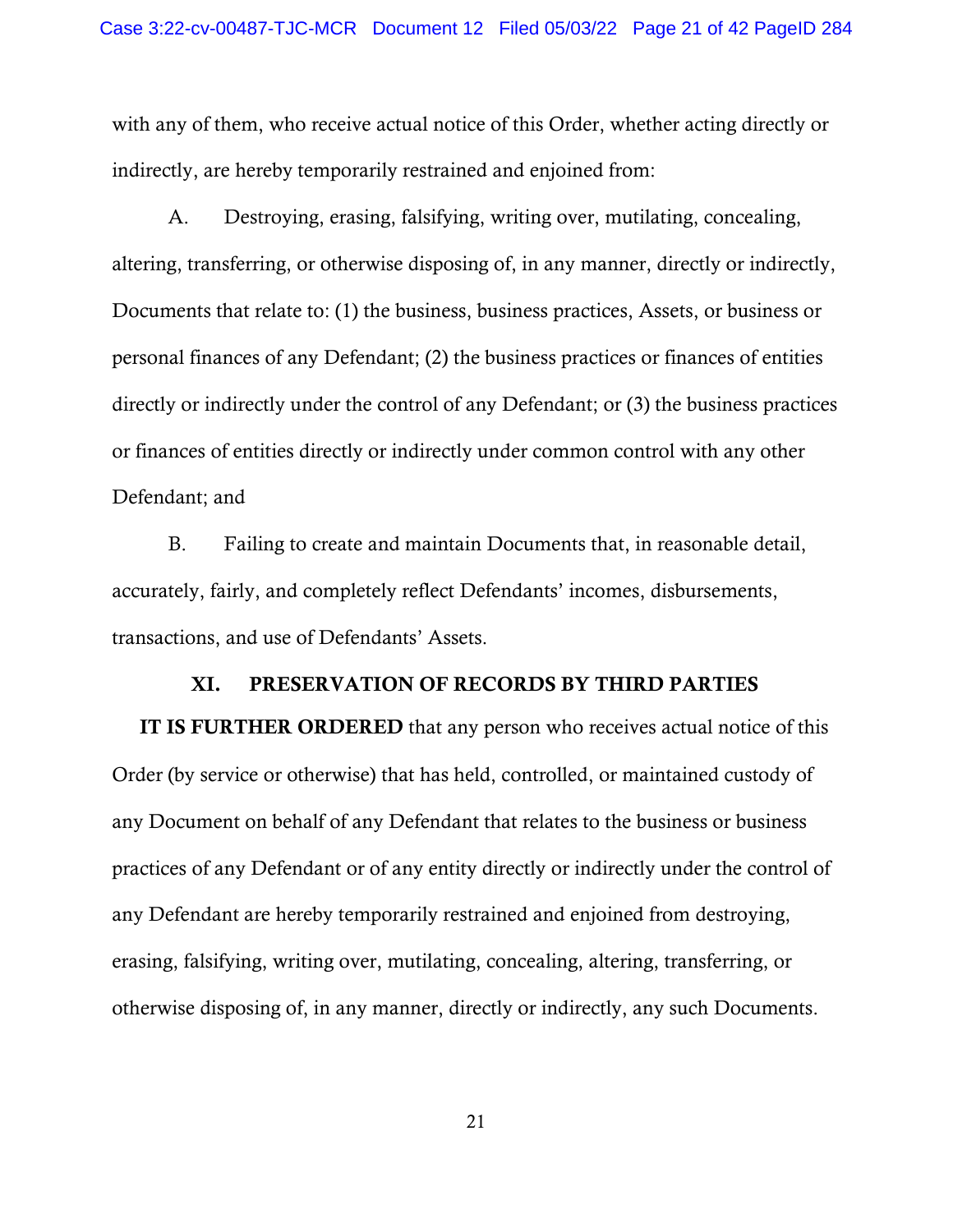with any of them, who receive actual notice of this Order, whether acting directly or indirectly, are hereby temporarily restrained and enjoined from:

A. Destroying, erasing, falsifying, writing over, mutilating, concealing, altering, transferring, or otherwise disposing of, in any manner, directly or indirectly, Documents that relate to: (1) the business, business practices, Assets, or business or personal finances of any Defendant; (2) the business practices or finances of entities directly or indirectly under the control of any Defendant; or (3) the business practices or finances of entities directly or indirectly under common control with any other Defendant; and

B. Failing to create and maintain Documents that, in reasonable detail, accurately, fairly, and completely reflect Defendants' incomes, disbursements, transactions, and use of Defendants' Assets.

## XI. PRESERVATION OF RECORDS BY THIRD PARTIES

IT IS FURTHER ORDERED that any person who receives actual notice of this Order (by service or otherwise) that has held, controlled, or maintained custody of any Document on behalf of any Defendant that relates to the business or business practices of any Defendant or of any entity directly or indirectly under the control of any Defendant are hereby temporarily restrained and enjoined from destroying, erasing, falsifying, writing over, mutilating, concealing, altering, transferring, or otherwise disposing of, in any manner, directly or indirectly, any such Documents.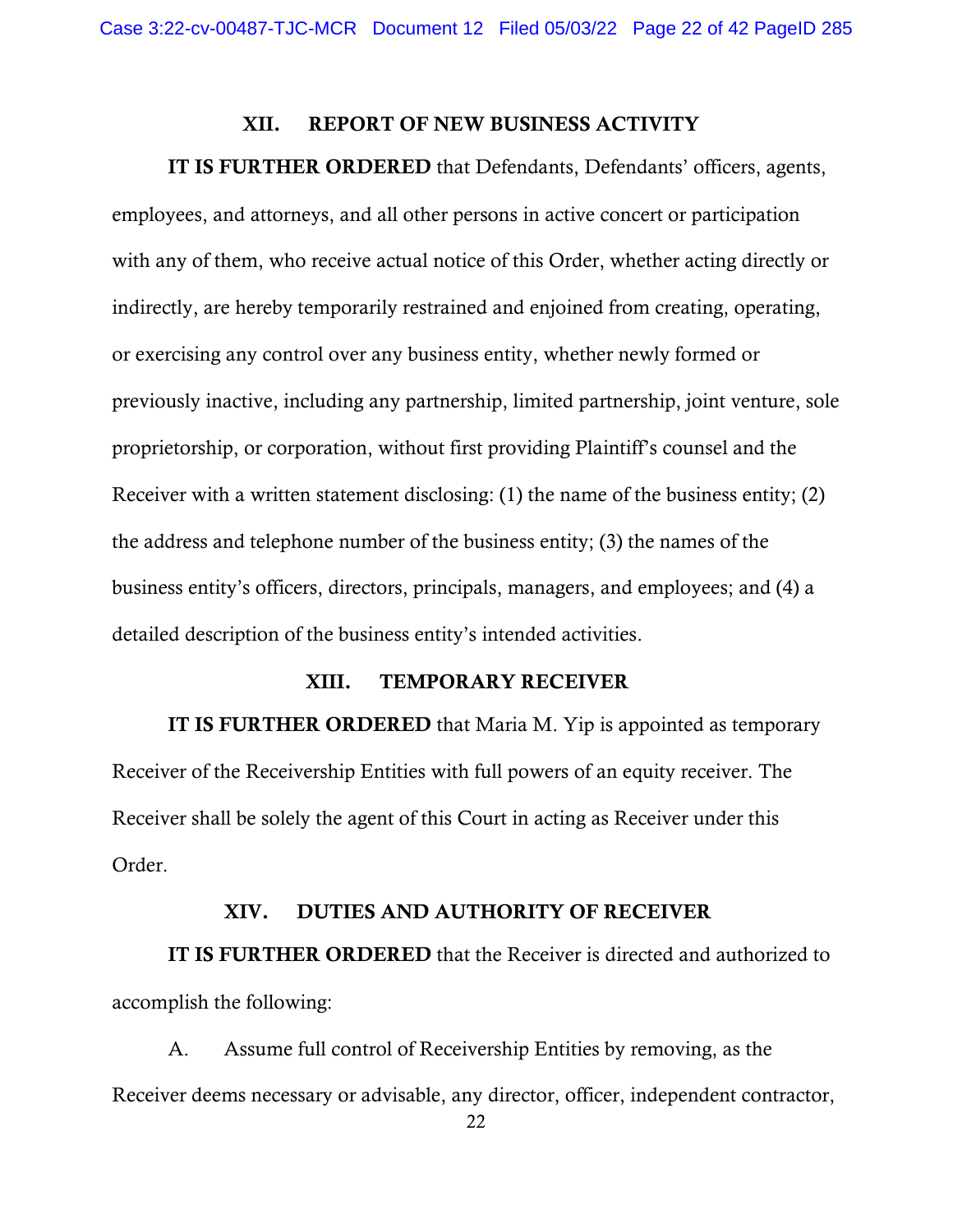## XII. REPORT OF NEW BUSINESS ACTIVITY

#### IT IS FURTHER ORDERED that Defendants, Defendants' officers, agents,

employees, and attorneys, and all other persons in active concert or participation with any of them, who receive actual notice of this Order, whether acting directly or indirectly, are hereby temporarily restrained and enjoined from creating, operating, or exercising any control over any business entity, whether newly formed or previously inactive, including any partnership, limited partnership, joint venture, sole proprietorship, or corporation, without first providing Plaintiff's counsel and the Receiver with a written statement disclosing: (1) the name of the business entity; (2) the address and telephone number of the business entity; (3) the names of the business entity's officers, directors, principals, managers, and employees; and (4) a detailed description of the business entity's intended activities.

## XIII. TEMPORARY RECEIVER

IT IS FURTHER ORDERED that Maria M. Yip is appointed as temporary Receiver of the Receivership Entities with full powers of an equity receiver. The Receiver shall be solely the agent of this Court in acting as Receiver under this Order.

#### XIV. DUTIES AND AUTHORITY OF RECEIVER

IT IS FURTHER ORDERED that the Receiver is directed and authorized to accomplish the following:

A. Assume full control of Receivership Entities by removing, as the Receiver deems necessary or advisable, any director, officer, independent contractor,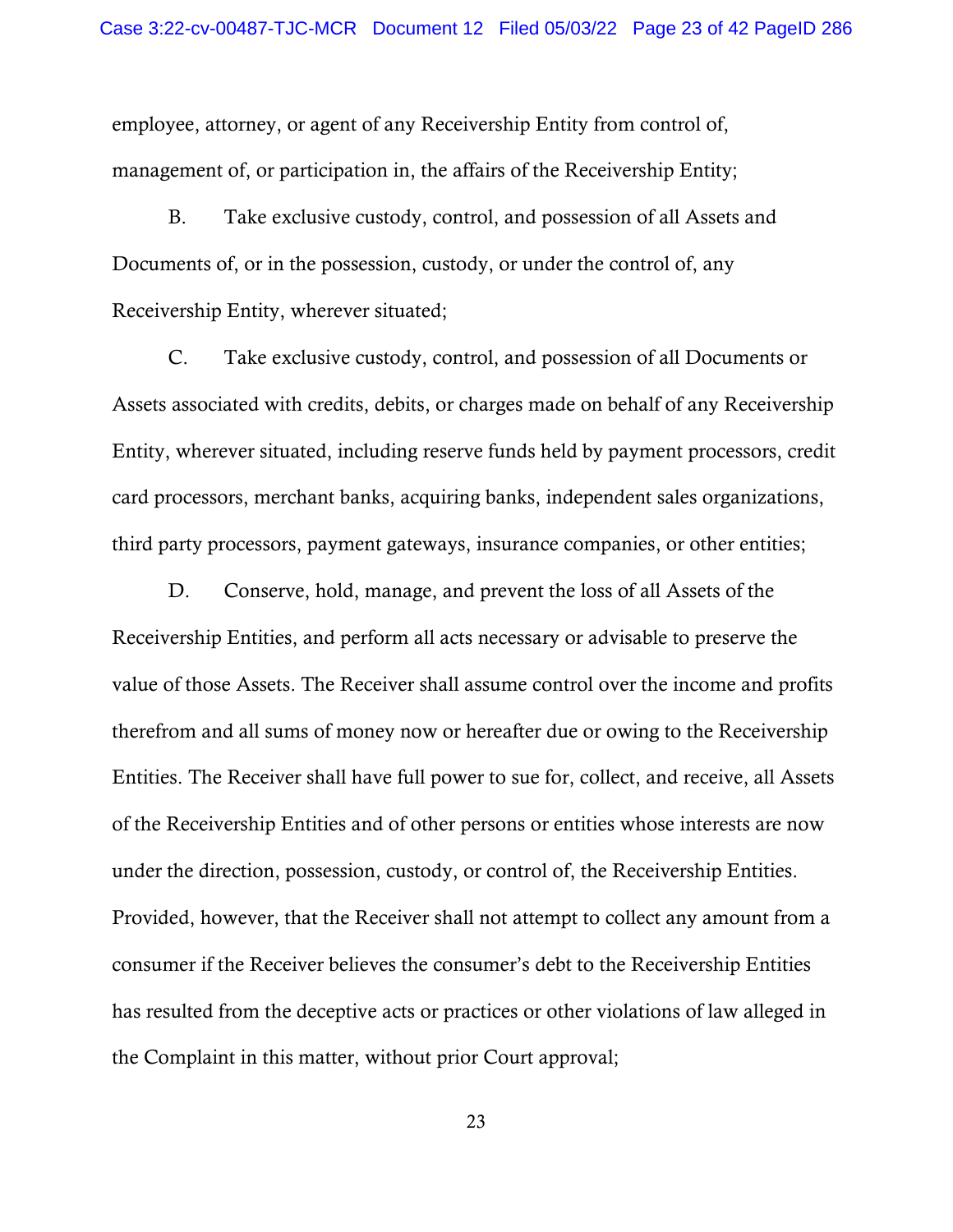employee, attorney, or agent of any Receivership Entity from control of, management of, or participation in, the affairs of the Receivership Entity;

B. Take exclusive custody, control, and possession of all Assets and Documents of, or in the possession, custody, or under the control of, any Receivership Entity, wherever situated;

C. Take exclusive custody, control, and possession of all Documents or Assets associated with credits, debits, or charges made on behalf of any Receivership Entity, wherever situated, including reserve funds held by payment processors, credit card processors, merchant banks, acquiring banks, independent sales organizations, third party processors, payment gateways, insurance companies, or other entities;

D. Conserve, hold, manage, and prevent the loss of all Assets of the Receivership Entities, and perform all acts necessary or advisable to preserve the value of those Assets. The Receiver shall assume control over the income and profits therefrom and all sums of money now or hereafter due or owing to the Receivership Entities. The Receiver shall have full power to sue for, collect, and receive, all Assets of the Receivership Entities and of other persons or entities whose interests are now under the direction, possession, custody, or control of, the Receivership Entities. Provided, however, that the Receiver shall not attempt to collect any amount from a consumer if the Receiver believes the consumer's debt to the Receivership Entities has resulted from the deceptive acts or practices or other violations of law alleged in the Complaint in this matter, without prior Court approval;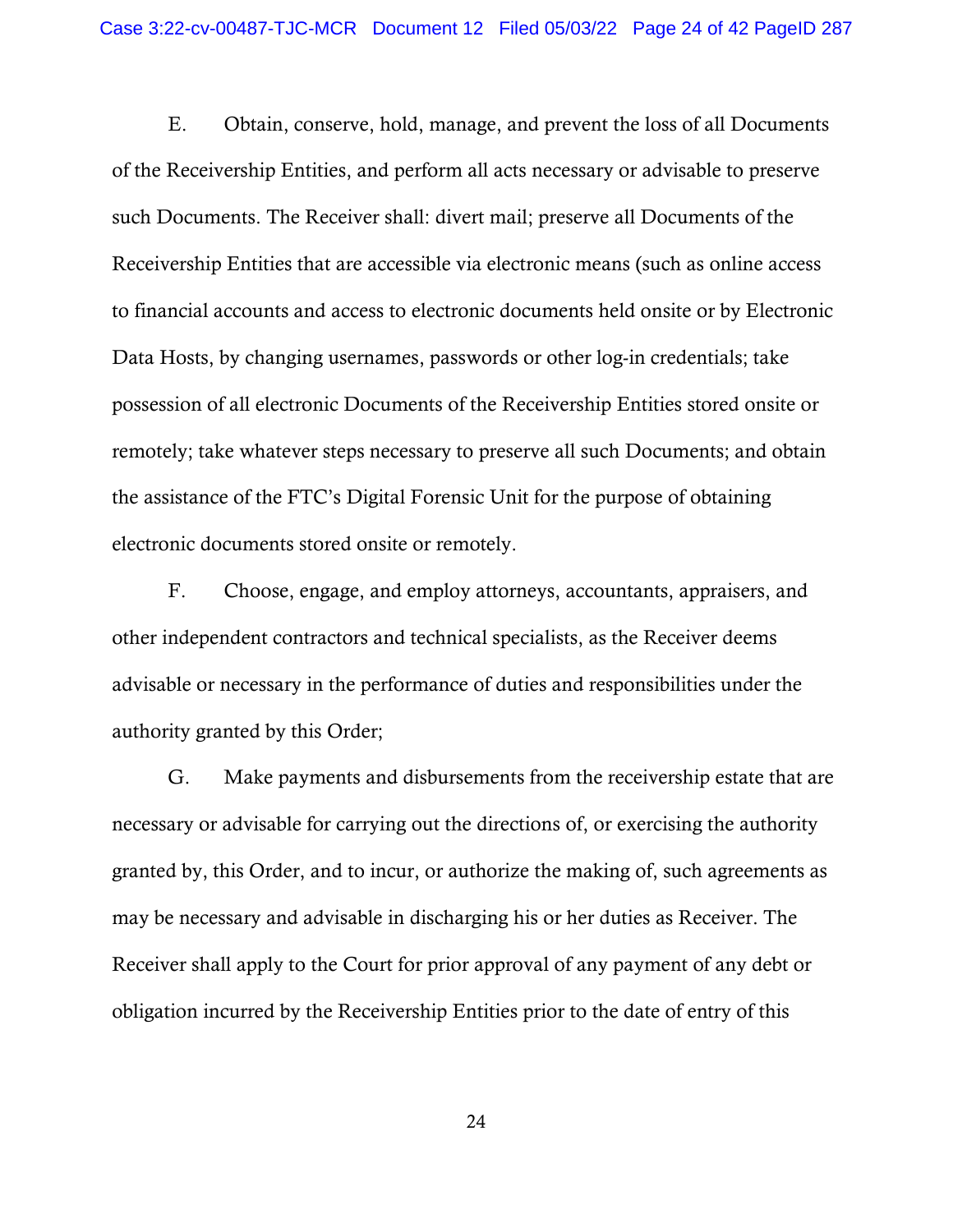E. Obtain, conserve, hold, manage, and prevent the loss of all Documents of the Receivership Entities, and perform all acts necessary or advisable to preserve such Documents. The Receiver shall: divert mail; preserve all Documents of the Receivership Entities that are accessible via electronic means (such as online access to financial accounts and access to electronic documents held onsite or by Electronic Data Hosts, by changing usernames, passwords or other log-in credentials; take possession of all electronic Documents of the Receivership Entities stored onsite or remotely; take whatever steps necessary to preserve all such Documents; and obtain the assistance of the FTC's Digital Forensic Unit for the purpose of obtaining electronic documents stored onsite or remotely.

F. Choose, engage, and employ attorneys, accountants, appraisers, and other independent contractors and technical specialists, as the Receiver deems advisable or necessary in the performance of duties and responsibilities under the authority granted by this Order;

G. Make payments and disbursements from the receivership estate that are necessary or advisable for carrying out the directions of, or exercising the authority granted by, this Order, and to incur, or authorize the making of, such agreements as may be necessary and advisable in discharging his or her duties as Receiver. The Receiver shall apply to the Court for prior approval of any payment of any debt or obligation incurred by the Receivership Entities prior to the date of entry of this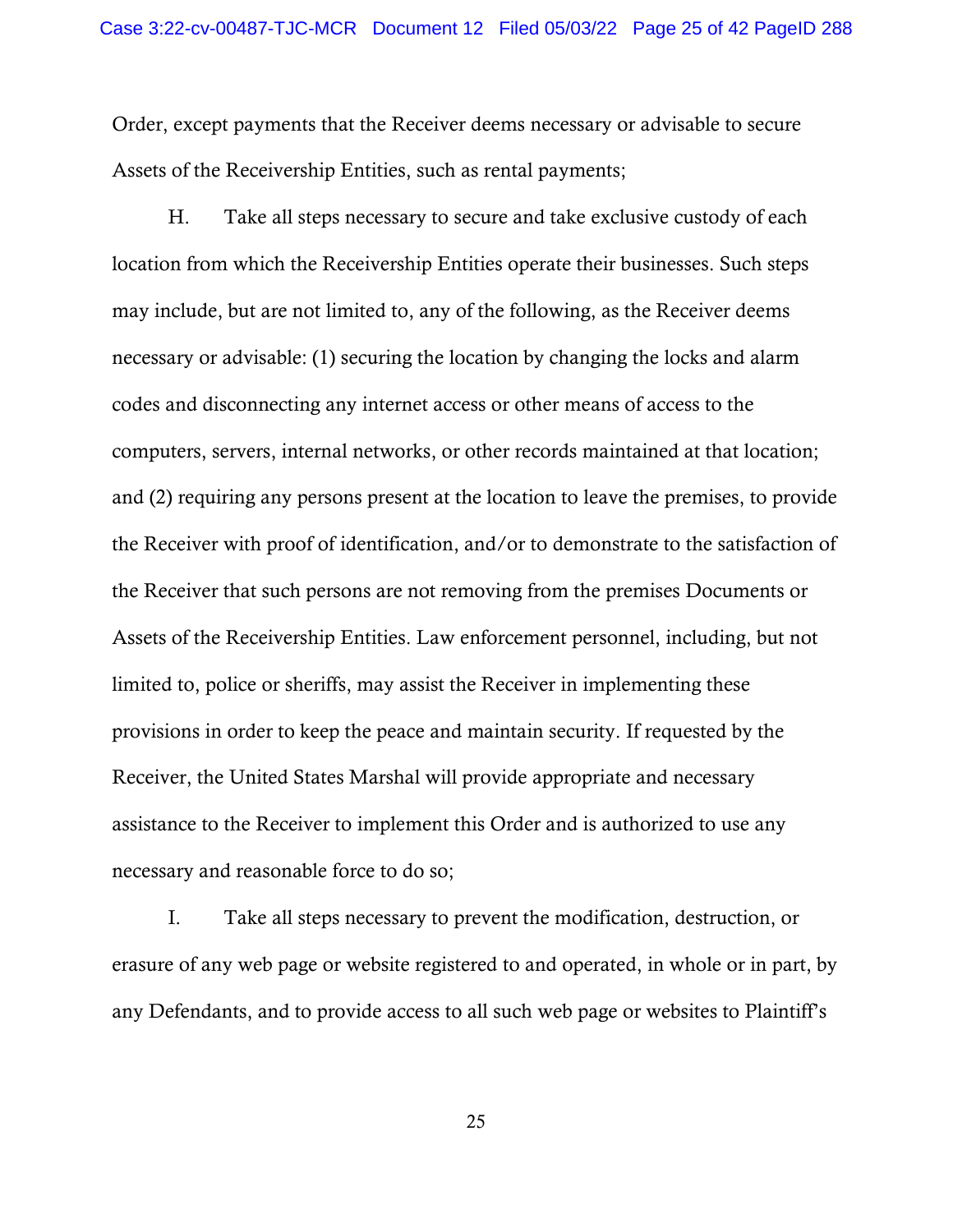Order, except payments that the Receiver deems necessary or advisable to secure Assets of the Receivership Entities, such as rental payments;

H. Take all steps necessary to secure and take exclusive custody of each location from which the Receivership Entities operate their businesses. Such steps may include, but are not limited to, any of the following, as the Receiver deems necessary or advisable: (1) securing the location by changing the locks and alarm codes and disconnecting any internet access or other means of access to the computers, servers, internal networks, or other records maintained at that location; and (2) requiring any persons present at the location to leave the premises, to provide the Receiver with proof of identification, and/or to demonstrate to the satisfaction of the Receiver that such persons are not removing from the premises Documents or Assets of the Receivership Entities. Law enforcement personnel, including, but not limited to, police or sheriffs, may assist the Receiver in implementing these provisions in order to keep the peace and maintain security. If requested by the Receiver, the United States Marshal will provide appropriate and necessary assistance to the Receiver to implement this Order and is authorized to use any necessary and reasonable force to do so;

I. Take all steps necessary to prevent the modification, destruction, or erasure of any web page or website registered to and operated, in whole or in part, by any Defendants, and to provide access to all such web page or websites to Plaintiff's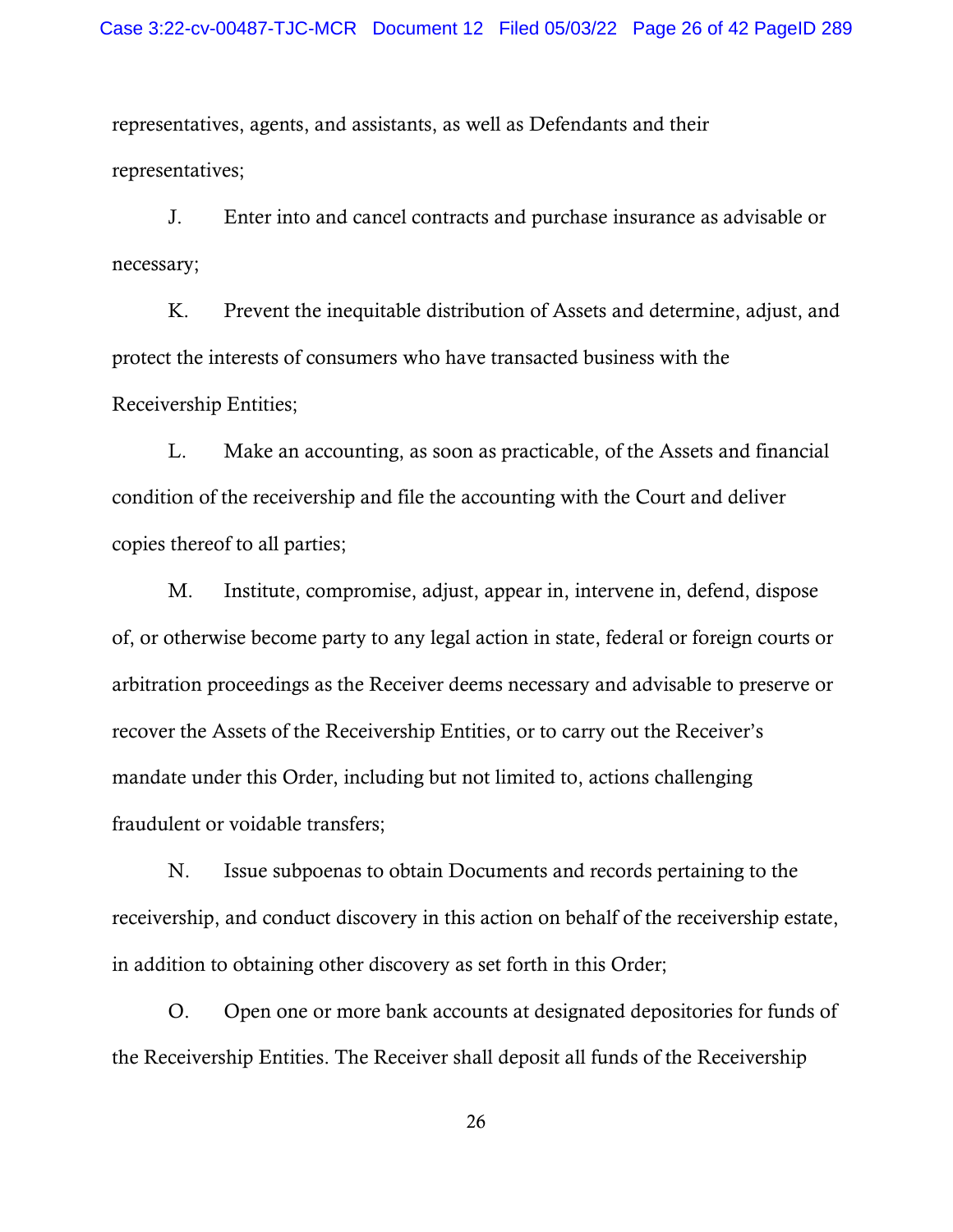representatives, agents, and assistants, as well as Defendants and their representatives;

J. Enter into and cancel contracts and purchase insurance as advisable or necessary;

K. Prevent the inequitable distribution of Assets and determine, adjust, and protect the interests of consumers who have transacted business with the Receivership Entities;

L. Make an accounting, as soon as practicable, of the Assets and financial condition of the receivership and file the accounting with the Court and deliver copies thereof to all parties;

M. Institute, compromise, adjust, appear in, intervene in, defend, dispose of, or otherwise become party to any legal action in state, federal or foreign courts or arbitration proceedings as the Receiver deems necessary and advisable to preserve or recover the Assets of the Receivership Entities, or to carry out the Receiver's mandate under this Order, including but not limited to, actions challenging fraudulent or voidable transfers;

N. Issue subpoenas to obtain Documents and records pertaining to the receivership, and conduct discovery in this action on behalf of the receivership estate, in addition to obtaining other discovery as set forth in this Order;

O. Open one or more bank accounts at designated depositories for funds of the Receivership Entities. The Receiver shall deposit all funds of the Receivership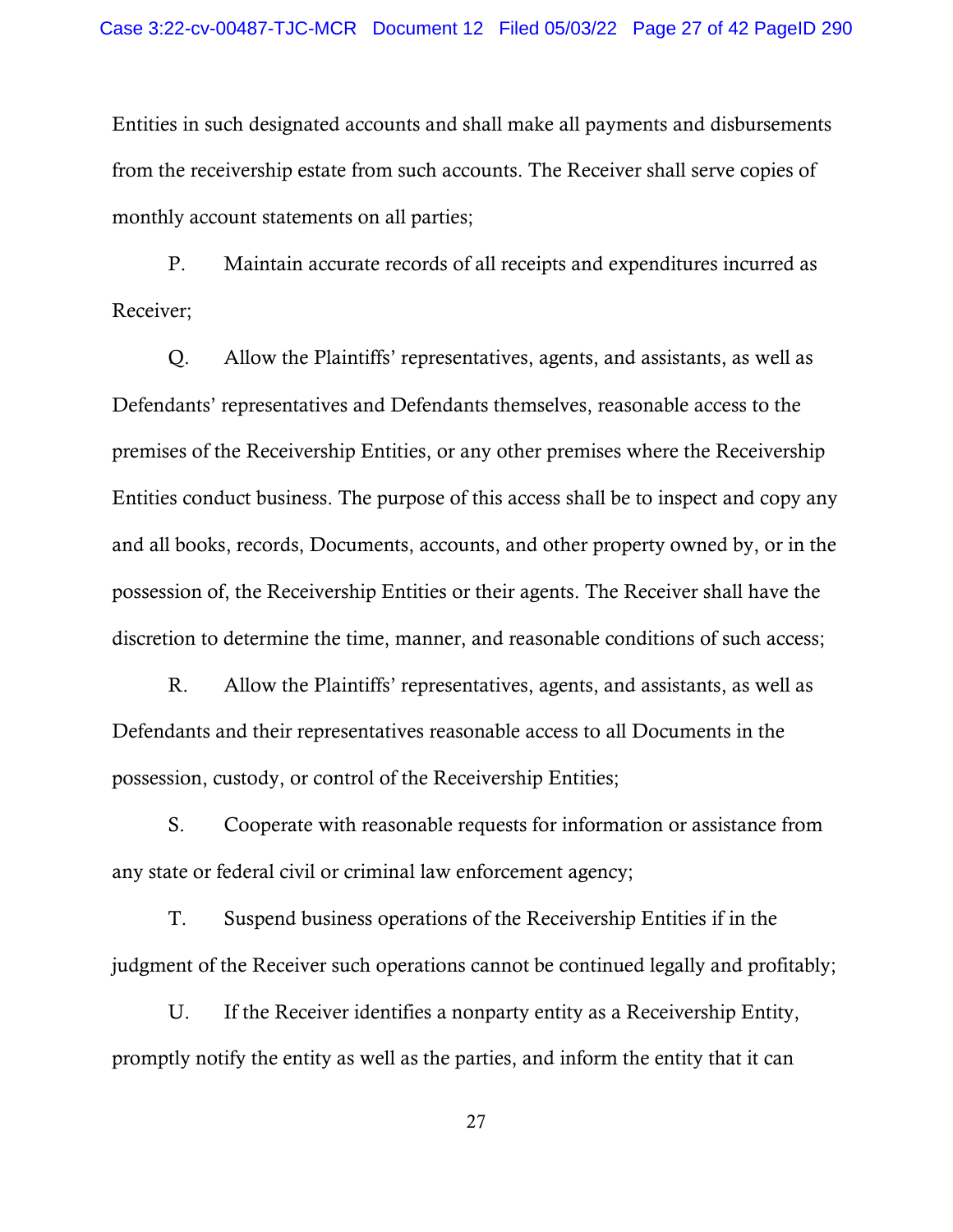Entities in such designated accounts and shall make all payments and disbursements from the receivership estate from such accounts. The Receiver shall serve copies of monthly account statements on all parties;

P. Maintain accurate records of all receipts and expenditures incurred as Receiver;

Q. Allow the Plaintiffs' representatives, agents, and assistants, as well as Defendants' representatives and Defendants themselves, reasonable access to the premises of the Receivership Entities, or any other premises where the Receivership Entities conduct business. The purpose of this access shall be to inspect and copy any and all books, records, Documents, accounts, and other property owned by, or in the possession of, the Receivership Entities or their agents. The Receiver shall have the discretion to determine the time, manner, and reasonable conditions of such access;

R. Allow the Plaintiffs' representatives, agents, and assistants, as well as Defendants and their representatives reasonable access to all Documents in the possession, custody, or control of the Receivership Entities;

S. Cooperate with reasonable requests for information or assistance from any state or federal civil or criminal law enforcement agency;

T. Suspend business operations of the Receivership Entities if in the judgment of the Receiver such operations cannot be continued legally and profitably;

U. If the Receiver identifies a nonparty entity as a Receivership Entity, promptly notify the entity as well as the parties, and inform the entity that it can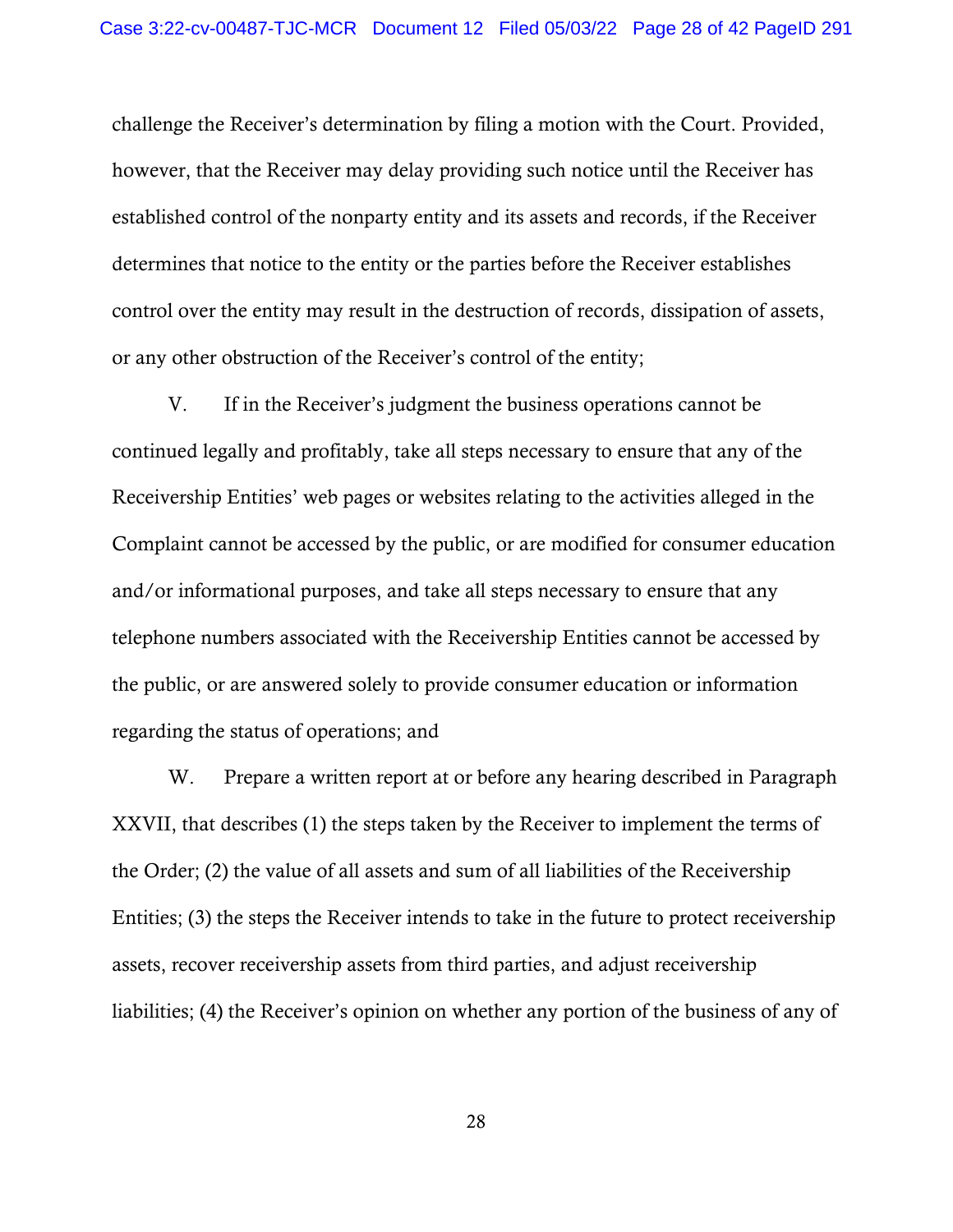challenge the Receiver's determination by filing a motion with the Court. Provided, however, that the Receiver may delay providing such notice until the Receiver has established control of the nonparty entity and its assets and records, if the Receiver determines that notice to the entity or the parties before the Receiver establishes control over the entity may result in the destruction of records, dissipation of assets, or any other obstruction of the Receiver's control of the entity;

V. If in the Receiver's judgment the business operations cannot be continued legally and profitably, take all steps necessary to ensure that any of the Receivership Entities' web pages or websites relating to the activities alleged in the Complaint cannot be accessed by the public, or are modified for consumer education and/or informational purposes, and take all steps necessary to ensure that any telephone numbers associated with the Receivership Entities cannot be accessed by the public, or are answered solely to provide consumer education or information regarding the status of operations; and

W. Prepare a written report at or before any hearing described in Paragraph XXVII, that describes (1) the steps taken by the Receiver to implement the terms of the Order; (2) the value of all assets and sum of all liabilities of the Receivership Entities; (3) the steps the Receiver intends to take in the future to protect receivership assets, recover receivership assets from third parties, and adjust receivership liabilities; (4) the Receiver's opinion on whether any portion of the business of any of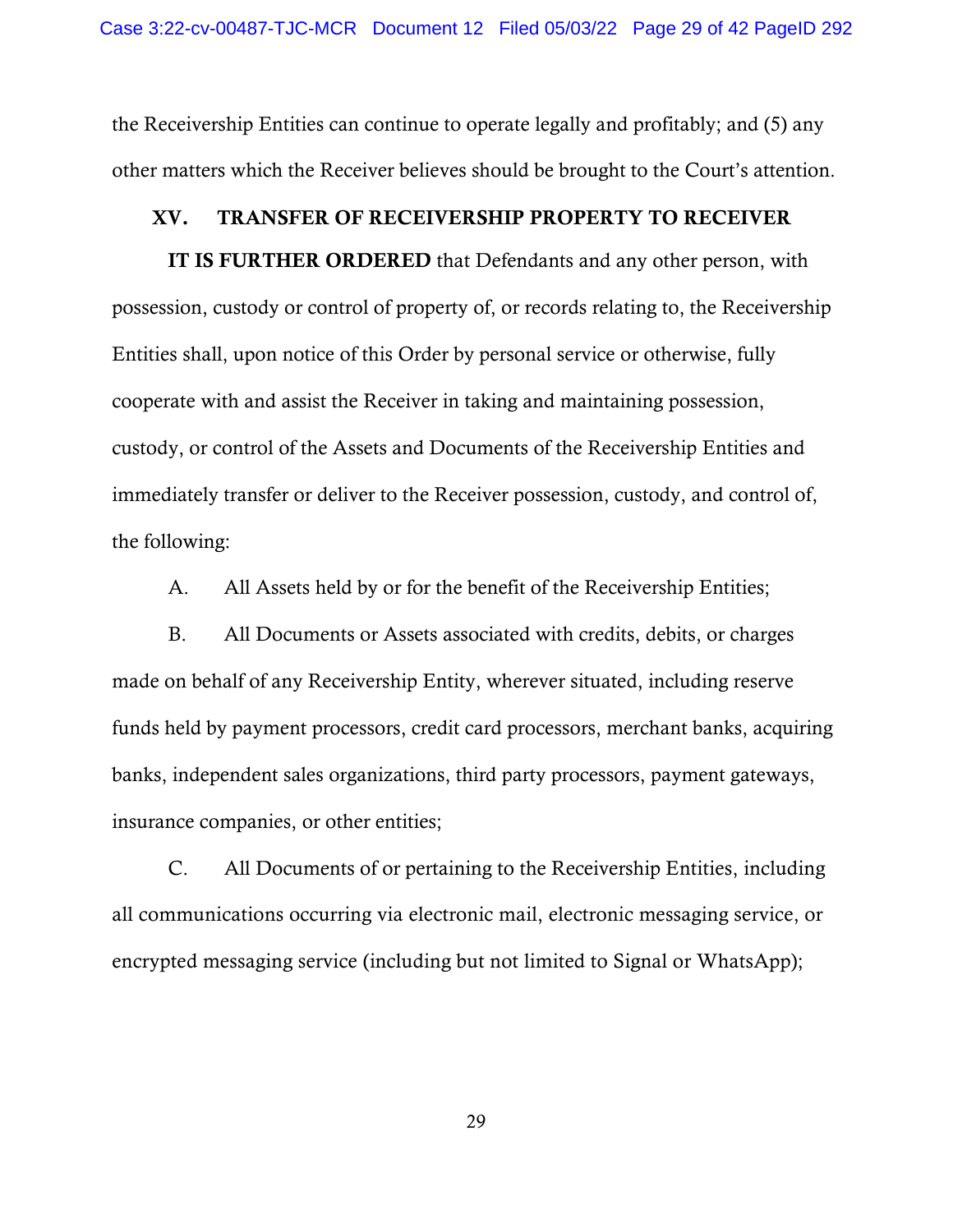the Receivership Entities can continue to operate legally and profitably; and (5) any other matters which the Receiver believes should be brought to the Court's attention.

## XV. TRANSFER OF RECEIVERSHIP PROPERTY TO RECEIVER

IT IS FURTHER ORDERED that Defendants and any other person, with possession, custody or control of property of, or records relating to, the Receivership Entities shall, upon notice of this Order by personal service or otherwise, fully cooperate with and assist the Receiver in taking and maintaining possession, custody, or control of the Assets and Documents of the Receivership Entities and immediately transfer or deliver to the Receiver possession, custody, and control of, the following:

A. All Assets held by or for the benefit of the Receivership Entities;

B. All Documents or Assets associated with credits, debits, or charges made on behalf of any Receivership Entity, wherever situated, including reserve funds held by payment processors, credit card processors, merchant banks, acquiring banks, independent sales organizations, third party processors, payment gateways, insurance companies, or other entities;

C. All Documents of or pertaining to the Receivership Entities, including all communications occurring via electronic mail, electronic messaging service, or encrypted messaging service (including but not limited to Signal or WhatsApp);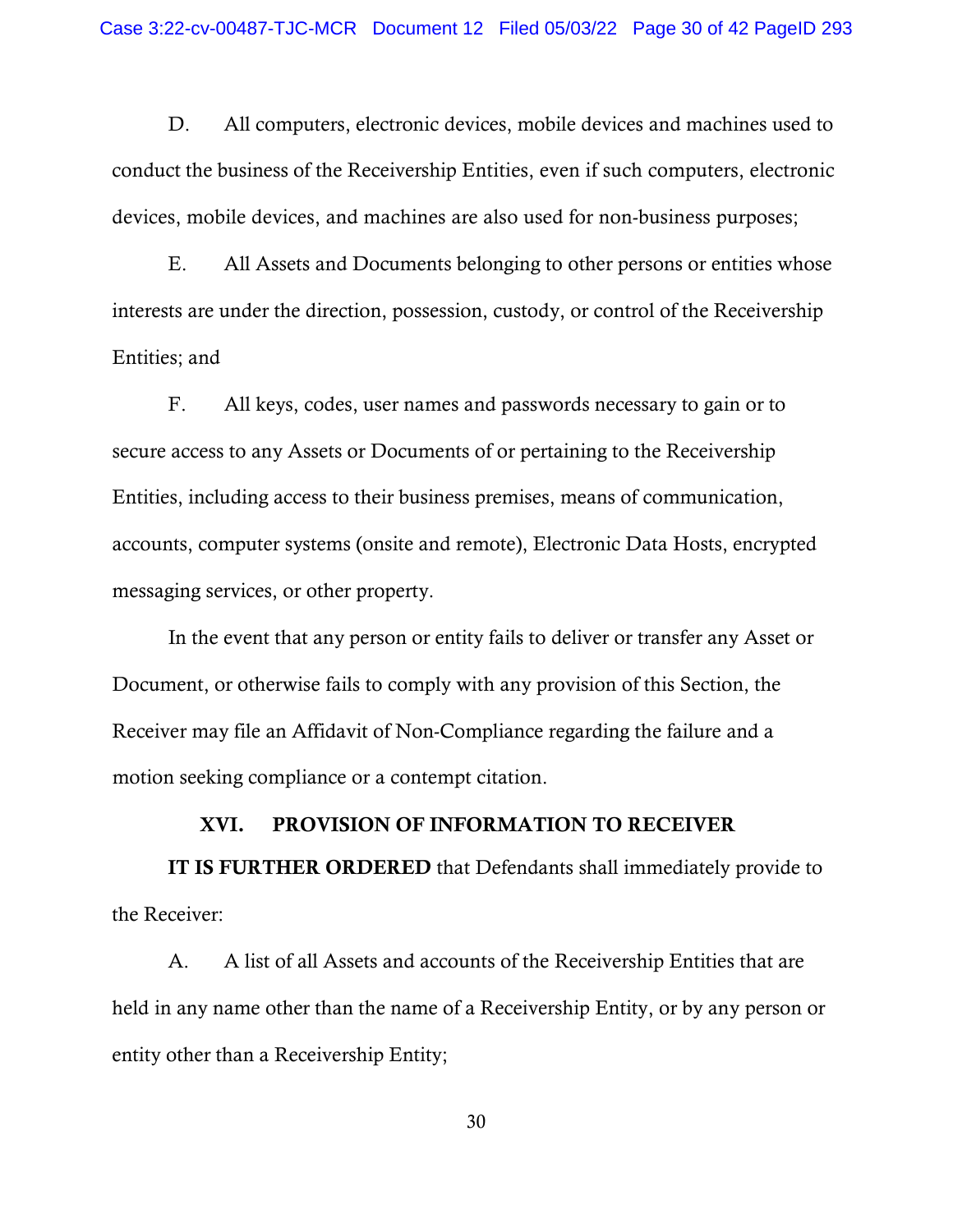D. All computers, electronic devices, mobile devices and machines used to conduct the business of the Receivership Entities, even if such computers, electronic devices, mobile devices, and machines are also used for non-business purposes;

E. All Assets and Documents belonging to other persons or entities whose interests are under the direction, possession, custody, or control of the Receivership Entities; and

F. All keys, codes, user names and passwords necessary to gain or to secure access to any Assets or Documents of or pertaining to the Receivership Entities, including access to their business premises, means of communication, accounts, computer systems (onsite and remote), Electronic Data Hosts, encrypted messaging services, or other property.

In the event that any person or entity fails to deliver or transfer any Asset or Document, or otherwise fails to comply with any provision of this Section, the Receiver may file an Affidavit of Non-Compliance regarding the failure and a motion seeking compliance or a contempt citation.

## XVI. PROVISION OF INFORMATION TO RECEIVER

IT IS FURTHER ORDERED that Defendants shall immediately provide to the Receiver:

A. A list of all Assets and accounts of the Receivership Entities that are held in any name other than the name of a Receivership Entity, or by any person or entity other than a Receivership Entity;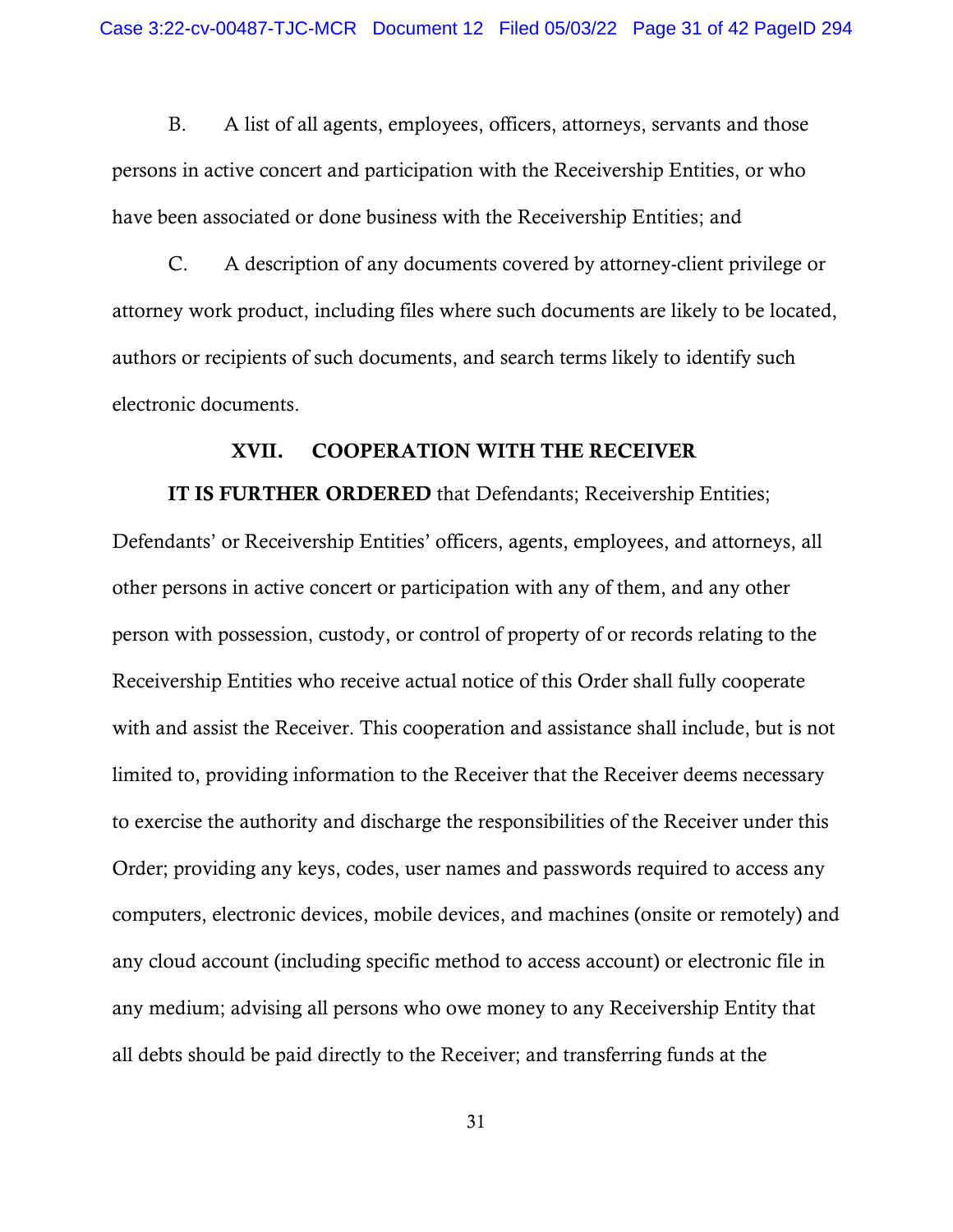B. A list of all agents, employees, officers, attorneys, servants and those persons in active concert and participation with the Receivership Entities, or who have been associated or done business with the Receivership Entities; and

C. A description of any documents covered by attorney-client privilege or attorney work product, including files where such documents are likely to be located, authors or recipients of such documents, and search terms likely to identify such electronic documents.

## XVII. COOPERATION WITH THE RECEIVER

IT IS FURTHER ORDERED that Defendants; Receivership Entities; Defendants' or Receivership Entities' officers, agents, employees, and attorneys, all other persons in active concert or participation with any of them, and any other person with possession, custody, or control of property of or records relating to the Receivership Entities who receive actual notice of this Order shall fully cooperate with and assist the Receiver. This cooperation and assistance shall include, but is not limited to, providing information to the Receiver that the Receiver deems necessary to exercise the authority and discharge the responsibilities of the Receiver under this Order; providing any keys, codes, user names and passwords required to access any computers, electronic devices, mobile devices, and machines (onsite or remotely) and any cloud account (including specific method to access account) or electronic file in

all debts should be paid directly to the Receiver; and transferring funds at the

any medium; advising all persons who owe money to any Receivership Entity that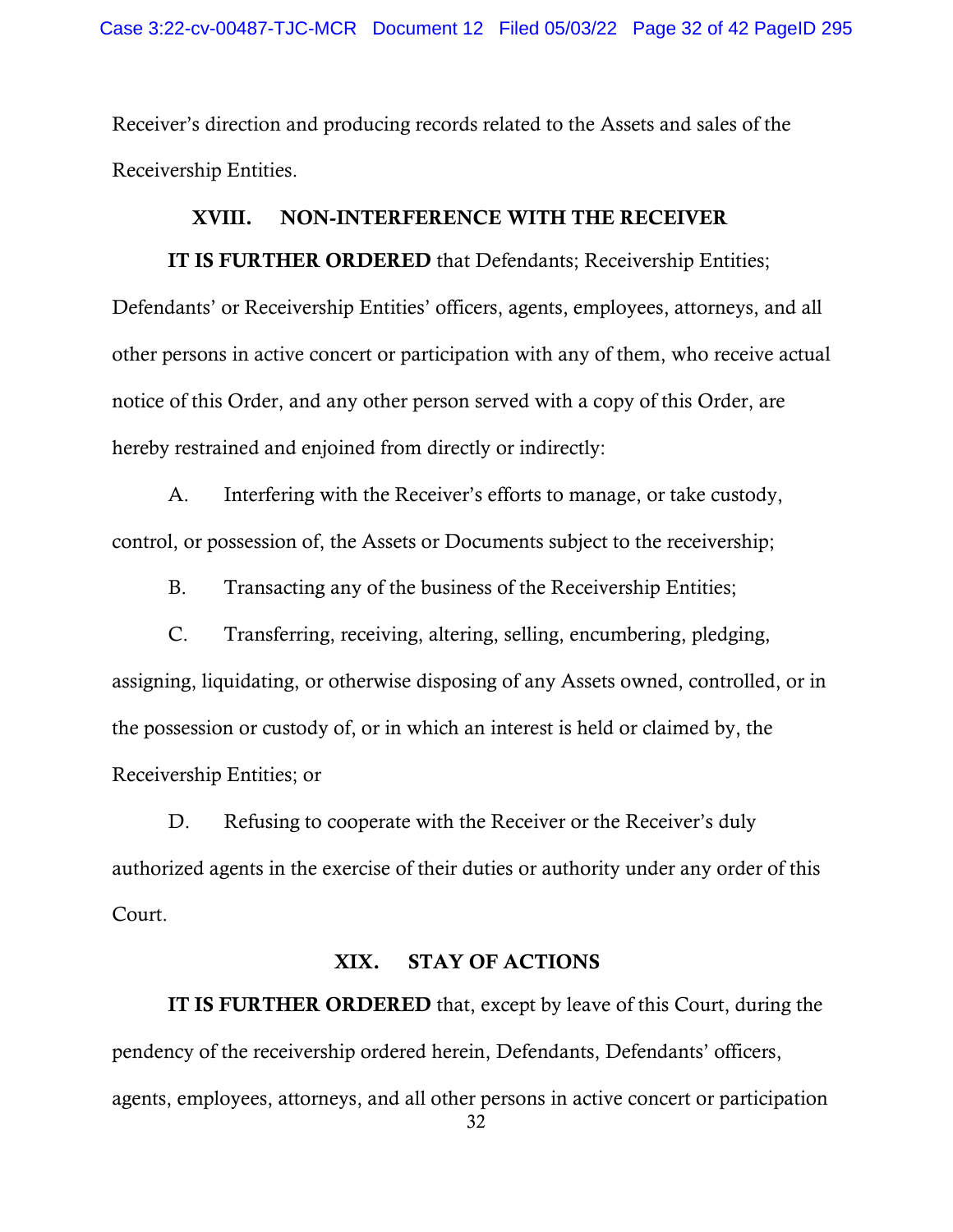Receiver's direction and producing records related to the Assets and sales of the Receivership Entities.

## XVIII. NON-INTERFERENCE WITH THE RECEIVER

IT IS FURTHER ORDERED that Defendants; Receivership Entities; Defendants' or Receivership Entities' officers, agents, employees, attorneys, and all other persons in active concert or participation with any of them, who receive actual notice of this Order, and any other person served with a copy of this Order, are hereby restrained and enjoined from directly or indirectly:

A. Interfering with the Receiver's efforts to manage, or take custody, control, or possession of, the Assets or Documents subject to the receivership;

B. Transacting any of the business of the Receivership Entities;

C. Transferring, receiving, altering, selling, encumbering, pledging, assigning, liquidating, or otherwise disposing of any Assets owned, controlled, or in the possession or custody of, or in which an interest is held or claimed by, the Receivership Entities; or

D. Refusing to cooperate with the Receiver or the Receiver's duly authorized agents in the exercise of their duties or authority under any order of this Court.

## XIX. STAY OF ACTIONS

IT IS FURTHER ORDERED that, except by leave of this Court, during the pendency of the receivership ordered herein, Defendants, Defendants' officers, agents, employees, attorneys, and all other persons in active concert or participation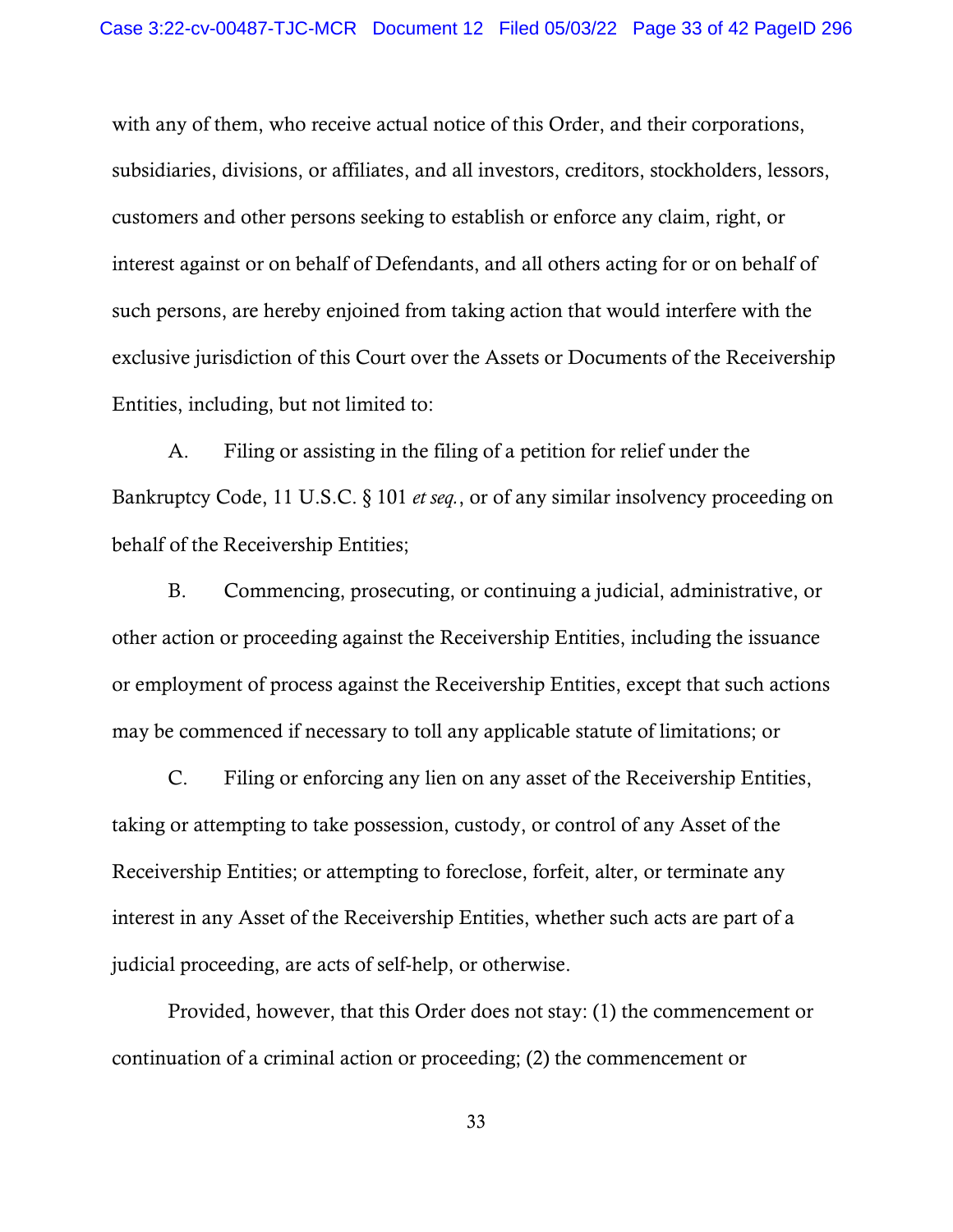with any of them, who receive actual notice of this Order, and their corporations, subsidiaries, divisions, or affiliates, and all investors, creditors, stockholders, lessors, customers and other persons seeking to establish or enforce any claim, right, or interest against or on behalf of Defendants, and all others acting for or on behalf of such persons, are hereby enjoined from taking action that would interfere with the exclusive jurisdiction of this Court over the Assets or Documents of the Receivership Entities, including, but not limited to:

A. Filing or assisting in the filing of a petition for relief under the Bankruptcy Code, 11 U.S.C. § 101 *et seq.*, or of any similar insolvency proceeding on behalf of the Receivership Entities;

B. Commencing, prosecuting, or continuing a judicial, administrative, or other action or proceeding against the Receivership Entities, including the issuance or employment of process against the Receivership Entities, except that such actions may be commenced if necessary to toll any applicable statute of limitations; or

C. Filing or enforcing any lien on any asset of the Receivership Entities, taking or attempting to take possession, custody, or control of any Asset of the Receivership Entities; or attempting to foreclose, forfeit, alter, or terminate any interest in any Asset of the Receivership Entities, whether such acts are part of a judicial proceeding, are acts of self-help, or otherwise.

Provided, however, that this Order does not stay: (1) the commencement or continuation of a criminal action or proceeding; (2) the commencement or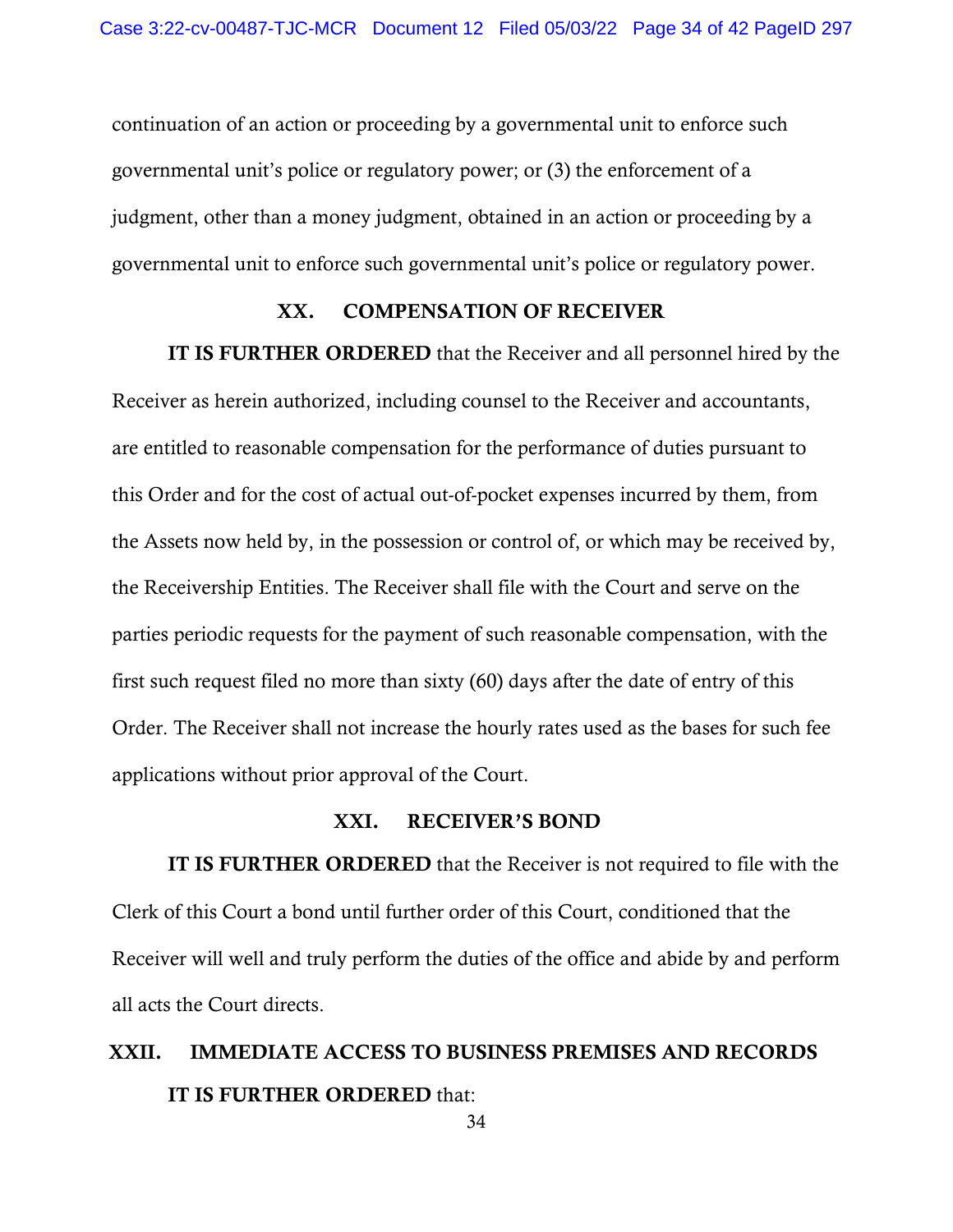continuation of an action or proceeding by a governmental unit to enforce such governmental unit's police or regulatory power; or (3) the enforcement of a judgment, other than a money judgment, obtained in an action or proceeding by a governmental unit to enforce such governmental unit's police or regulatory power.

## XX. COMPENSATION OF RECEIVER

IT IS FURTHER ORDERED that the Receiver and all personnel hired by the Receiver as herein authorized, including counsel to the Receiver and accountants, are entitled to reasonable compensation for the performance of duties pursuant to this Order and for the cost of actual out-of-pocket expenses incurred by them, from the Assets now held by, in the possession or control of, or which may be received by, the Receivership Entities. The Receiver shall file with the Court and serve on the parties periodic requests for the payment of such reasonable compensation, with the first such request filed no more than sixty (60) days after the date of entry of this Order. The Receiver shall not increase the hourly rates used as the bases for such fee applications without prior approval of the Court.

## XXI. RECEIVER'S BOND

IT IS FURTHER ORDERED that the Receiver is not required to file with the Clerk of this Court a bond until further order of this Court, conditioned that the Receiver will well and truly perform the duties of the office and abide by and perform all acts the Court directs.

# XXII. IMMEDIATE ACCESS TO BUSINESS PREMISES AND RECORDS IT IS FURTHER ORDERED that: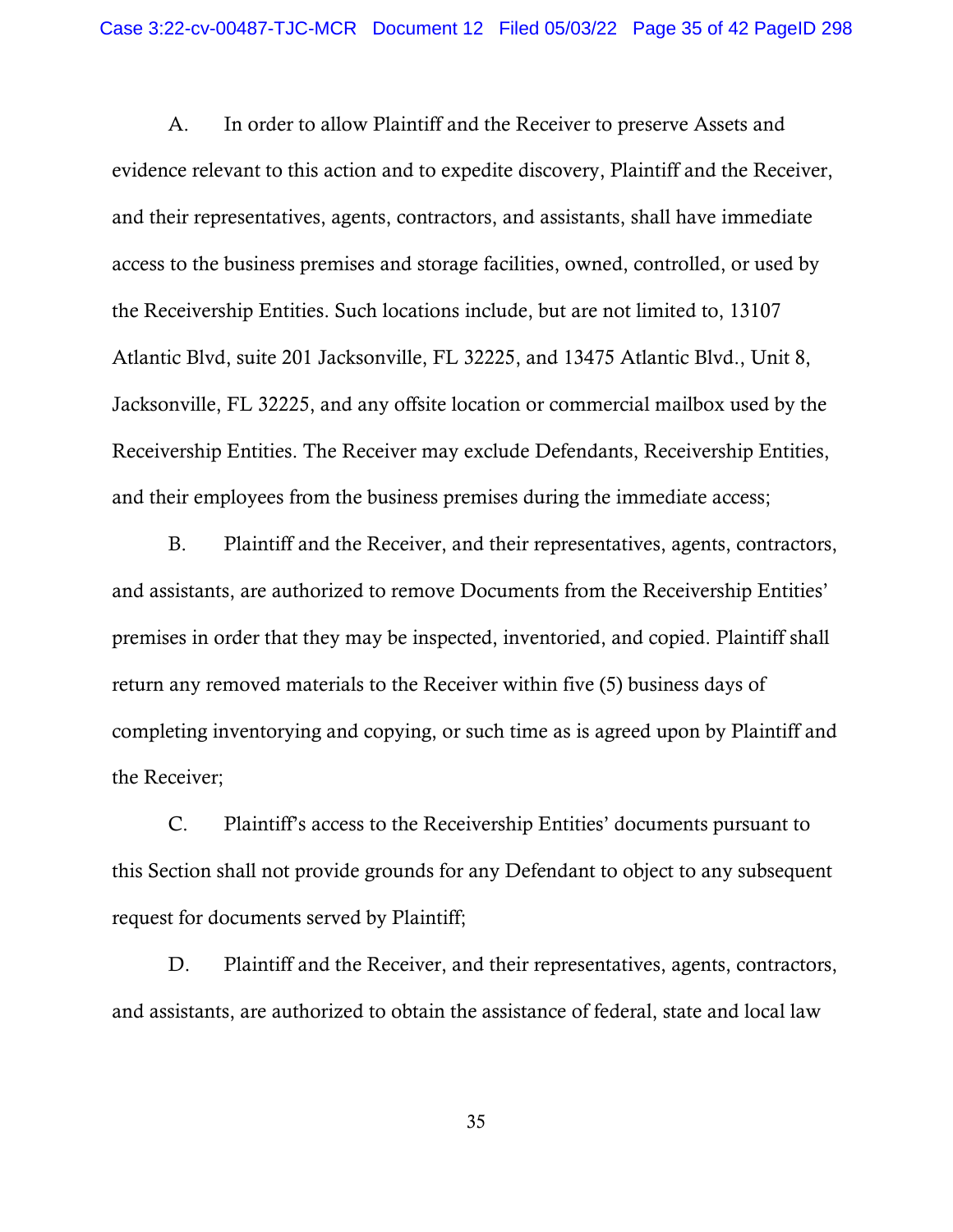A. In order to allow Plaintiff and the Receiver to preserve Assets and evidence relevant to this action and to expedite discovery, Plaintiff and the Receiver, and their representatives, agents, contractors, and assistants, shall have immediate access to the business premises and storage facilities, owned, controlled, or used by the Receivership Entities. Such locations include, but are not limited to, 13107 Atlantic Blvd, suite 201 Jacksonville, FL 32225, and 13475 Atlantic Blvd., Unit 8, Jacksonville, FL 32225, and any offsite location or commercial mailbox used by the Receivership Entities. The Receiver may exclude Defendants, Receivership Entities, and their employees from the business premises during the immediate access;

B. Plaintiff and the Receiver, and their representatives, agents, contractors, and assistants, are authorized to remove Documents from the Receivership Entities' premises in order that they may be inspected, inventoried, and copied. Plaintiff shall return any removed materials to the Receiver within five (5) business days of completing inventorying and copying, or such time as is agreed upon by Plaintiff and the Receiver;

C. Plaintiff's access to the Receivership Entities' documents pursuant to this Section shall not provide grounds for any Defendant to object to any subsequent request for documents served by Plaintiff;

D. Plaintiff and the Receiver, and their representatives, agents, contractors, and assistants, are authorized to obtain the assistance of federal, state and local law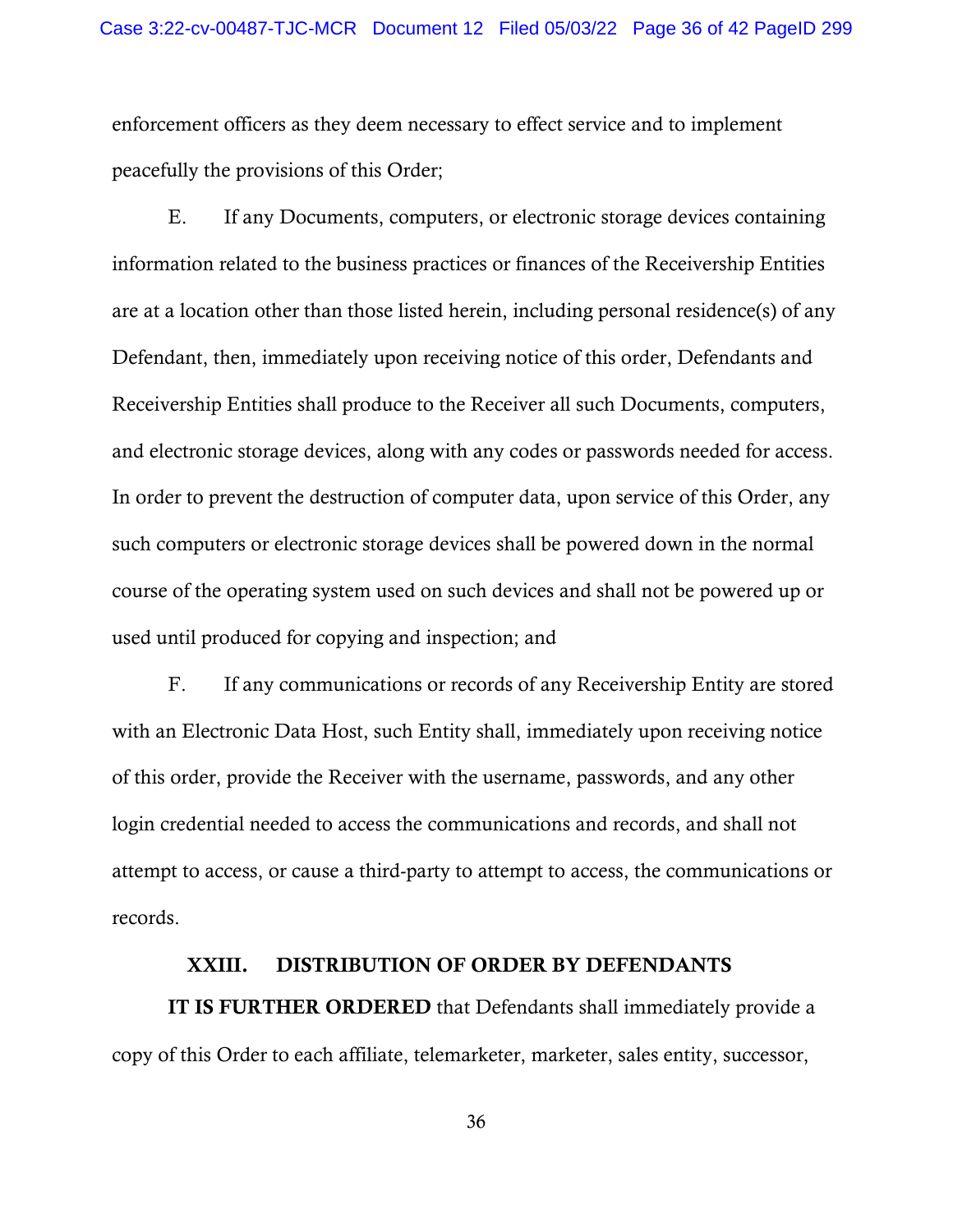enforcement officers as they deem necessary to effect service and to implement peacefully the provisions of this Order;

E. If any Documents, computers, or electronic storage devices containing information related to the business practices or finances of the Receivership Entities are at a location other than those listed herein, including personal residence(s) of any Defendant, then, immediately upon receiving notice of this order, Defendants and Receivership Entities shall produce to the Receiver all such Documents, computers, and electronic storage devices, along with any codes or passwords needed for access. In order to prevent the destruction of computer data, upon service of this Order, any such computers or electronic storage devices shall be powered down in the normal course of the operating system used on such devices and shall not be powered up or used until produced for copying and inspection; and

F. If any communications or records of any Receivership Entity are stored with an Electronic Data Host, such Entity shall, immediately upon receiving notice of this order, provide the Receiver with the username, passwords, and any other login credential needed to access the communications and records, and shall not attempt to access, or cause a third-party to attempt to access, the communications or records.

#### XXIII. DISTRIBUTION OF ORDER BY DEFENDANTS

IT IS FURTHER ORDERED that Defendants shall immediately provide a copy of this Order to each affiliate, telemarketer, marketer, sales entity, successor,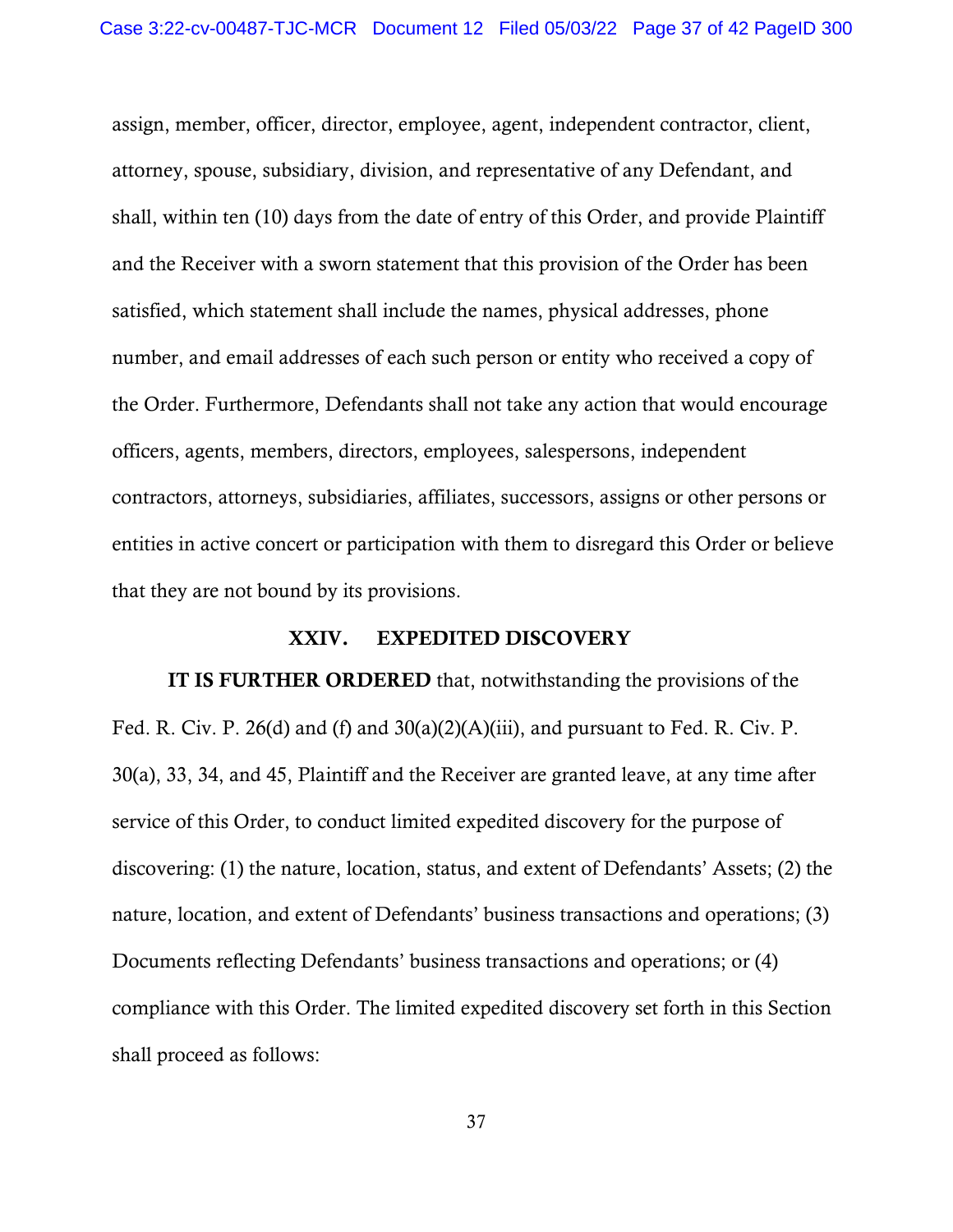assign, member, officer, director, employee, agent, independent contractor, client, attorney, spouse, subsidiary, division, and representative of any Defendant, and shall, within ten (10) days from the date of entry of this Order, and provide Plaintiff and the Receiver with a sworn statement that this provision of the Order has been satisfied, which statement shall include the names, physical addresses, phone number, and email addresses of each such person or entity who received a copy of the Order. Furthermore, Defendants shall not take any action that would encourage officers, agents, members, directors, employees, salespersons, independent contractors, attorneys, subsidiaries, affiliates, successors, assigns or other persons or entities in active concert or participation with them to disregard this Order or believe that they are not bound by its provisions.

# XXIV. EXPEDITED DISCOVERY

IT IS FURTHER ORDERED that, notwithstanding the provisions of the Fed. R. Civ. P. 26(d) and (f) and  $30(a)(2)(A)(iii)$ , and pursuant to Fed. R. Civ. P. 30(a), 33, 34, and 45, Plaintiff and the Receiver are granted leave, at any time after service of this Order, to conduct limited expedited discovery for the purpose of discovering: (1) the nature, location, status, and extent of Defendants' Assets; (2) the nature, location, and extent of Defendants' business transactions and operations; (3) Documents reflecting Defendants' business transactions and operations; or (4) compliance with this Order. The limited expedited discovery set forth in this Section shall proceed as follows: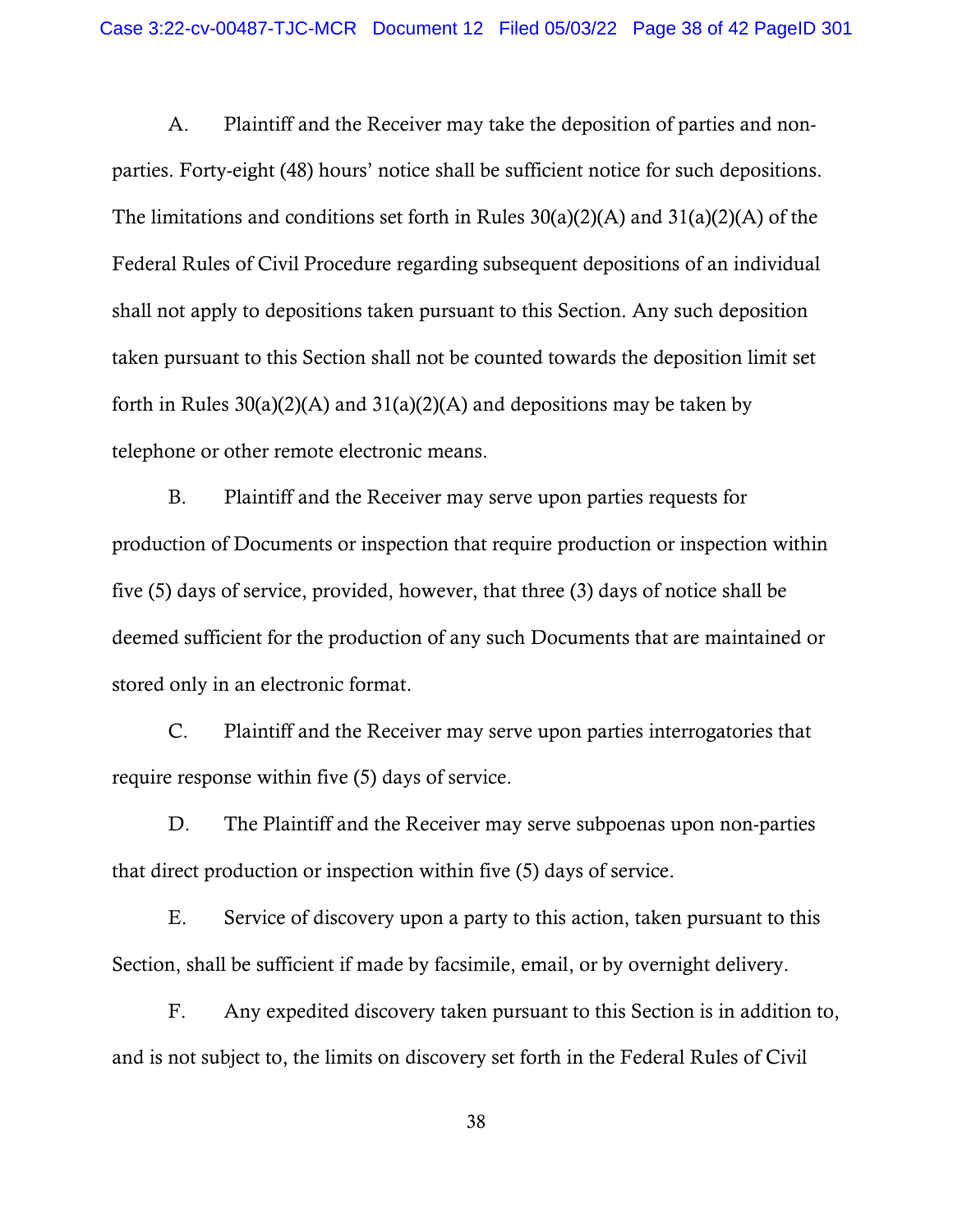A. Plaintiff and the Receiver may take the deposition of parties and nonparties. Forty-eight (48) hours' notice shall be sufficient notice for such depositions. The limitations and conditions set forth in Rules  $30(a)(2)(A)$  and  $31(a)(2)(A)$  of the Federal Rules of Civil Procedure regarding subsequent depositions of an individual shall not apply to depositions taken pursuant to this Section. Any such deposition taken pursuant to this Section shall not be counted towards the deposition limit set forth in Rules  $30(a)(2)(A)$  and  $31(a)(2)(A)$  and depositions may be taken by telephone or other remote electronic means.

B. Plaintiff and the Receiver may serve upon parties requests for production of Documents or inspection that require production or inspection within five (5) days of service, provided, however, that three (3) days of notice shall be deemed sufficient for the production of any such Documents that are maintained or stored only in an electronic format.

C. Plaintiff and the Receiver may serve upon parties interrogatories that require response within five (5) days of service.

D. The Plaintiff and the Receiver may serve subpoenas upon non-parties that direct production or inspection within five (5) days of service.

E. Service of discovery upon a party to this action, taken pursuant to this Section, shall be sufficient if made by facsimile, email, or by overnight delivery.

F. Any expedited discovery taken pursuant to this Section is in addition to, and is not subject to, the limits on discovery set forth in the Federal Rules of Civil

38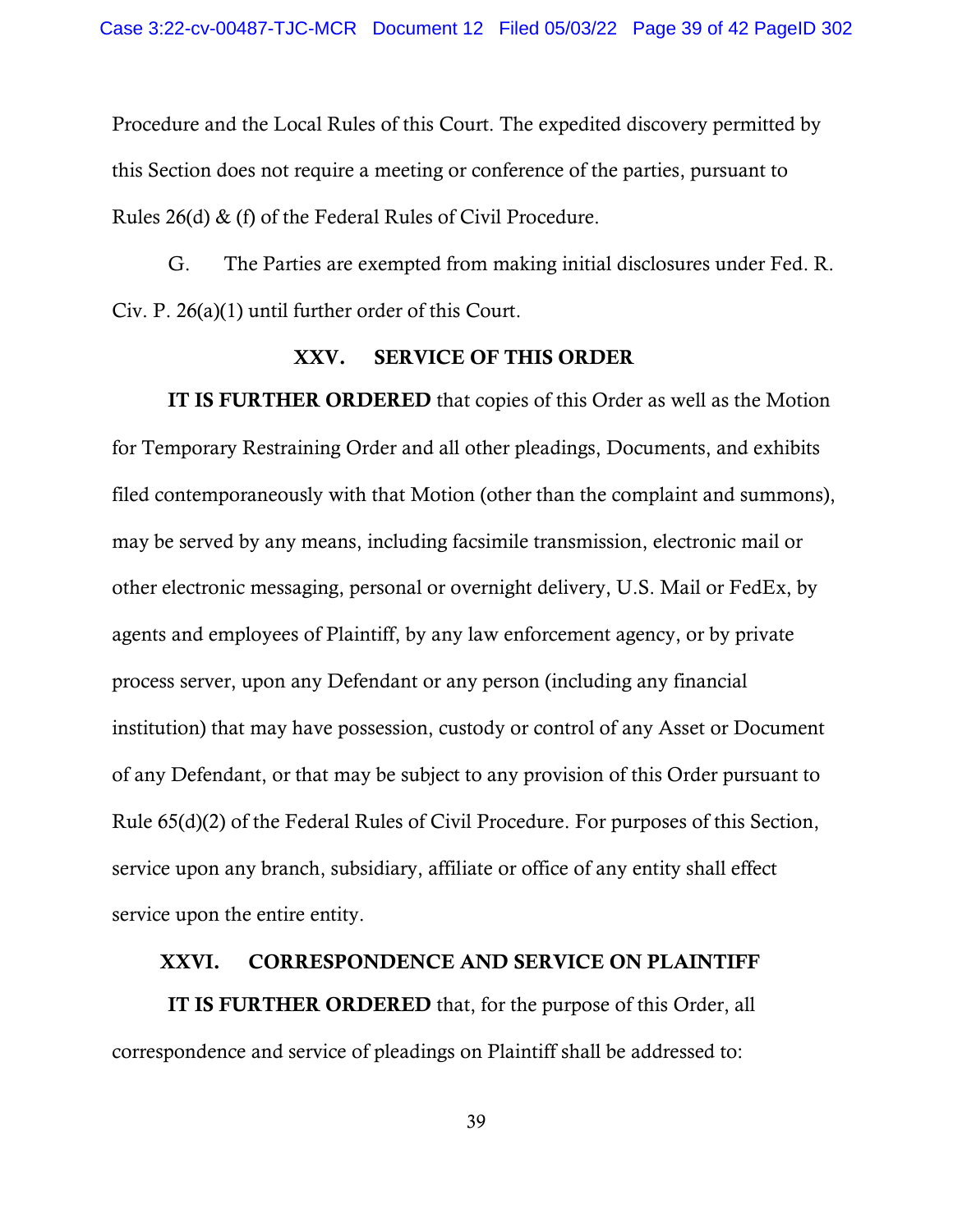Procedure and the Local Rules of this Court. The expedited discovery permitted by this Section does not require a meeting or conference of the parties, pursuant to Rules 26(d) & (f) of the Federal Rules of Civil Procedure.

G. The Parties are exempted from making initial disclosures under Fed. R. Civ. P. 26(a)(1) until further order of this Court.

# XXV. SERVICE OF THIS ORDER

IT IS FURTHER ORDERED that copies of this Order as well as the Motion for Temporary Restraining Order and all other pleadings, Documents, and exhibits filed contemporaneously with that Motion (other than the complaint and summons), may be served by any means, including facsimile transmission, electronic mail or other electronic messaging, personal or overnight delivery, U.S. Mail or FedEx, by agents and employees of Plaintiff, by any law enforcement agency, or by private process server, upon any Defendant or any person (including any financial institution) that may have possession, custody or control of any Asset or Document of any Defendant, or that may be subject to any provision of this Order pursuant to Rule 65(d)(2) of the Federal Rules of Civil Procedure. For purposes of this Section, service upon any branch, subsidiary, affiliate or office of any entity shall effect service upon the entire entity.

# XXVI. CORRESPONDENCE AND SERVICE ON PLAINTIFF

IT IS FURTHER ORDERED that, for the purpose of this Order, all correspondence and service of pleadings on Plaintiff shall be addressed to: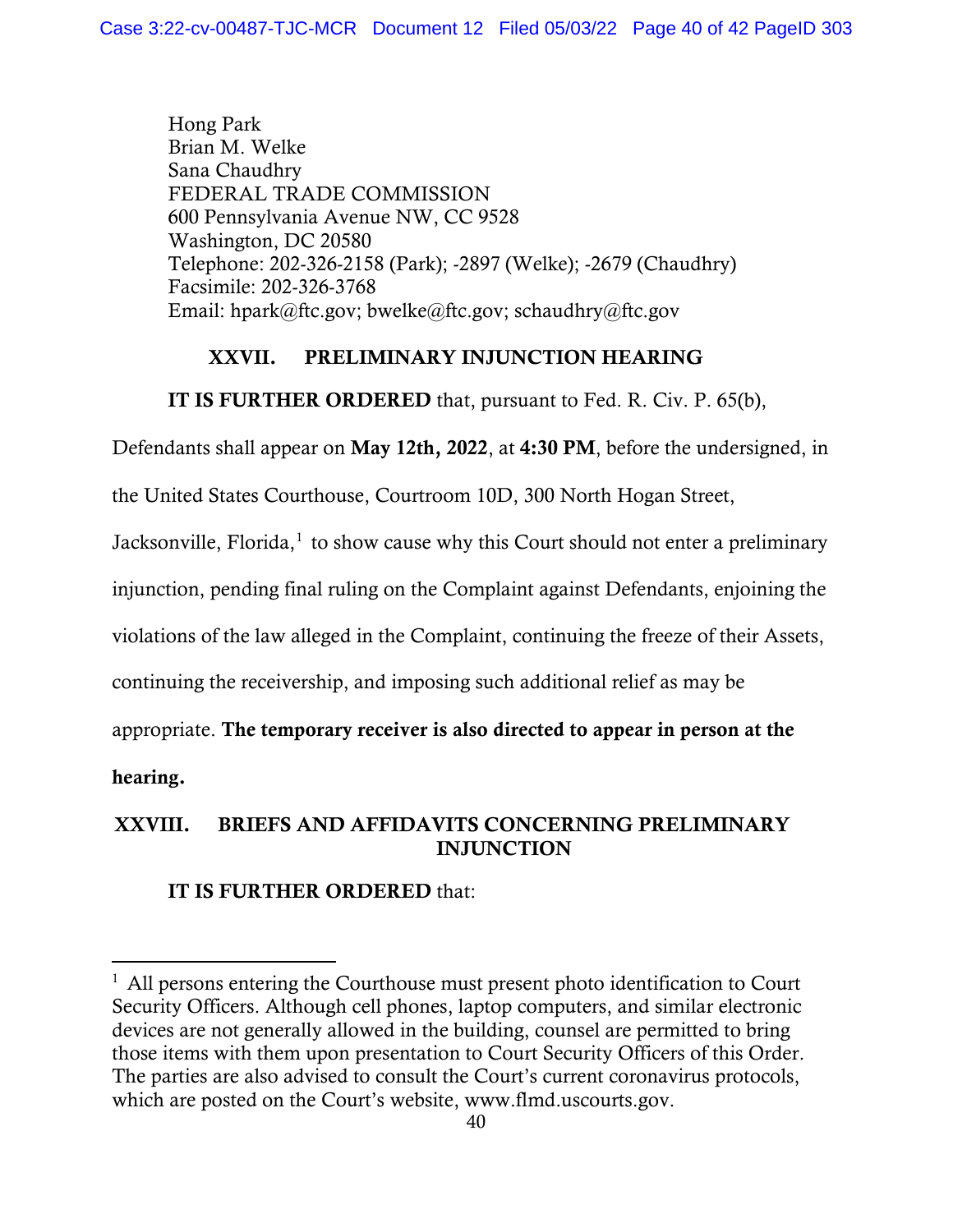Hong Park Brian M. Welke Sana Chaudhry FEDERAL TRADE COMMISSION 600 Pennsylvania Avenue NW, CC 9528 Washington, DC 20580 Telephone: 202-326-2158 (Park); -2897 (Welke); -2679 (Chaudhry) Facsimile: 202-326-3768 Email: hpark@ftc.gov; bwelke@ftc.gov; schaudhry@ftc.gov

# XXVII. PRELIMINARY INJUNCTION HEARING

IT IS FURTHER ORDERED that, pursuant to Fed. R. Civ. P. 65(b),

Defendants shall appear on May 12th, 2022, at 4:30 PM, before the undersigned, in

the United States Courthouse, Courtroom 10D, 300 North Hogan Street,

Jacksonville, Florida,<sup>1</sup> to show cause why this Court should not enter a preliminary

injunction, pending final ruling on the Complaint against Defendants, enjoining the

violations of the law alleged in the Complaint, continuing the freeze of their Assets,

continuing the receivership, and imposing such additional relief as may be

appropriate. The temporary receiver is also directed to appear in person at the

hearing.

# XXVIII. BRIEFS AND AFFIDAVITS CONCERNING PRELIMINARY INJUNCTION

# IT IS FURTHER ORDERED that:

 $<sup>1</sup>$  All persons entering the Courthouse must present photo identification to Court</sup> Security Officers. Although cell phones, laptop computers, and similar electronic devices are not generally allowed in the building, counsel are permitted to bring those items with them upon presentation to Court Security Officers of this Order. The parties are also advised to consult the Court's current coronavirus protocols, which are posted on the Court's website, www.flmd.uscourts.gov.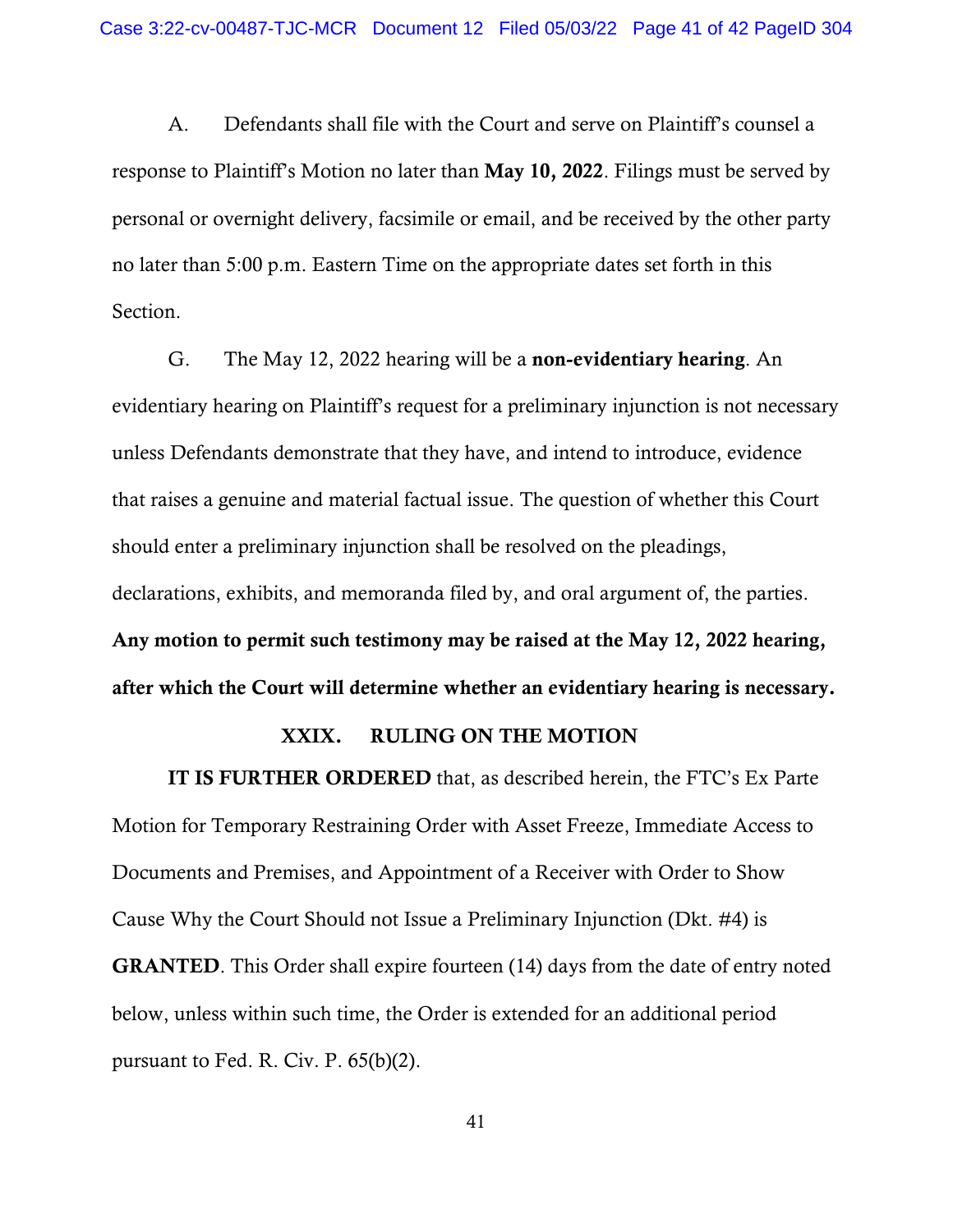A. Defendants shall file with the Court and serve on Plaintiff's counsel a response to Plaintiff's Motion no later than May 10, 2022. Filings must be served by personal or overnight delivery, facsimile or email, and be received by the other party no later than 5:00 p.m. Eastern Time on the appropriate dates set forth in this Section.

G. The May 12, 2022 hearing will be a non-evidentiary hearing. An evidentiary hearing on Plaintiff's request for a preliminary injunction is not necessary unless Defendants demonstrate that they have, and intend to introduce, evidence that raises a genuine and material factual issue. The question of whether this Court should enter a preliminary injunction shall be resolved on the pleadings, declarations, exhibits, and memoranda filed by, and oral argument of, the parties. Any motion to permit such testimony may be raised at the May 12, 2022 hearing, after which the Court will determine whether an evidentiary hearing is necessary.

# XXIX. RULING ON THE MOTION

IT IS FURTHER ORDERED that, as described herein, the FTC's Ex Parte Motion for Temporary Restraining Order with Asset Freeze, Immediate Access to Documents and Premises, and Appointment of a Receiver with Order to Show Cause Why the Court Should not Issue a Preliminary Injunction (Dkt. #4) is GRANTED. This Order shall expire fourteen (14) days from the date of entry noted below, unless within such time, the Order is extended for an additional period pursuant to Fed. R. Civ. P. 65(b)(2).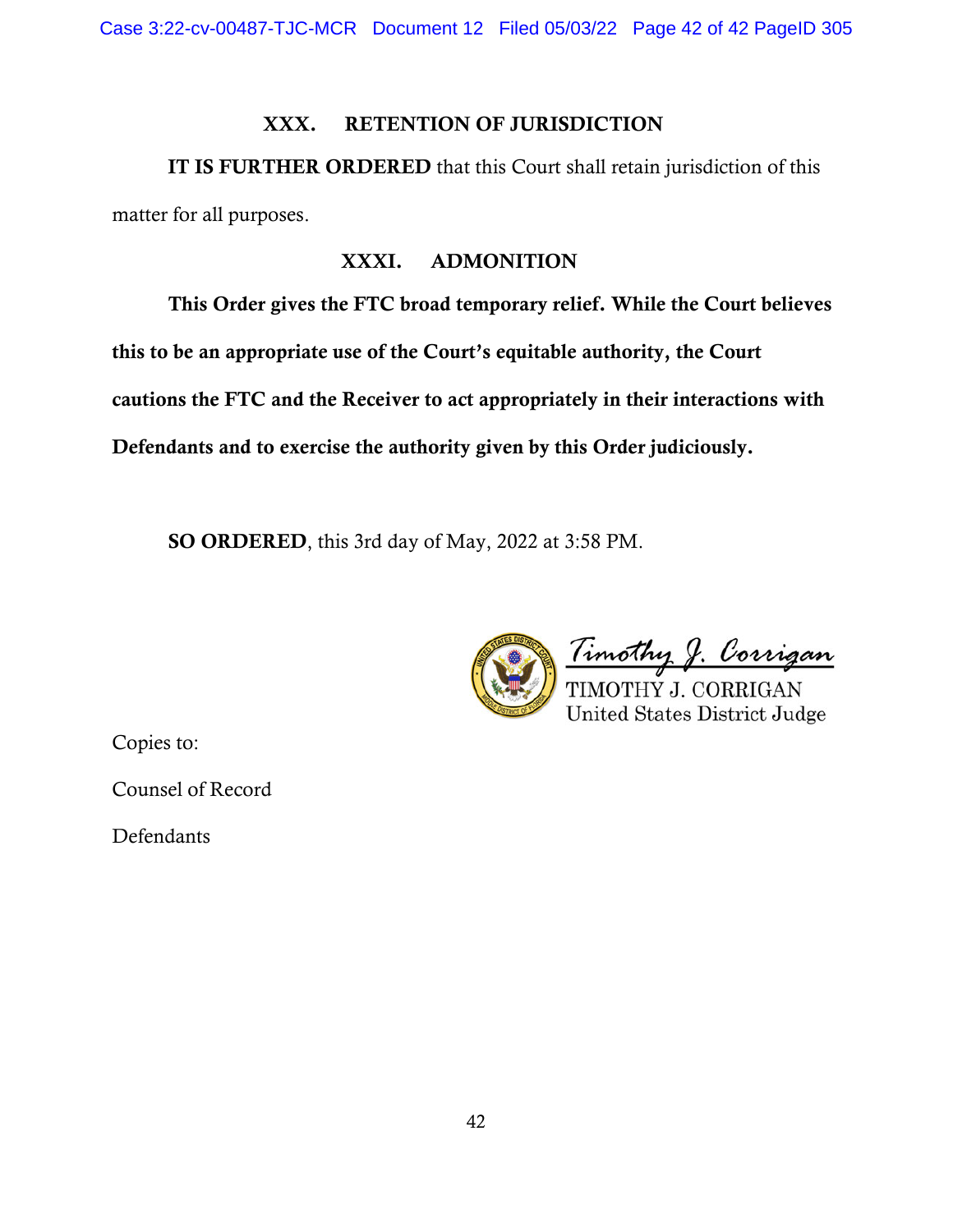Case 3:22-cv-00487-TJC-MCR Document 12 Filed 05/03/22 Page 42 of 42 PageID 305

# XXX. RETENTION OF JURISDICTION

IT IS FURTHER ORDERED that this Court shall retain jurisdiction of this matter for all purposes.

# XXXI. ADMONITION

This Order gives the FTC broad temporary relief. While the Court believes this to be an appropriate use of the Court's equitable authority, the Court cautions the FTC and the Receiver to act appropriately in their interactions with Defendants and to exercise the authority given by this Order judiciously.

SO ORDERED, this 3rd day of May, 2022 at 3:58 PM.

<u>Timothy J. Corrigan</u> TIMOTHY J. CORRIGAN **United States District Judge** 

Copies to:

Counsel of Record

Defendants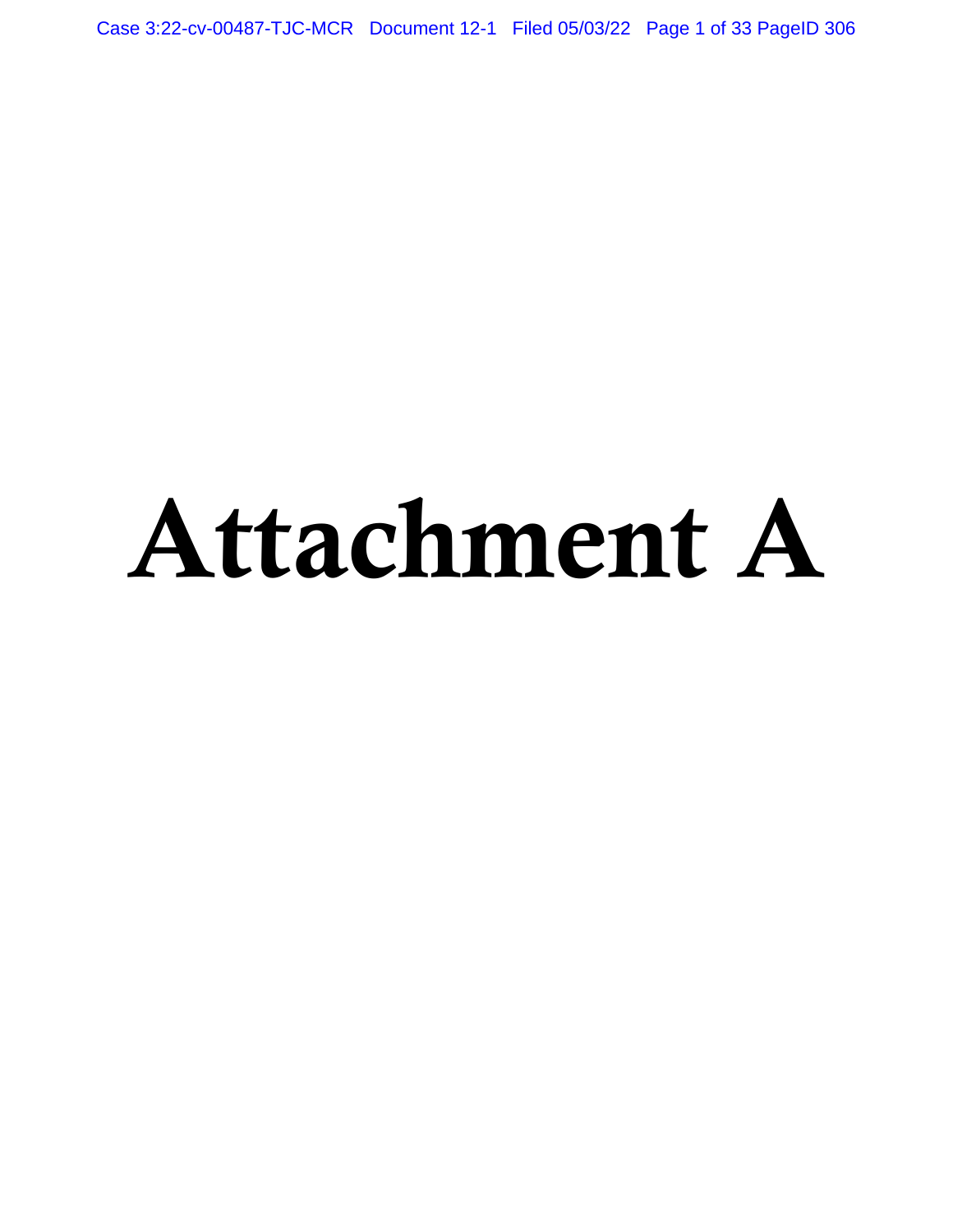Case 3:22-cv-00487-TJC-MCR Document 12-1 Filed 05/03/22 Page 1 of 33 PageID 306

# Attachment A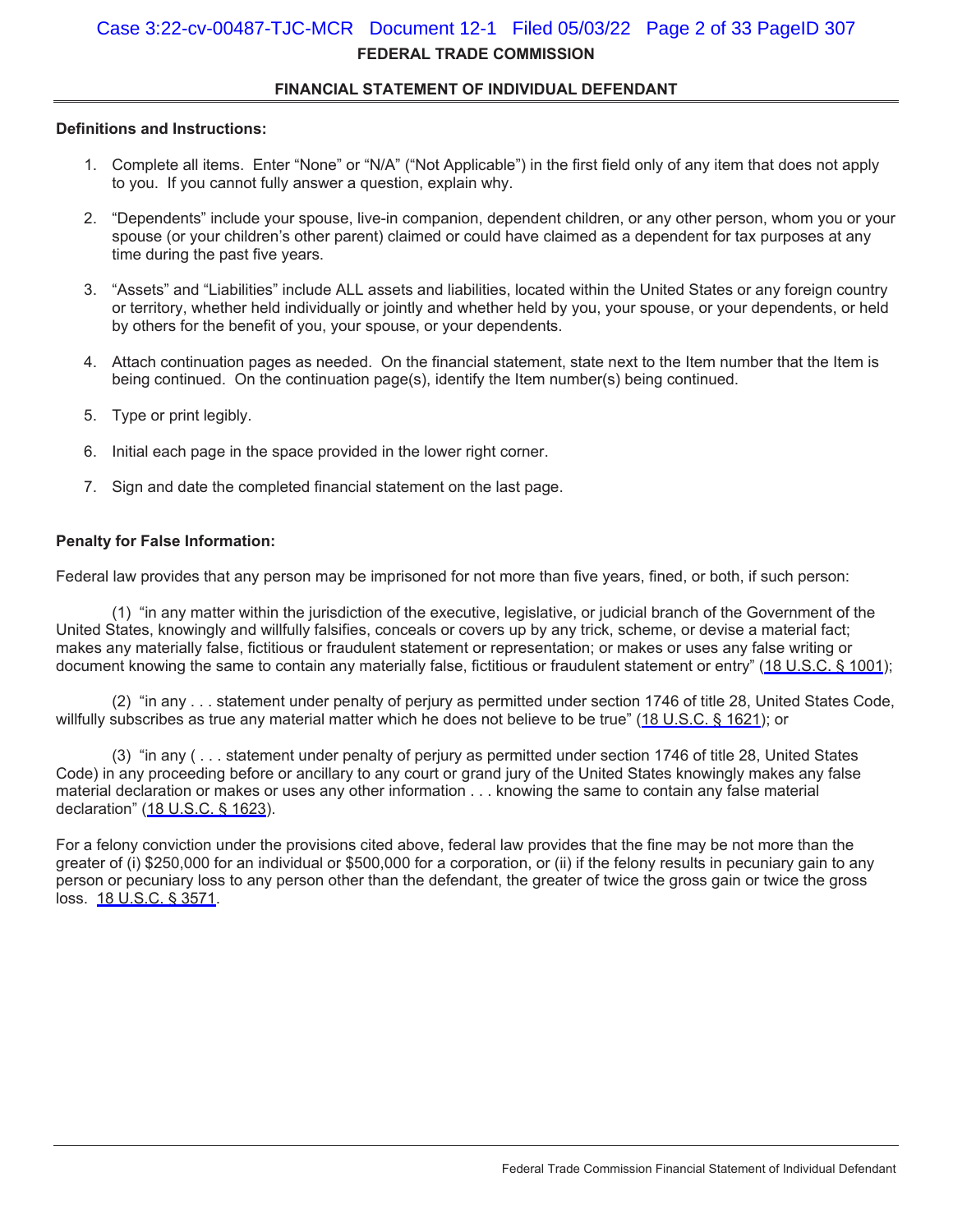# **FEDERAL TRADE COMMISSION**  Case 3:22-cv-00487-TJC-MCR Document 12-1 Filed 05/03/22 Page 2 of 33 PageID 307

# **FINANCIAL STATEMENT OF INDIVIDUAL DEFENDANT**

## **Definitions and Instructions:**

- 1. Complete all items. Enter "None" or "N/A" ("Not Applicable") in the first field only of any item that does not apply to you. If you cannot fully answer a question, explain why.
- 2. "Dependents" include your spouse, live-in companion, dependent children, or any other person, whom you or your spouse (or your children's other parent) claimed or could have claimed as a dependent for tax purposes at any time during the past five years.
- 3. "Assets" and "Liabilities" include ALL assets and liabilities, located within the United States or any foreign country or territory, whether held individually or jointly and whether held by you, your spouse, or your dependents, or held by others for the benefit of you, your spouse, or your dependents.
- 4. Attach continuation pages as needed. On the financial statement, state next to the Item number that the Item is being continued. On the continuation page(s), identify the Item number(s) being continued.
- 5. Type or print legibly.
- 6. Initial each page in the space provided in the lower right corner.
- 7. Sign and date the completed financial statement on the last page.

## **Penalty for False Information:**

Federal law provides that any person may be imprisoned for not more than five years, fined, or both, if such person:

 (1) "in any matter within the jurisdiction of the executive, legislative, or judicial branch of the Government of the United States, knowingly and willfully falsifies, conceals or covers up by any trick, scheme, or devise a material fact; makes any materially false, fictitious or fraudulent statement or representation; or makes or uses any false writing or document knowing the same to contain any materially false, fictitious or fraudulent statement or entry" [\(18 U.S.C. § 1001\)](https://www.westlaw.com/Link/Document/FullText?rs=USCLink&vr=3.0&findType=Y&cite=18%2B%2Bu%2Es%2Ec%2E%2B%2B%2B%2B1001&clientid=USCourts);

 (2) "in any . . . statement under penalty of perjury as permitted under section 1746 of title 28, United States Code, willfully subscribes as true any material matter which he does not believe to be true" [\(18 U.S.C. § 1621\)](https://www.westlaw.com/Link/Document/FullText?rs=USCLink&vr=3.0&findType=Y&cite=18%2B%2Bu%2Es%2Ec%2E%2B%2B%2B%2B1621&clientid=USCourts); or

 (3) "in any ( . . . statement under penalty of perjury as permitted under section 1746 of title 28, United States Code) in any proceeding before or ancillary to any court or grand jury of the United States knowingly makes any false material declaration or makes or uses any other information . . . knowing the same to contain any false material declaration" [\(18 U.S.C. § 1623](https://www.westlaw.com/Link/Document/FullText?rs=USCLink&vr=3.0&findType=Y&cite=18%2B%2Bu%2Es%2Ec%2E%2B%2B%2B%2B1623&clientid=USCourts)).

For a felony conviction under the provisions cited above, federal law provides that the fine may be not more than the greater of (i) \$250,000 for an individual or \$500,000 for a corporation, or (ii) if the felony results in pecuniary gain to any person or pecuniary loss to any person other than the defendant, the greater of twice the gross gain or twice the gross loss. [18 U.S.C. § 3571.](https://www.westlaw.com/Link/Document/FullText?rs=USCLink&vr=3.0&findType=Y&cite=18%2B%2Bu%2Es%2Ec%2E%2B%2B%2B%2B3571&clientid=USCourts)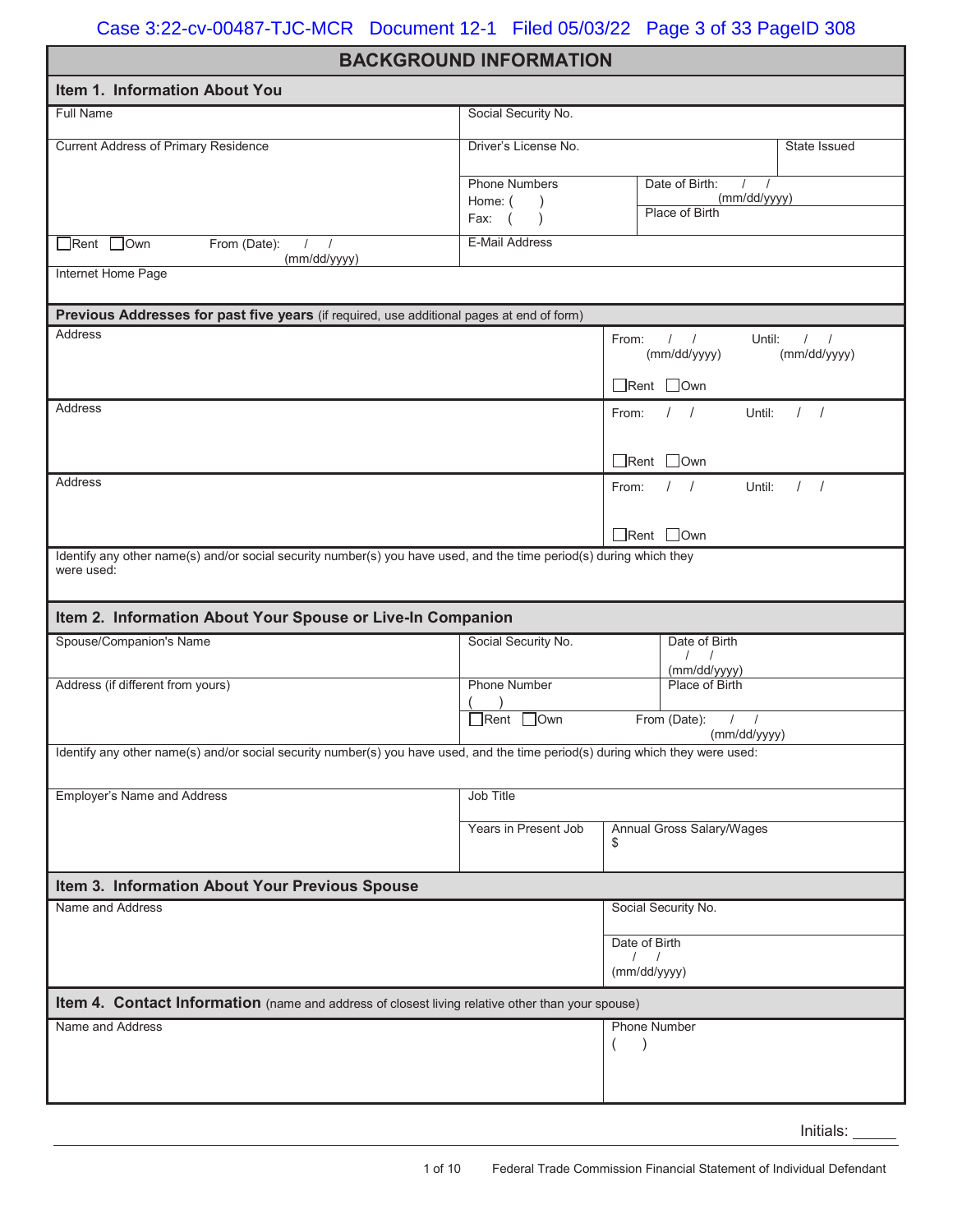# **BACKGROUND INFORMATION**

| Item 1. Information About You                                                                                                  |                        |                                                  |                               |
|--------------------------------------------------------------------------------------------------------------------------------|------------------------|--------------------------------------------------|-------------------------------|
| Full Name                                                                                                                      | Social Security No.    |                                                  |                               |
| <b>Current Address of Primary Residence</b>                                                                                    | Driver's License No.   |                                                  | State Issued                  |
|                                                                                                                                | <b>Phone Numbers</b>   | Date of Birth:<br>$\prime$                       |                               |
|                                                                                                                                | Home: (<br>Fax: (      | (mm/dd/yyyy)<br>Place of Birth                   |                               |
| Rent Own<br>From (Date):<br>$\left  \right $<br>(mm/dd/yyyy)                                                                   | <b>E-Mail Address</b>  |                                                  |                               |
| Internet Home Page                                                                                                             |                        |                                                  |                               |
| Previous Addresses for past five years (if required, use additional pages at end of form)                                      |                        |                                                  |                               |
| Address                                                                                                                        |                        | From: $/$ /<br>Until:<br>(mm/dd/yyyy)            | $\frac{1}{2}$<br>(mm/dd/yyyy) |
|                                                                                                                                |                        | $\Box$ Rent $\Box$ Own                           |                               |
| Address                                                                                                                        |                        | $\left  \right $<br>Until:<br>From:              | 1 <sup>1</sup>                |
|                                                                                                                                |                        | $\Box$ Rent $\Box$ Own                           |                               |
| Address                                                                                                                        |                        | Until:<br>$\left  \right $<br>From:              | $\left  \right $              |
|                                                                                                                                |                        | $\Box$ Rent $\Box$ Own                           |                               |
| Identify any other name(s) and/or social security number(s) you have used, and the time period(s) during which they            |                        |                                                  |                               |
| were used:                                                                                                                     |                        |                                                  |                               |
| Item 2. Information About Your Spouse or Live-In Companion                                                                     |                        |                                                  |                               |
| Spouse/Companion's Name                                                                                                        | Social Security No.    | Date of Birth<br>$\left  \quad \right $          |                               |
| Address (if different from yours)                                                                                              | <b>Phone Number</b>    | (mm/dd/yyyy)<br>Place of Birth                   |                               |
|                                                                                                                                | $\Box$ Rent $\Box$ Own | From (Date):<br>$\left  \right $<br>(mm/dd/yyyy) |                               |
| Identify any other name(s) and/or social security number(s) you have used, and the time period(s) during which they were used: |                        |                                                  |                               |
| <b>Employer's Name and Address</b>                                                                                             | <b>Job Title</b>       |                                                  |                               |
|                                                                                                                                |                        |                                                  |                               |
|                                                                                                                                | Years in Present Job   | <b>Annual Gross Salary/Wages</b><br>\$           |                               |
| Item 3. Information About Your Previous Spouse                                                                                 |                        |                                                  |                               |
| Name and Address                                                                                                               |                        | Social Security No.                              |                               |
|                                                                                                                                |                        | Date of Birth                                    |                               |
|                                                                                                                                |                        | $\prime$<br>(mm/dd/yyyy)                         |                               |
| Item 4. Contact Information (name and address of closest living relative other than your spouse)                               |                        |                                                  |                               |
| Name and Address                                                                                                               |                        | <b>Phone Number</b>                              |                               |
|                                                                                                                                |                        | $\left($                                         |                               |
|                                                                                                                                |                        |                                                  |                               |
|                                                                                                                                |                        |                                                  |                               |

Initials: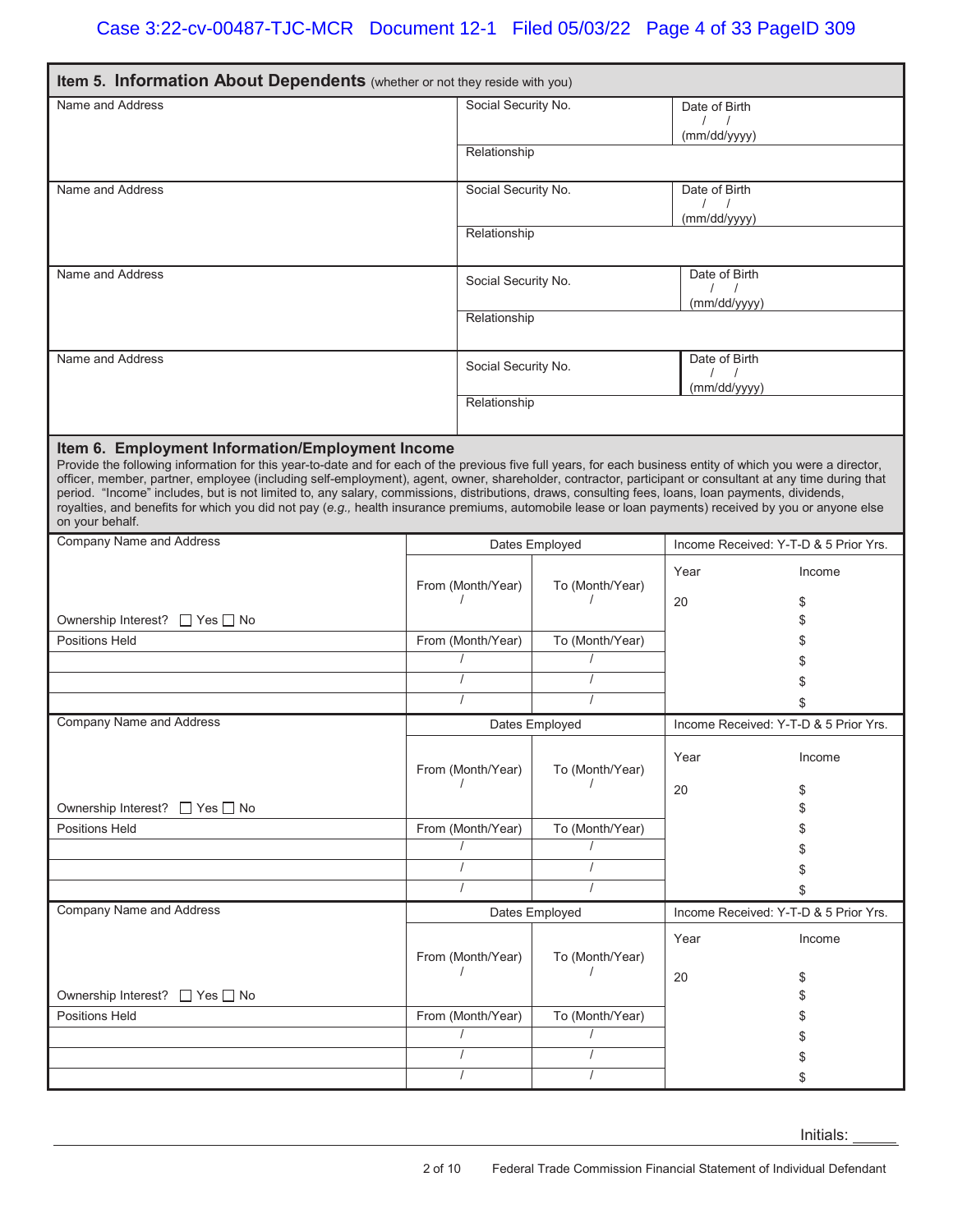| Item 5. Information About Dependents (whether or not they reside with you)                                                                                                                                                                                                                                                                                                                                                                                                                                                                                                                                                                                                                                     |                     |                     |                 |                                  |                                       |  |  |
|----------------------------------------------------------------------------------------------------------------------------------------------------------------------------------------------------------------------------------------------------------------------------------------------------------------------------------------------------------------------------------------------------------------------------------------------------------------------------------------------------------------------------------------------------------------------------------------------------------------------------------------------------------------------------------------------------------------|---------------------|---------------------|-----------------|----------------------------------|---------------------------------------|--|--|
| Name and Address                                                                                                                                                                                                                                                                                                                                                                                                                                                                                                                                                                                                                                                                                               |                     | Social Security No. |                 | Date of Birth                    |                                       |  |  |
|                                                                                                                                                                                                                                                                                                                                                                                                                                                                                                                                                                                                                                                                                                                |                     |                     |                 | $\left  \right $<br>(mm/dd/yyyy) |                                       |  |  |
|                                                                                                                                                                                                                                                                                                                                                                                                                                                                                                                                                                                                                                                                                                                |                     | Relationship        |                 |                                  |                                       |  |  |
| Name and Address                                                                                                                                                                                                                                                                                                                                                                                                                                                                                                                                                                                                                                                                                               | Social Security No. |                     | Date of Birth   |                                  |                                       |  |  |
|                                                                                                                                                                                                                                                                                                                                                                                                                                                                                                                                                                                                                                                                                                                |                     |                     |                 | $\left  \right $<br>(mm/dd/yyyy) |                                       |  |  |
|                                                                                                                                                                                                                                                                                                                                                                                                                                                                                                                                                                                                                                                                                                                |                     | Relationship        |                 |                                  |                                       |  |  |
| Name and Address                                                                                                                                                                                                                                                                                                                                                                                                                                                                                                                                                                                                                                                                                               |                     | Social Security No. |                 | Date of Birth                    |                                       |  |  |
|                                                                                                                                                                                                                                                                                                                                                                                                                                                                                                                                                                                                                                                                                                                |                     |                     |                 | $\left  \right $<br>(mm/dd/yyyy) |                                       |  |  |
|                                                                                                                                                                                                                                                                                                                                                                                                                                                                                                                                                                                                                                                                                                                |                     | Relationship        |                 |                                  |                                       |  |  |
| Name and Address                                                                                                                                                                                                                                                                                                                                                                                                                                                                                                                                                                                                                                                                                               |                     |                     |                 | Date of Birth                    |                                       |  |  |
|                                                                                                                                                                                                                                                                                                                                                                                                                                                                                                                                                                                                                                                                                                                |                     | Social Security No. |                 | $\left  \right $                 |                                       |  |  |
|                                                                                                                                                                                                                                                                                                                                                                                                                                                                                                                                                                                                                                                                                                                |                     | Relationship        |                 | (mm/dd/yyyy)                     |                                       |  |  |
|                                                                                                                                                                                                                                                                                                                                                                                                                                                                                                                                                                                                                                                                                                                |                     |                     |                 |                                  |                                       |  |  |
| Item 6. Employment Information/Employment Income<br>Provide the following information for this year-to-date and for each of the previous five full years, for each business entity of which you were a director,<br>officer, member, partner, employee (including self-employment), agent, owner, shareholder, contractor, participant or consultant at any time during that<br>period. "Income" includes, but is not limited to, any salary, commissions, distributions, draws, consulting fees, loans, loan payments, dividends,<br>royalties, and benefits for which you did not pay (e.g., health insurance premiums, automobile lease or loan payments) received by you or anyone else<br>on your behalf. |                     |                     |                 |                                  |                                       |  |  |
| <b>Company Name and Address</b>                                                                                                                                                                                                                                                                                                                                                                                                                                                                                                                                                                                                                                                                                |                     |                     | Dates Employed  |                                  | Income Received: Y-T-D & 5 Prior Yrs. |  |  |
|                                                                                                                                                                                                                                                                                                                                                                                                                                                                                                                                                                                                                                                                                                                |                     | From (Month/Year)   | To (Month/Year) | Year                             | Income                                |  |  |
| Ownership Interest? □ Yes □ No                                                                                                                                                                                                                                                                                                                                                                                                                                                                                                                                                                                                                                                                                 |                     |                     |                 | 20                               | \$<br>\$                              |  |  |
| <b>Positions Held</b>                                                                                                                                                                                                                                                                                                                                                                                                                                                                                                                                                                                                                                                                                          |                     | From (Month/Year)   | To (Month/Year) |                                  |                                       |  |  |
|                                                                                                                                                                                                                                                                                                                                                                                                                                                                                                                                                                                                                                                                                                                |                     |                     |                 |                                  |                                       |  |  |
|                                                                                                                                                                                                                                                                                                                                                                                                                                                                                                                                                                                                                                                                                                                |                     |                     |                 |                                  | \$                                    |  |  |
|                                                                                                                                                                                                                                                                                                                                                                                                                                                                                                                                                                                                                                                                                                                |                     |                     |                 |                                  | \$                                    |  |  |
| <b>Company Name and Address</b>                                                                                                                                                                                                                                                                                                                                                                                                                                                                                                                                                                                                                                                                                |                     |                     | Dates Employed  |                                  | Income Received: Y-T-D & 5 Prior Yrs. |  |  |
|                                                                                                                                                                                                                                                                                                                                                                                                                                                                                                                                                                                                                                                                                                                |                     | From (Month/Year)   | To (Month/Year) | Year                             | Income                                |  |  |
|                                                                                                                                                                                                                                                                                                                                                                                                                                                                                                                                                                                                                                                                                                                |                     |                     |                 | 20                               | \$                                    |  |  |
| Ownership Interest? □ Yes □ No<br><b>Positions Held</b>                                                                                                                                                                                                                                                                                                                                                                                                                                                                                                                                                                                                                                                        |                     |                     |                 |                                  |                                       |  |  |
|                                                                                                                                                                                                                                                                                                                                                                                                                                                                                                                                                                                                                                                                                                                |                     | From (Month/Year)   | To (Month/Year) |                                  |                                       |  |  |
|                                                                                                                                                                                                                                                                                                                                                                                                                                                                                                                                                                                                                                                                                                                |                     | $\prime$            |                 |                                  |                                       |  |  |
|                                                                                                                                                                                                                                                                                                                                                                                                                                                                                                                                                                                                                                                                                                                |                     |                     |                 |                                  |                                       |  |  |
| <b>Company Name and Address</b>                                                                                                                                                                                                                                                                                                                                                                                                                                                                                                                                                                                                                                                                                |                     |                     | Dates Employed  |                                  | Income Received: Y-T-D & 5 Prior Yrs. |  |  |
|                                                                                                                                                                                                                                                                                                                                                                                                                                                                                                                                                                                                                                                                                                                |                     |                     |                 | Year                             | Income                                |  |  |
|                                                                                                                                                                                                                                                                                                                                                                                                                                                                                                                                                                                                                                                                                                                |                     | From (Month/Year)   | To (Month/Year) |                                  |                                       |  |  |
|                                                                                                                                                                                                                                                                                                                                                                                                                                                                                                                                                                                                                                                                                                                |                     |                     |                 | 20                               | \$                                    |  |  |
| Ownership Interest? □ Yes □ No                                                                                                                                                                                                                                                                                                                                                                                                                                                                                                                                                                                                                                                                                 |                     |                     |                 |                                  |                                       |  |  |
| <b>Positions Held</b>                                                                                                                                                                                                                                                                                                                                                                                                                                                                                                                                                                                                                                                                                          |                     | From (Month/Year)   | To (Month/Year) |                                  |                                       |  |  |
|                                                                                                                                                                                                                                                                                                                                                                                                                                                                                                                                                                                                                                                                                                                |                     |                     |                 |                                  |                                       |  |  |
|                                                                                                                                                                                                                                                                                                                                                                                                                                                                                                                                                                                                                                                                                                                |                     |                     |                 |                                  |                                       |  |  |
|                                                                                                                                                                                                                                                                                                                                                                                                                                                                                                                                                                                                                                                                                                                |                     |                     |                 |                                  | \$                                    |  |  |

Initials: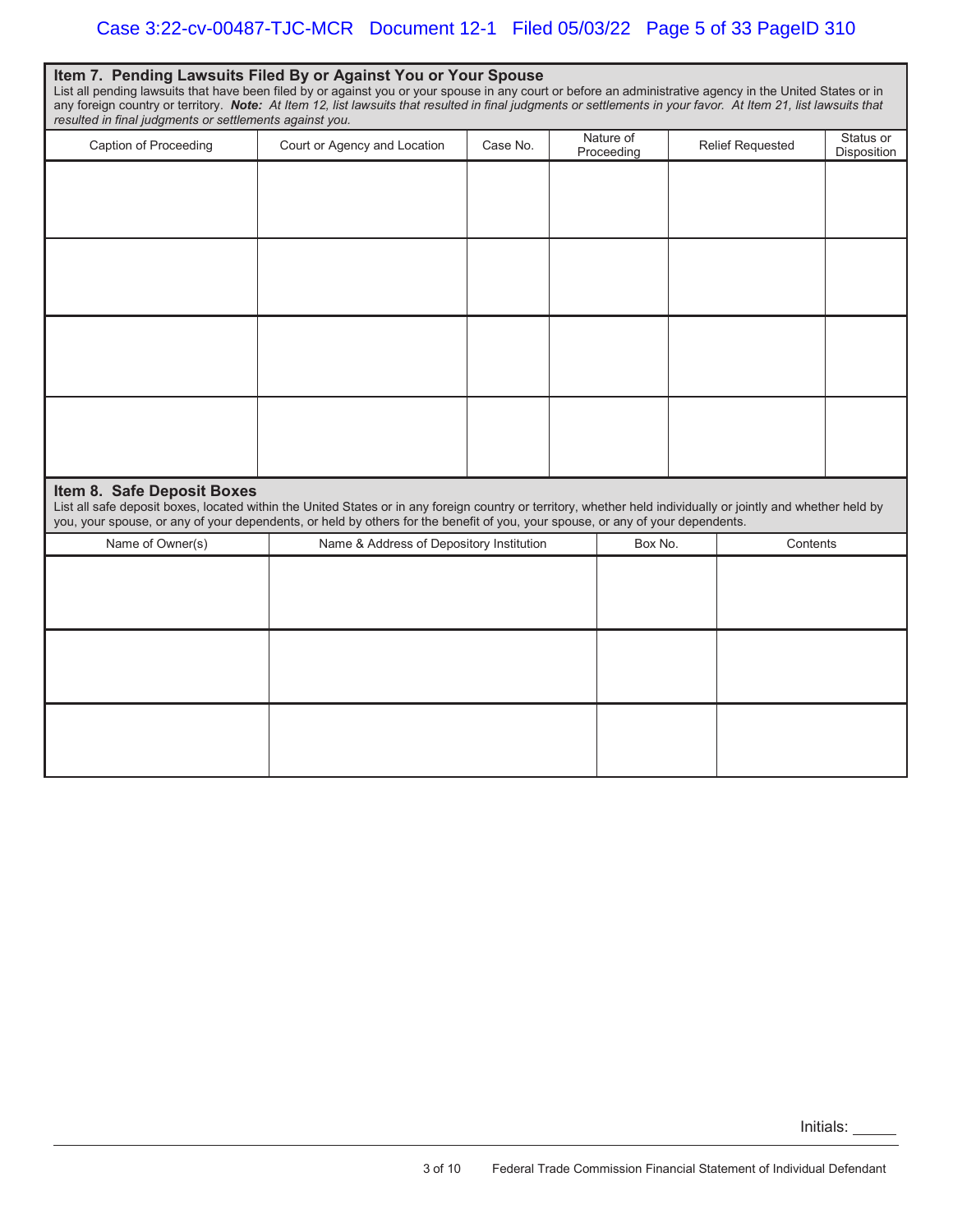| Item 7. Pending Lawsuits Filed By or Against You or Your Spouse<br>List all pending lawsuits that have been filed by or against you or your spouse in any court or before an administrative agency in the United States or in<br>any foreign country or territory. Note: At Item 12, list lawsuits that resulted in final judgments or settlements in your favor. At Item 21, list lawsuits that<br>resulted in final judgments or settlements against you. |                                          |          |  |                         |  |                         |                          |  |  |  |
|-------------------------------------------------------------------------------------------------------------------------------------------------------------------------------------------------------------------------------------------------------------------------------------------------------------------------------------------------------------------------------------------------------------------------------------------------------------|------------------------------------------|----------|--|-------------------------|--|-------------------------|--------------------------|--|--|--|
| Caption of Proceeding                                                                                                                                                                                                                                                                                                                                                                                                                                       | Court or Agency and Location             | Case No. |  | Nature of<br>Proceeding |  | <b>Relief Requested</b> | Status or<br>Disposition |  |  |  |
|                                                                                                                                                                                                                                                                                                                                                                                                                                                             |                                          |          |  |                         |  |                         |                          |  |  |  |
|                                                                                                                                                                                                                                                                                                                                                                                                                                                             |                                          |          |  |                         |  |                         |                          |  |  |  |
|                                                                                                                                                                                                                                                                                                                                                                                                                                                             |                                          |          |  |                         |  |                         |                          |  |  |  |
|                                                                                                                                                                                                                                                                                                                                                                                                                                                             |                                          |          |  |                         |  |                         |                          |  |  |  |
| Item 8. Safe Deposit Boxes<br>List all safe deposit boxes, located within the United States or in any foreign country or territory, whether held individually or jointly and whether held by<br>you, your spouse, or any of your dependents, or held by others for the benefit of you, your spouse, or any of your dependents.                                                                                                                              |                                          |          |  |                         |  |                         |                          |  |  |  |
| Name of Owner(s)                                                                                                                                                                                                                                                                                                                                                                                                                                            | Name & Address of Depository Institution |          |  | Box No.                 |  | Contents                |                          |  |  |  |
|                                                                                                                                                                                                                                                                                                                                                                                                                                                             |                                          |          |  |                         |  |                         |                          |  |  |  |
|                                                                                                                                                                                                                                                                                                                                                                                                                                                             |                                          |          |  |                         |  |                         |                          |  |  |  |
|                                                                                                                                                                                                                                                                                                                                                                                                                                                             |                                          |          |  |                         |  |                         |                          |  |  |  |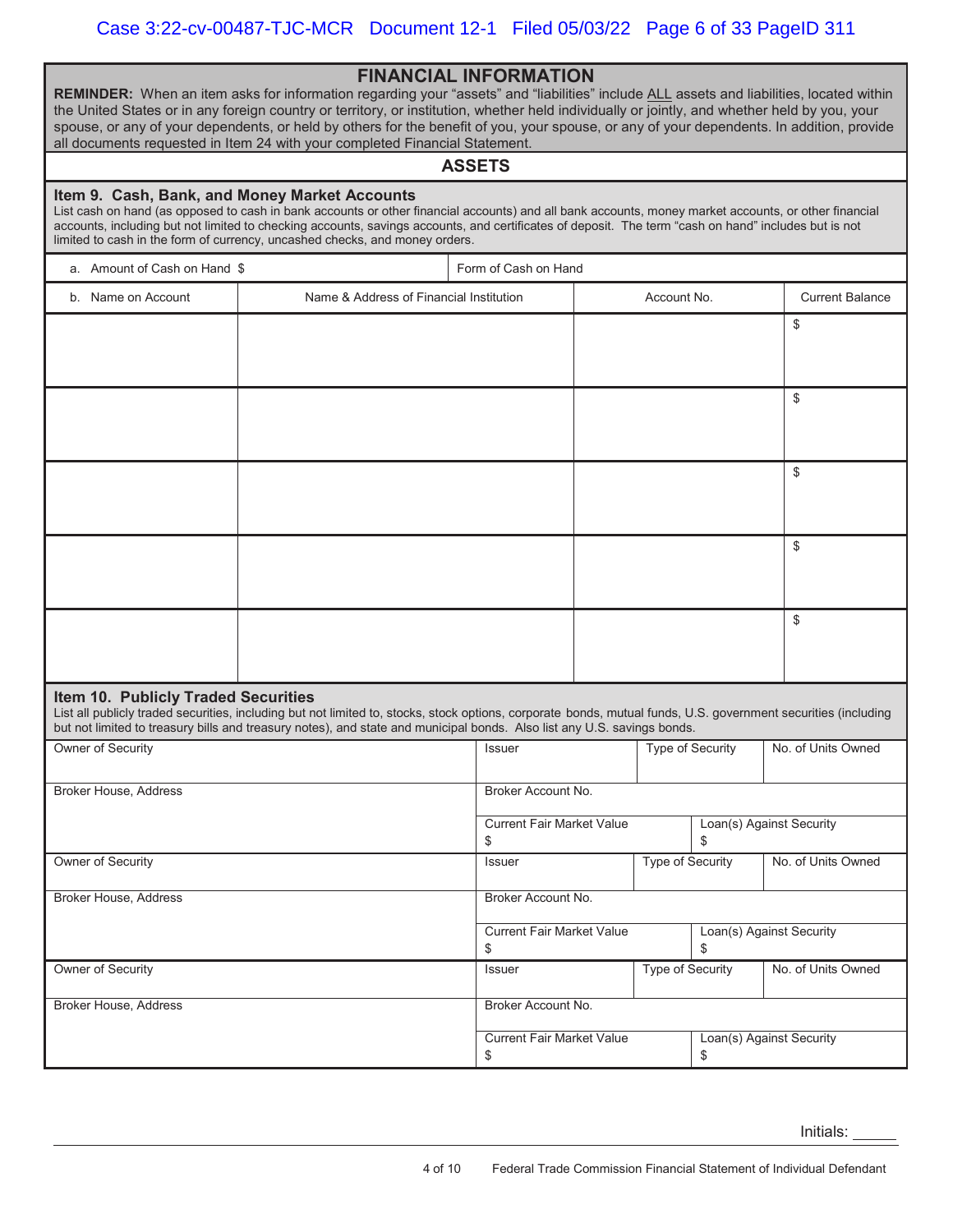**REMINDER:** When an item asks for information regarding your "assets" and "liabilities" include ALL assets and liabilities, located within the United States or in any foreign country or territory, or institution, whether held individually or jointly, and whether held by you, your spouse, or any of your dependents, or held by others for the benefit of you, your spouse, or any of your dependents. In addition, provide all documents requested in Item 24 with your completed Financial Statement.

### **ASSETS**

### **Item 9. Cash, Bank, and Money Market Accounts**

List cash on hand (as opposed to cash in bank accounts or other financial accounts) and all bank accounts, money market accounts, or other financial accounts, including but not limited to checking accounts, savings accounts, and certificates of deposit. The term "cash on hand" includes but is not limited to cash in the form of currency, uncashed checks, and money orders.

|                                     |                                                                                                                                                                                                                                                                                           | Form of Cash on Hand                   |                         |                                |                        |
|-------------------------------------|-------------------------------------------------------------------------------------------------------------------------------------------------------------------------------------------------------------------------------------------------------------------------------------------|----------------------------------------|-------------------------|--------------------------------|------------------------|
| b. Name on Account                  | Name & Address of Financial Institution                                                                                                                                                                                                                                                   |                                        | Account No.             |                                | <b>Current Balance</b> |
|                                     |                                                                                                                                                                                                                                                                                           |                                        |                         |                                | \$                     |
|                                     |                                                                                                                                                                                                                                                                                           |                                        |                         |                                |                        |
|                                     |                                                                                                                                                                                                                                                                                           |                                        |                         |                                |                        |
|                                     |                                                                                                                                                                                                                                                                                           |                                        |                         |                                | \$                     |
|                                     |                                                                                                                                                                                                                                                                                           |                                        |                         |                                |                        |
|                                     |                                                                                                                                                                                                                                                                                           |                                        |                         |                                | \$                     |
|                                     |                                                                                                                                                                                                                                                                                           |                                        |                         |                                |                        |
|                                     |                                                                                                                                                                                                                                                                                           |                                        |                         |                                |                        |
|                                     |                                                                                                                                                                                                                                                                                           |                                        |                         |                                | \$                     |
|                                     |                                                                                                                                                                                                                                                                                           |                                        |                         |                                |                        |
|                                     |                                                                                                                                                                                                                                                                                           |                                        |                         |                                | \$                     |
|                                     |                                                                                                                                                                                                                                                                                           |                                        |                         |                                |                        |
|                                     |                                                                                                                                                                                                                                                                                           |                                        |                         |                                |                        |
| Item 10. Publicly Traded Securities | List all publicly traded securities, including but not limited to, stocks, stock options, corporate bonds, mutual funds, U.S. government securities (including<br>but not limited to treasury bills and treasury notes), and state and municipal bonds. Also list any U.S. savings bonds. |                                        |                         |                                |                        |
| Owner of Security                   |                                                                                                                                                                                                                                                                                           | Issuer                                 |                         | Type of Security               | No. of Units Owned     |
|                                     |                                                                                                                                                                                                                                                                                           |                                        |                         |                                |                        |
| <b>Broker House, Address</b>        |                                                                                                                                                                                                                                                                                           | Broker Account No.                     |                         |                                |                        |
|                                     |                                                                                                                                                                                                                                                                                           | <b>Current Fair Market Value</b><br>\$ |                         | Loan(s) Against Security<br>\$ |                        |
| Owner of Security                   |                                                                                                                                                                                                                                                                                           | Issuer                                 | Type of Security        |                                | No. of Units Owned     |
|                                     |                                                                                                                                                                                                                                                                                           |                                        |                         |                                |                        |
| <b>Broker House, Address</b>        |                                                                                                                                                                                                                                                                                           | Broker Account No.                     |                         |                                |                        |
|                                     |                                                                                                                                                                                                                                                                                           | <b>Current Fair Market Value</b>       |                         | Loan(s) Against Security<br>\$ |                        |
| Owner of Security                   |                                                                                                                                                                                                                                                                                           | \$<br><b>Issuer</b>                    | <b>Type of Security</b> |                                | No. of Units Owned     |
|                                     |                                                                                                                                                                                                                                                                                           |                                        |                         |                                |                        |
| Broker House, Address               |                                                                                                                                                                                                                                                                                           | Broker Account No.                     |                         |                                |                        |
|                                     |                                                                                                                                                                                                                                                                                           | <b>Current Fair Market Value</b><br>\$ |                         | Loan(s) Against Security<br>\$ |                        |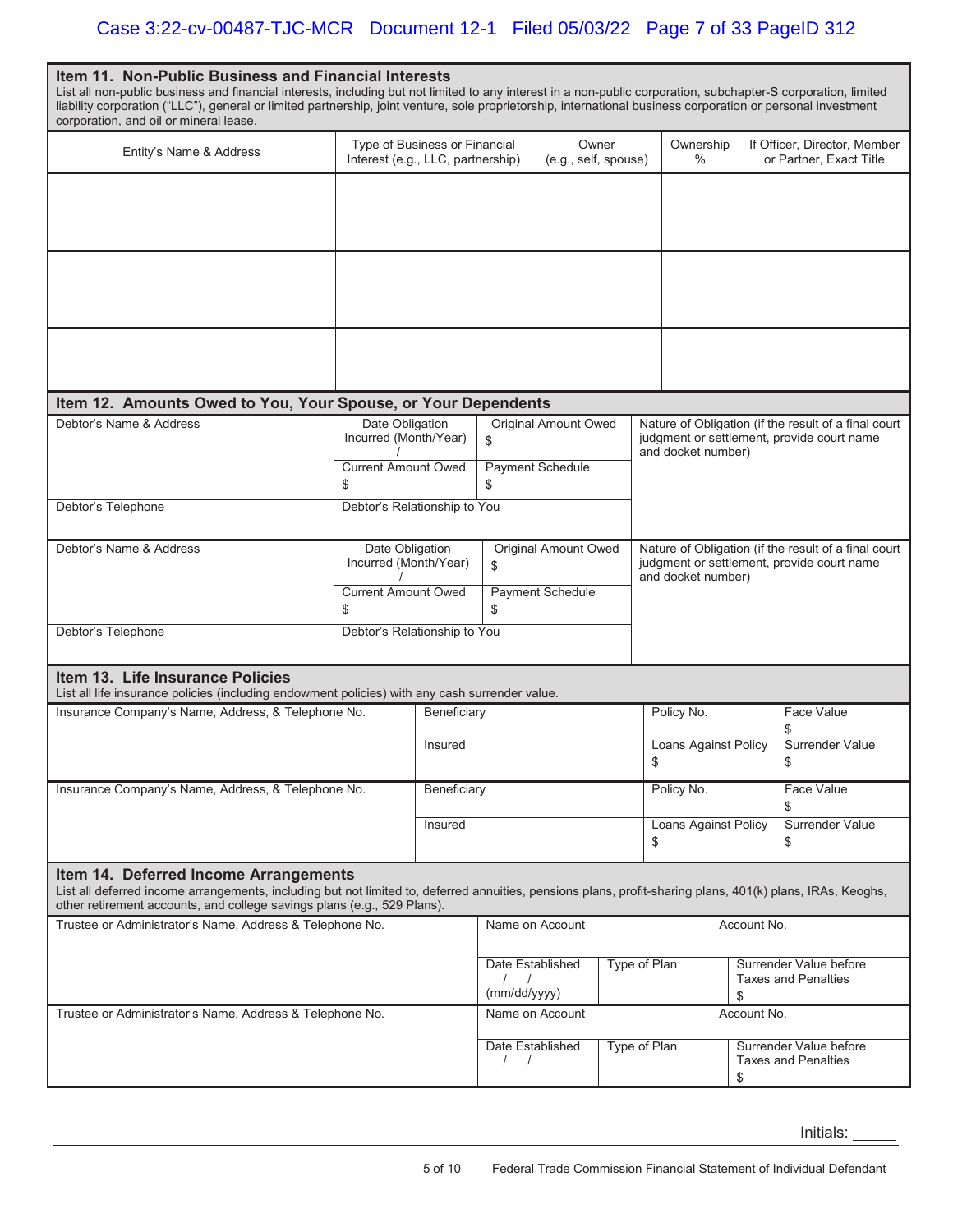| Item 11. Non-Public Business and Financial Interests<br>List all non-public business and financial interests, including but not limited to any interest in a non-public corporation, subchapter-S corporation, limited<br>liability corporation ("LLC"), general or limited partnership, joint venture, sole proprietorship, international business corporation or personal investment |                                          |                                                            |                                   |                                                            |  |                                                                                                                          |                            |                                                      |                         |  |
|----------------------------------------------------------------------------------------------------------------------------------------------------------------------------------------------------------------------------------------------------------------------------------------------------------------------------------------------------------------------------------------|------------------------------------------|------------------------------------------------------------|-----------------------------------|------------------------------------------------------------|--|--------------------------------------------------------------------------------------------------------------------------|----------------------------|------------------------------------------------------|-------------------------|--|
| corporation, and oil or mineral lease.<br>Entity's Name & Address                                                                                                                                                                                                                                                                                                                      | Type of Business or Financial            |                                                            |                                   | Owner                                                      |  | Ownership                                                                                                                |                            | If Officer, Director, Member                         |                         |  |
|                                                                                                                                                                                                                                                                                                                                                                                        | Interest (e.g., LLC, partnership)        |                                                            |                                   | (e.g., self, spouse)                                       |  |                                                                                                                          | $\%$                       |                                                      | or Partner, Exact Title |  |
|                                                                                                                                                                                                                                                                                                                                                                                        |                                          |                                                            |                                   |                                                            |  |                                                                                                                          |                            |                                                      |                         |  |
|                                                                                                                                                                                                                                                                                                                                                                                        |                                          |                                                            |                                   |                                                            |  |                                                                                                                          |                            |                                                      |                         |  |
|                                                                                                                                                                                                                                                                                                                                                                                        |                                          |                                                            |                                   |                                                            |  |                                                                                                                          |                            |                                                      |                         |  |
| Item 12. Amounts Owed to You, Your Spouse, or Your Dependents                                                                                                                                                                                                                                                                                                                          |                                          |                                                            |                                   |                                                            |  |                                                                                                                          |                            |                                                      |                         |  |
| Debtor's Name & Address                                                                                                                                                                                                                                                                                                                                                                | Date Obligation<br>Incurred (Month/Year) |                                                            | \$                                | Original Amount Owed                                       |  | Nature of Obligation (if the result of a final court<br>judgment or settlement, provide court name<br>and docket number) |                            |                                                      |                         |  |
|                                                                                                                                                                                                                                                                                                                                                                                        | <b>Current Amount Owed</b><br>\$         |                                                            | <b>Payment Schedule</b><br>\$     |                                                            |  |                                                                                                                          |                            |                                                      |                         |  |
| Debtor's Telephone                                                                                                                                                                                                                                                                                                                                                                     | Debtor's Relationship to You             |                                                            |                                   |                                                            |  |                                                                                                                          |                            |                                                      |                         |  |
| Debtor's Name & Address                                                                                                                                                                                                                                                                                                                                                                | Date Obligation<br>Incurred (Month/Year) |                                                            | <b>Original Amount Owed</b><br>\$ |                                                            |  | Nature of Obligation (if the result of a final court<br>judgment or settlement, provide court name<br>and docket number) |                            |                                                      |                         |  |
|                                                                                                                                                                                                                                                                                                                                                                                        | <b>Current Amount Owed</b><br>\$         |                                                            | Payment Schedule<br>\$            |                                                            |  |                                                                                                                          |                            |                                                      |                         |  |
| Debtor's Telephone                                                                                                                                                                                                                                                                                                                                                                     | Debtor's Relationship to You             |                                                            |                                   |                                                            |  |                                                                                                                          |                            |                                                      |                         |  |
| Item 13. Life Insurance Policies<br>List all life insurance policies (including endowment policies) with any cash surrender value.                                                                                                                                                                                                                                                     |                                          |                                                            |                                   |                                                            |  |                                                                                                                          |                            |                                                      |                         |  |
| Insurance Company's Name, Address, & Telephone No.                                                                                                                                                                                                                                                                                                                                     |                                          | Beneficiary                                                |                                   |                                                            |  | Policy No.                                                                                                               |                            |                                                      | Face Value              |  |
|                                                                                                                                                                                                                                                                                                                                                                                        |                                          | Insured                                                    |                                   |                                                            |  |                                                                                                                          | Loans Against Policy<br>\$ |                                                      | Surrender Value<br>\$   |  |
| Insurance Company's Name, Address, & Telephone No.                                                                                                                                                                                                                                                                                                                                     |                                          | Beneficiary                                                |                                   |                                                            |  |                                                                                                                          | Policy No.                 |                                                      | Face Value<br>\$        |  |
|                                                                                                                                                                                                                                                                                                                                                                                        |                                          | Insured                                                    |                                   |                                                            |  | \$                                                                                                                       | Loans Against Policy       |                                                      | Surrender Value<br>\$   |  |
| Item 14. Deferred Income Arrangements<br>List all deferred income arrangements, including but not limited to, deferred annuities, pensions plans, profit-sharing plans, 401(k) plans, IRAs, Keoghs,<br>other retirement accounts, and college savings plans (e.g., 529 Plans).                                                                                                         |                                          |                                                            |                                   |                                                            |  |                                                                                                                          |                            |                                                      |                         |  |
| Trustee or Administrator's Name, Address & Telephone No.                                                                                                                                                                                                                                                                                                                               |                                          | Name on Account                                            |                                   |                                                            |  |                                                                                                                          | Account No.                |                                                      |                         |  |
|                                                                                                                                                                                                                                                                                                                                                                                        |                                          |                                                            | Date Established                  |                                                            |  | Type of Plan                                                                                                             |                            | Surrender Value before<br><b>Taxes and Penalties</b> |                         |  |
| Trustee or Administrator's Name, Address & Telephone No.                                                                                                                                                                                                                                                                                                                               |                                          |                                                            | (mm/dd/yyyy)                      | Name on Account                                            |  |                                                                                                                          |                            |                                                      | \$<br>Account No.       |  |
|                                                                                                                                                                                                                                                                                                                                                                                        |                                          | Type of Plan<br>Date Established<br>$\left  \quad \right $ |                                   | Surrender Value before<br><b>Taxes and Penalties</b><br>\$ |  |                                                                                                                          |                            |                                                      |                         |  |

Initials: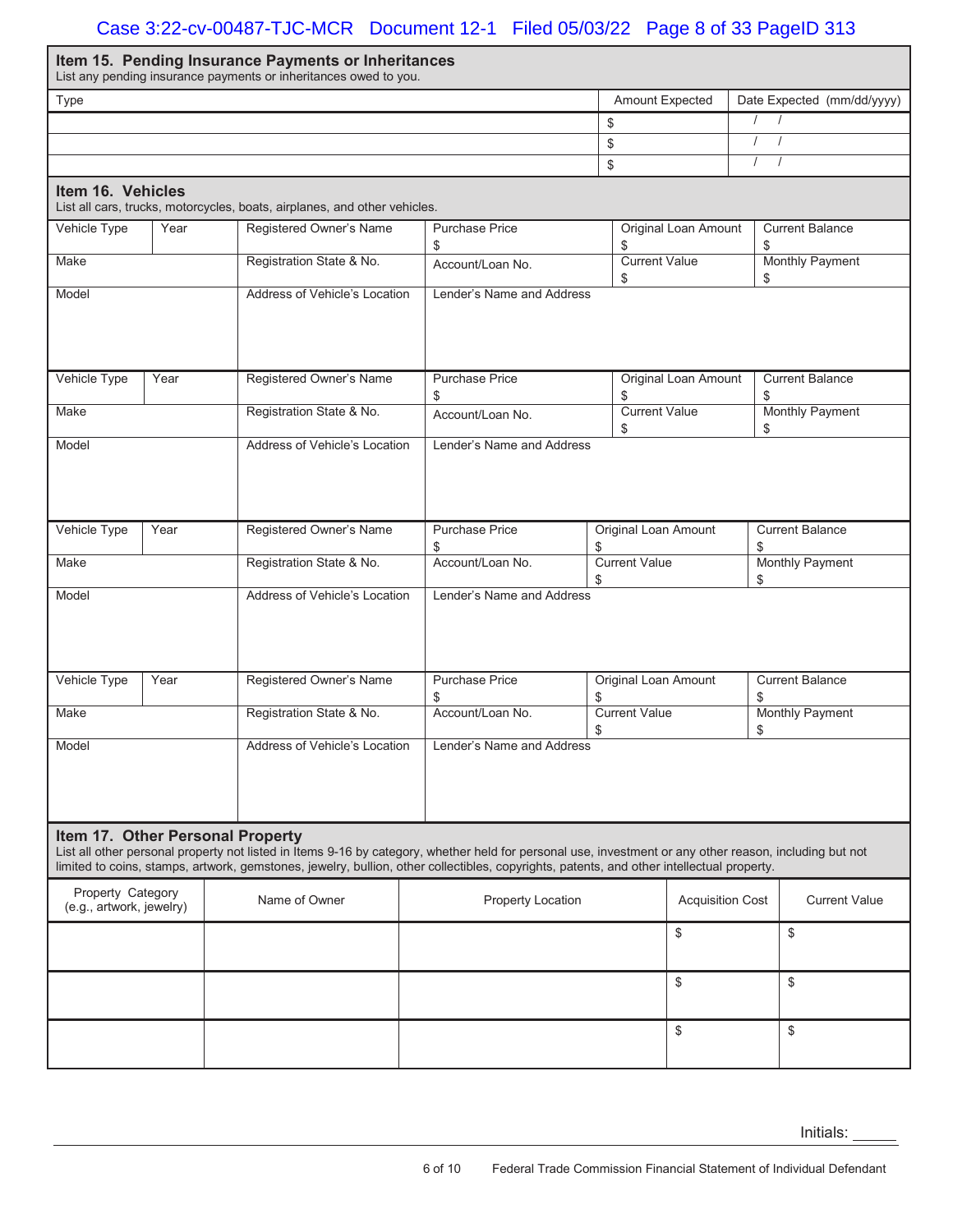# Case 3:22-cv-00487-TJC-MCR Document 12-1 Filed 05/03/22 Page 8 of 33 PageID 313

|                                                                                                                       |      | Item 15. Pending Insurance Payments or Inheritances<br>List any pending insurance payments or inheritances owed to you.                                                                                                                                                                                                                  |  |                             |                                                            |                                                      |                             |                        |                              |  |
|-----------------------------------------------------------------------------------------------------------------------|------|------------------------------------------------------------------------------------------------------------------------------------------------------------------------------------------------------------------------------------------------------------------------------------------------------------------------------------------|--|-----------------------------|------------------------------------------------------------|------------------------------------------------------|-----------------------------|------------------------|------------------------------|--|
| Type                                                                                                                  |      |                                                                                                                                                                                                                                                                                                                                          |  |                             |                                                            | Amount Expected                                      |                             |                        | Date Expected (mm/dd/yyyy)   |  |
|                                                                                                                       |      |                                                                                                                                                                                                                                                                                                                                          |  |                             | \$                                                         |                                                      |                             | $\prime$<br>$\sqrt{ }$ |                              |  |
|                                                                                                                       |      |                                                                                                                                                                                                                                                                                                                                          |  |                             |                                                            |                                                      |                             |                        |                              |  |
|                                                                                                                       |      |                                                                                                                                                                                                                                                                                                                                          |  |                             | \$                                                         |                                                      |                             | $\prime$               |                              |  |
| Item 16. Vehicles                                                                                                     |      | List all cars, trucks, motorcycles, boats, airplanes, and other vehicles.                                                                                                                                                                                                                                                                |  |                             |                                                            |                                                      |                             |                        |                              |  |
| Vehicle Type                                                                                                          | Year | Registered Owner's Name                                                                                                                                                                                                                                                                                                                  |  | <b>Purchase Price</b><br>\$ |                                                            | \$                                                   | <b>Original Loan Amount</b> | \$                     | <b>Current Balance</b>       |  |
| Make                                                                                                                  |      | Registration State & No.                                                                                                                                                                                                                                                                                                                 |  | Account/Loan No.            |                                                            | <b>Current Value</b><br>\$                           |                             | \$                     | <b>Monthly Payment</b>       |  |
| Address of Vehicle's Location<br>Lender's Name and Address<br>Model                                                   |      |                                                                                                                                                                                                                                                                                                                                          |  |                             |                                                            |                                                      |                             |                        |                              |  |
| Vehicle Type                                                                                                          | Year | Registered Owner's Name                                                                                                                                                                                                                                                                                                                  |  | <b>Purchase Price</b><br>\$ |                                                            | \$                                                   | <b>Original Loan Amount</b> | \$                     | <b>Current Balance</b>       |  |
| Make                                                                                                                  |      | Registration State & No.                                                                                                                                                                                                                                                                                                                 |  | Account/Loan No.            |                                                            | <b>Current Value</b><br>\$                           |                             | \$                     | <b>Monthly Payment</b>       |  |
| Address of Vehicle's Location<br>Lender's Name and Address<br>Model                                                   |      |                                                                                                                                                                                                                                                                                                                                          |  |                             |                                                            |                                                      |                             |                        |                              |  |
| Vehicle Type                                                                                                          | Year | Registered Owner's Name                                                                                                                                                                                                                                                                                                                  |  | \$                          | <b>Purchase Price</b><br><b>Original Loan Amount</b><br>\$ |                                                      |                             |                        | <b>Current Balance</b><br>\$ |  |
| Make                                                                                                                  |      | Registration State & No.                                                                                                                                                                                                                                                                                                                 |  | Account/Loan No.            | \$                                                         | <b>Current Value</b><br><b>Monthly Payment</b><br>\$ |                             |                        |                              |  |
| Model                                                                                                                 |      | Address of Vehicle's Location                                                                                                                                                                                                                                                                                                            |  | Lender's Name and Address   |                                                            |                                                      |                             |                        |                              |  |
| Vehicle Type                                                                                                          | Year | Registered Owner's Name                                                                                                                                                                                                                                                                                                                  |  | <b>Purchase Price</b><br>\$ | \$                                                         | <b>Original Loan Amount</b>                          |                             |                        | <b>Current Balance</b><br>\$ |  |
| Make                                                                                                                  |      | Registration State & No.                                                                                                                                                                                                                                                                                                                 |  | Account/Loan No.            | \$                                                         | <b>Current Value</b>                                 |                             |                        | <b>Monthly Payment</b><br>\$ |  |
| Model                                                                                                                 |      | Address of Vehicle's Location                                                                                                                                                                                                                                                                                                            |  | Lender's Name and Address   |                                                            |                                                      |                             |                        |                              |  |
|                                                                                                                       |      | Item 17. Other Personal Property<br>List all other personal property not listed in Items 9-16 by category, whether held for personal use, investment or any other reason, including but not<br>limited to coins, stamps, artwork, gemstones, jewelry, bullion, other collectibles, copyrights, patents, and other intellectual property. |  |                             |                                                            |                                                      |                             |                        |                              |  |
| Property Category<br>Name of Owner<br><b>Property Location</b><br><b>Acquisition Cost</b><br>(e.g., artwork, jewelry) |      |                                                                                                                                                                                                                                                                                                                                          |  |                             | <b>Current Value</b>                                       |                                                      |                             |                        |                              |  |
|                                                                                                                       |      |                                                                                                                                                                                                                                                                                                                                          |  |                             |                                                            |                                                      | \$                          |                        | \$                           |  |
|                                                                                                                       |      |                                                                                                                                                                                                                                                                                                                                          |  |                             |                                                            |                                                      | \$                          |                        | \$                           |  |
|                                                                                                                       |      |                                                                                                                                                                                                                                                                                                                                          |  |                             |                                                            |                                                      | \$                          |                        | \$                           |  |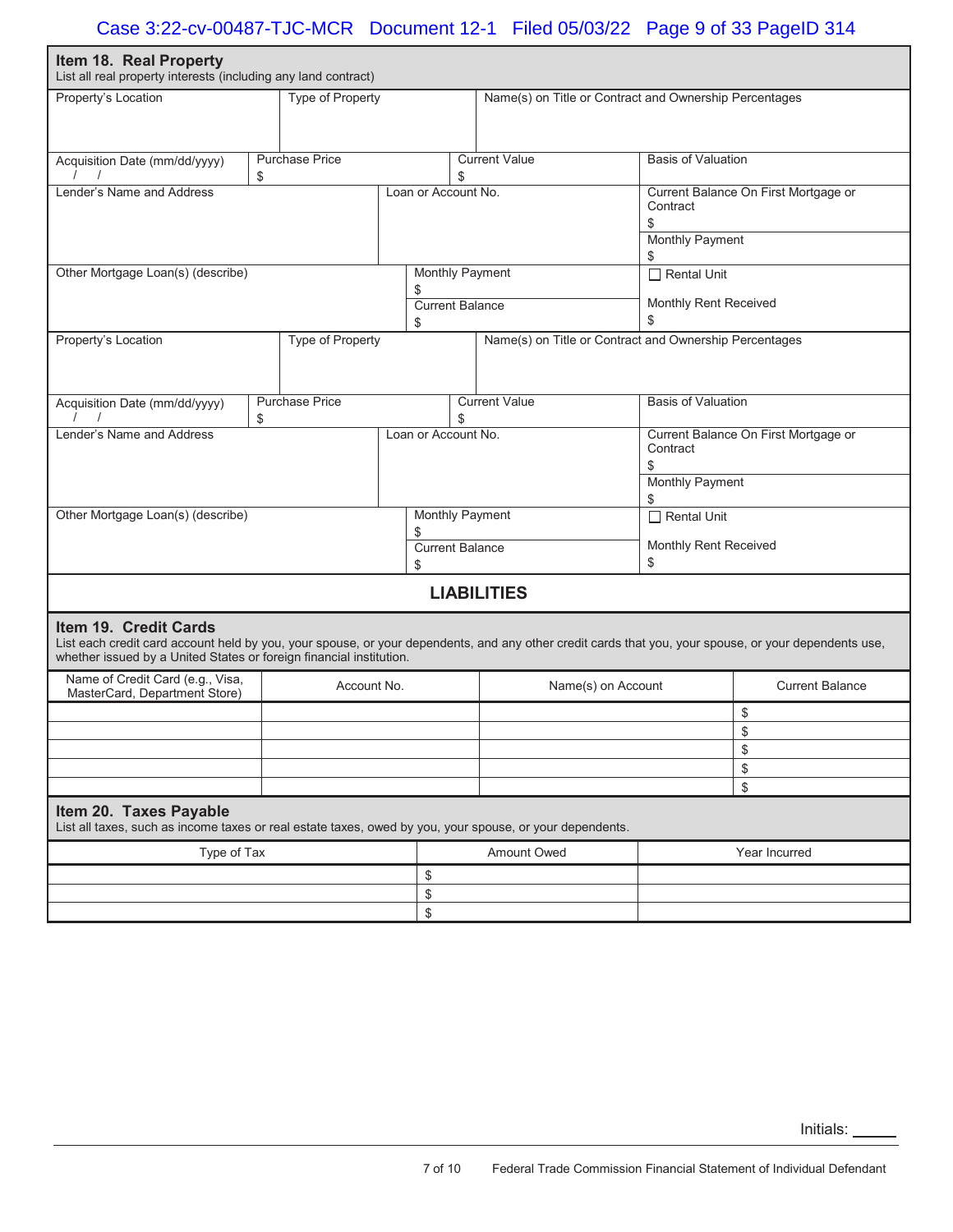| Item 18. Real Property<br>List all real property interests (including any land contract)                                                                                                                                                              |                             |                                    |                                                        |                                                                                  |                        |  |
|-------------------------------------------------------------------------------------------------------------------------------------------------------------------------------------------------------------------------------------------------------|-----------------------------|------------------------------------|--------------------------------------------------------|----------------------------------------------------------------------------------|------------------------|--|
| Property's Location                                                                                                                                                                                                                                   | <b>Type of Property</b>     |                                    | Name(s) on Title or Contract and Ownership Percentages |                                                                                  |                        |  |
| Acquisition Date (mm/dd/yyyy)                                                                                                                                                                                                                         | <b>Purchase Price</b><br>\$ |                                    | <b>Current Value</b><br>\$                             | <b>Basis of Valuation</b>                                                        |                        |  |
| Lender's Name and Address                                                                                                                                                                                                                             |                             |                                    | Loan or Account No.                                    | Current Balance On First Mortgage or<br>Contract<br>\$<br><b>Monthly Payment</b> |                        |  |
| Other Mortgage Loan(s) (describe)                                                                                                                                                                                                                     |                             |                                    | <b>Monthly Payment</b>                                 | \$<br>$\Box$ Rental Unit                                                         |                        |  |
|                                                                                                                                                                                                                                                       |                             | \$<br><b>Current Balance</b><br>\$ |                                                        | Monthly Rent Received<br>\$                                                      |                        |  |
| Property's Location                                                                                                                                                                                                                                   | <b>Type of Property</b>     |                                    | Name(s) on Title or Contract and Ownership Percentages |                                                                                  |                        |  |
| Acquisition Date (mm/dd/yyyy)                                                                                                                                                                                                                         | <b>Purchase Price</b><br>\$ |                                    | <b>Current Value</b><br>\$.                            | <b>Basis of Valuation</b>                                                        |                        |  |
| Lender's Name and Address                                                                                                                                                                                                                             |                             |                                    | Loan or Account No.                                    | Current Balance On First Mortgage or<br>Contract<br><b>Monthly Payment</b>       |                        |  |
| Other Mortgage Loan(s) (describe)                                                                                                                                                                                                                     |                             |                                    | <b>Monthly Payment</b>                                 | \$<br>$\Box$ Rental Unit                                                         |                        |  |
|                                                                                                                                                                                                                                                       |                             | \$<br><b>Current Balance</b><br>\$ |                                                        | Monthly Rent Received<br>\$                                                      |                        |  |
|                                                                                                                                                                                                                                                       |                             |                                    | <b>LIABILITIES</b>                                     |                                                                                  |                        |  |
| Item 19. Credit Cards<br>List each credit card account held by you, your spouse, or your dependents, and any other credit cards that you, your spouse, or your dependents use,<br>whether issued by a United States or foreign financial institution. |                             |                                    |                                                        |                                                                                  |                        |  |
| Name of Credit Card (e.g., Visa,<br>MasterCard, Department Store)                                                                                                                                                                                     | Account No.                 |                                    | Name(s) on Account                                     |                                                                                  | <b>Current Balance</b> |  |
|                                                                                                                                                                                                                                                       |                             |                                    |                                                        |                                                                                  | \$                     |  |
|                                                                                                                                                                                                                                                       |                             |                                    |                                                        |                                                                                  | \$                     |  |
|                                                                                                                                                                                                                                                       |                             |                                    |                                                        |                                                                                  | \$                     |  |
|                                                                                                                                                                                                                                                       |                             |                                    |                                                        |                                                                                  | \$<br>\$               |  |
| Item 20. Taxes Payable<br>List all taxes, such as income taxes or real estate taxes, owed by you, your spouse, or your dependents.                                                                                                                    |                             |                                    |                                                        |                                                                                  |                        |  |
| Type of Tax                                                                                                                                                                                                                                           |                             |                                    | Amount Owed                                            |                                                                                  | Year Incurred          |  |
|                                                                                                                                                                                                                                                       |                             | \$                                 |                                                        |                                                                                  |                        |  |
|                                                                                                                                                                                                                                                       |                             | \$                                 |                                                        |                                                                                  |                        |  |
|                                                                                                                                                                                                                                                       |                             | \$                                 |                                                        |                                                                                  |                        |  |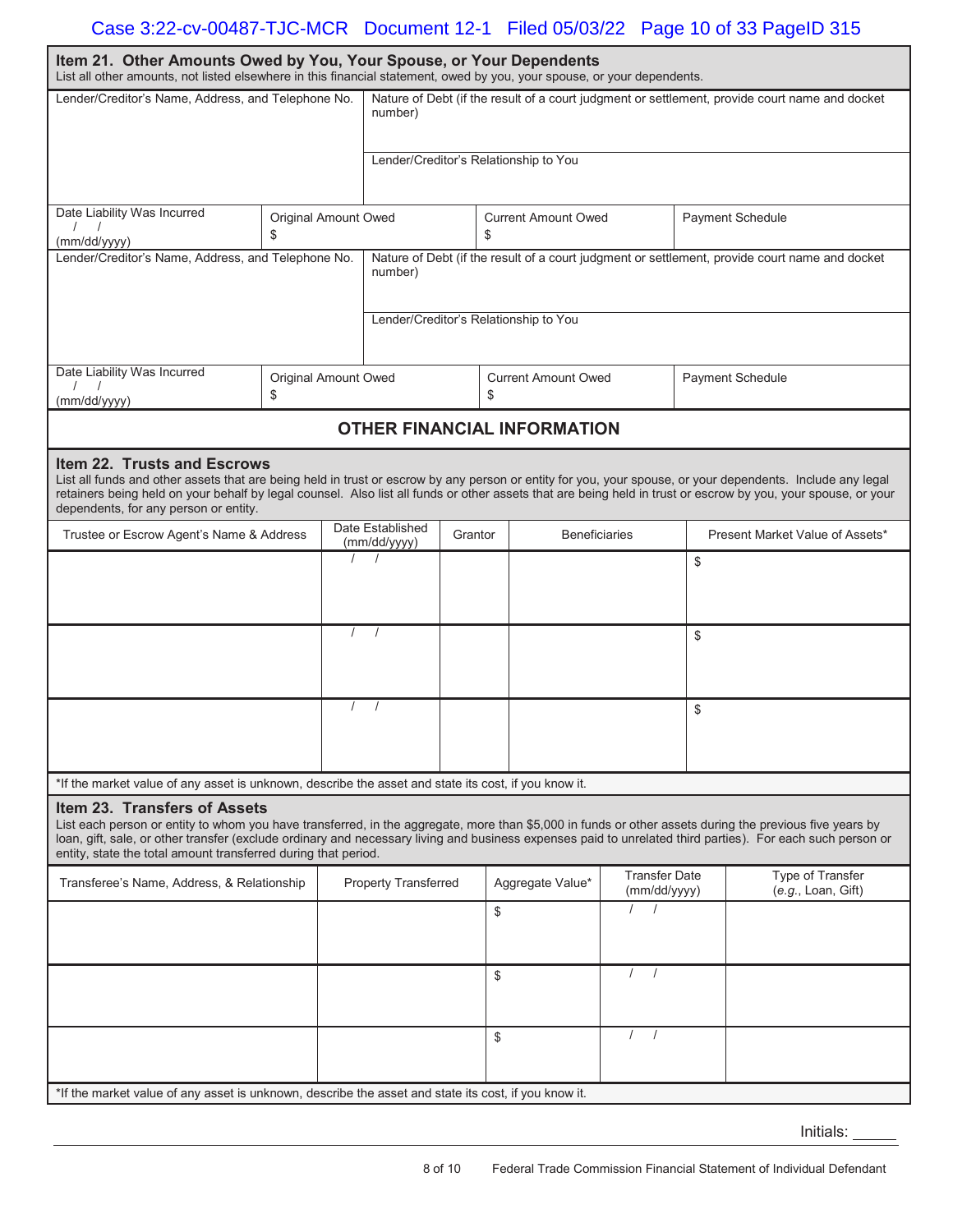# Case 3:22-cv-00487-TJC-MCR Document 12-1 Filed 05/03/22 Page 10 of 33 PageID 315

| Item 21. Other Amounts Owed by You, Your Spouse, or Your Dependents<br>List all other amounts, not listed elsewhere in this financial statement, owed by you, your spouse, or your dependents.                                                                                                                                                                                                                          |                                   |            |                                             |                                                                                                |                                                      |                                       |                                      |                                 |                                                                                                |  |
|-------------------------------------------------------------------------------------------------------------------------------------------------------------------------------------------------------------------------------------------------------------------------------------------------------------------------------------------------------------------------------------------------------------------------|-----------------------------------|------------|---------------------------------------------|------------------------------------------------------------------------------------------------|------------------------------------------------------|---------------------------------------|--------------------------------------|---------------------------------|------------------------------------------------------------------------------------------------|--|
| Lender/Creditor's Name, Address, and Telephone No.                                                                                                                                                                                                                                                                                                                                                                      |                                   |            | number)                                     |                                                                                                |                                                      |                                       |                                      |                                 | Nature of Debt (if the result of a court judgment or settlement, provide court name and docket |  |
|                                                                                                                                                                                                                                                                                                                                                                                                                         |                                   |            |                                             | Lender/Creditor's Relationship to You                                                          |                                                      |                                       |                                      |                                 |                                                                                                |  |
| Date Liability Was Incurred<br>(mm/dd/yyyy)                                                                                                                                                                                                                                                                                                                                                                             | Original Amount Owed<br>\$        |            |                                             |                                                                                                | <b>Current Amount Owed</b><br>Payment Schedule<br>\$ |                                       |                                      |                                 |                                                                                                |  |
| Lender/Creditor's Name, Address, and Telephone No.                                                                                                                                                                                                                                                                                                                                                                      |                                   |            | number)                                     | Nature of Debt (if the result of a court judgment or settlement, provide court name and docket |                                                      |                                       |                                      |                                 |                                                                                                |  |
|                                                                                                                                                                                                                                                                                                                                                                                                                         |                                   |            |                                             |                                                                                                |                                                      | Lender/Creditor's Relationship to You |                                      |                                 |                                                                                                |  |
| Date Liability Was Incurred<br>(mm/dd/yyyy)                                                                                                                                                                                                                                                                                                                                                                             | <b>Original Amount Owed</b><br>\$ |            |                                             |                                                                                                | \$                                                   | <b>Current Amount Owed</b>            |                                      |                                 | <b>Payment Schedule</b>                                                                        |  |
|                                                                                                                                                                                                                                                                                                                                                                                                                         |                                   |            |                                             |                                                                                                |                                                      | <b>OTHER FINANCIAL INFORMATION</b>    |                                      |                                 |                                                                                                |  |
| Item 22. Trusts and Escrows<br>List all funds and other assets that are being held in trust or escrow by any person or entity for you, your spouse, or your dependents. Include any legal<br>retainers being held on your behalf by legal counsel. Also list all funds or other assets that are being held in trust or escrow by you, your spouse, or your<br>dependents, for any person or entity.                     |                                   |            |                                             |                                                                                                |                                                      |                                       |                                      |                                 |                                                                                                |  |
| Trustee or Escrow Agent's Name & Address                                                                                                                                                                                                                                                                                                                                                                                |                                   |            | Date Established<br>Grantor<br>(mm/dd/yyyy) |                                                                                                | <b>Beneficiaries</b>                                 |                                       |                                      | Present Market Value of Assets* |                                                                                                |  |
|                                                                                                                                                                                                                                                                                                                                                                                                                         | $\prime$                          | $\sqrt{ }$ |                                             |                                                                                                |                                                      | \$                                    |                                      |                                 |                                                                                                |  |
|                                                                                                                                                                                                                                                                                                                                                                                                                         |                                   | $\prime$   | $\sqrt{ }$                                  |                                                                                                |                                                      |                                       |                                      | \$                              |                                                                                                |  |
|                                                                                                                                                                                                                                                                                                                                                                                                                         |                                   | $\prime$   | $\sqrt{ }$                                  |                                                                                                |                                                      |                                       |                                      | \$                              |                                                                                                |  |
| *If the market value of any asset is unknown, describe the asset and state its cost, if you know it.                                                                                                                                                                                                                                                                                                                    |                                   |            |                                             |                                                                                                |                                                      |                                       |                                      |                                 |                                                                                                |  |
| Item 23. Transfers of Assets<br>List each person or entity to whom you have transferred, in the aggregate, more than \$5,000 in funds or other assets during the previous five years by<br>loan, gift, sale, or other transfer (exclude ordinary and necessary living and business expenses paid to unrelated third parties). For each such person or<br>entity, state the total amount transferred during that period. |                                   |            |                                             |                                                                                                |                                                      |                                       |                                      |                                 |                                                                                                |  |
| Transferee's Name, Address, & Relationship                                                                                                                                                                                                                                                                                                                                                                              |                                   |            | <b>Property Transferred</b>                 |                                                                                                |                                                      | Aggregate Value*                      | <b>Transfer Date</b><br>(mm/dd/yyyy) |                                 | Type of Transfer<br>(e.g., Loan, Gift)                                                         |  |
|                                                                                                                                                                                                                                                                                                                                                                                                                         |                                   |            |                                             |                                                                                                |                                                      |                                       | $\sqrt{ }$                           |                                 |                                                                                                |  |
|                                                                                                                                                                                                                                                                                                                                                                                                                         |                                   |            | \$                                          |                                                                                                | $\prime$<br>$\sqrt{ }$                               |                                       |                                      |                                 |                                                                                                |  |
|                                                                                                                                                                                                                                                                                                                                                                                                                         |                                   |            | \$                                          |                                                                                                | $\left  \right $                                     |                                       |                                      |                                 |                                                                                                |  |
| *If the market value of any asset is unknown, describe the asset and state its cost, if you know it.                                                                                                                                                                                                                                                                                                                    |                                   |            |                                             |                                                                                                |                                                      |                                       |                                      |                                 |                                                                                                |  |

Initials: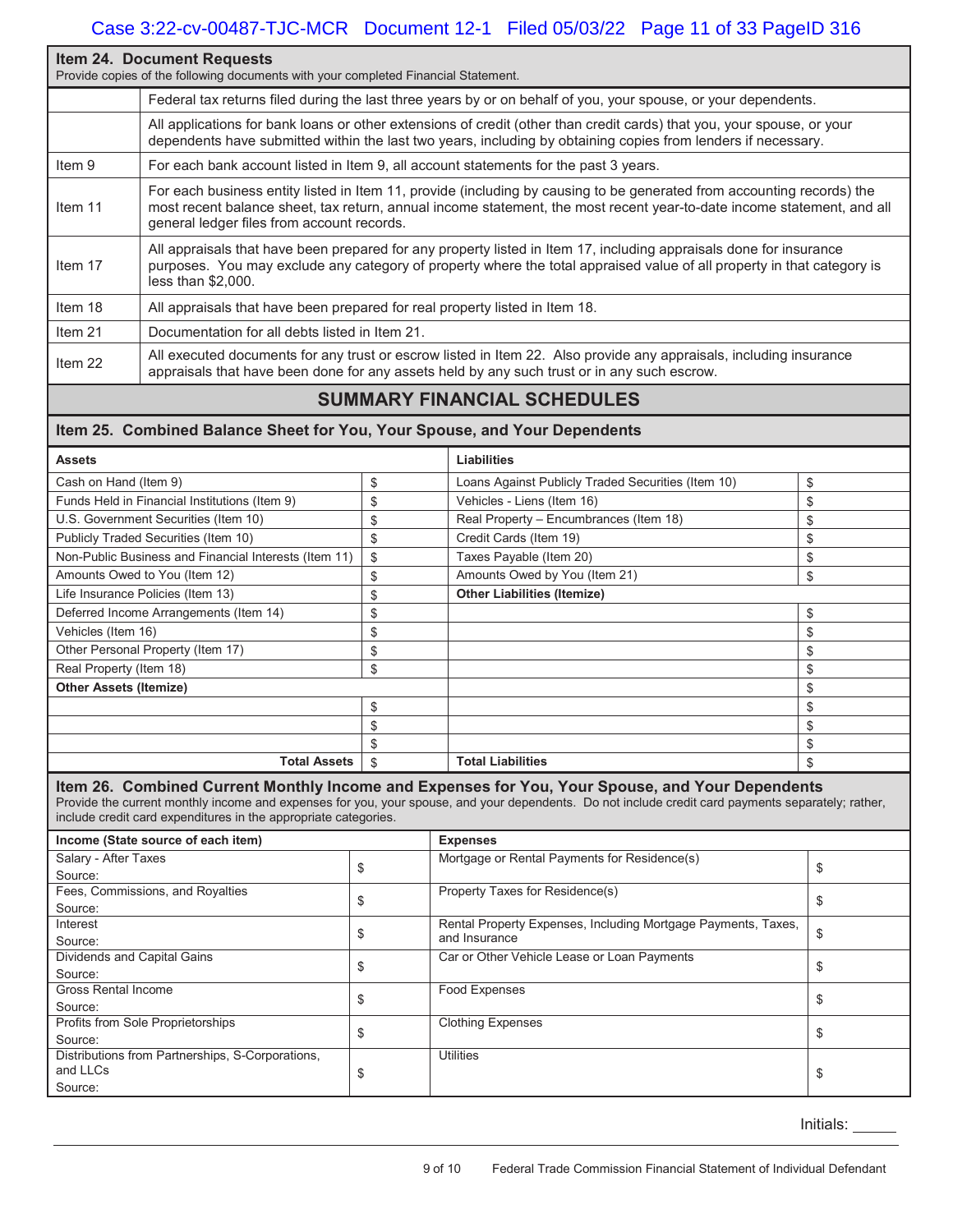# **Item 24. Document Requests**  Provide copies of the following documents with your completed Financial Statement. Federal tax returns filed during the last three years by or on behalf of you, your spouse, or your dependents. All applications for bank loans or other extensions of credit (other than credit cards) that you, your spouse, or your dependents have submitted within the last two years, including by obtaining copies from lenders if necessary. Item 9 For each bank account listed in Item 9, all account statements for the past 3 years. Item 11 For each business entity listed in Item 11, provide (including by causing to be generated from accounting records) the most recent balance sheet, tax return, annual income statement, the most recent year-to-date income statement, and all general ledger files from account records. Item 17 All appraisals that have been prepared for any property listed in Item 17, including appraisals done for insurance purposes. You may exclude any category of property where the total appraised value of all property in that category is less than \$2,000. Item 18 All appraisals that have been prepared for real property listed in Item 18. Item 21 Documentation for all debts listed in Item 21. Item 22 All executed documents for any trust or escrow listed in Item 22. Also provide any appraisals, including insurance appraisals that have been done for any assets held by any such trust or in any such escrow.

# **SUMMARY FINANCIAL SCHEDULES**

## **Item 25. Combined Balance Sheet for You, Your Spouse, and Your Dependents**

| <b>Assets</b>                                         | Liabilities                                              |    |
|-------------------------------------------------------|----------------------------------------------------------|----|
| Cash on Hand (Item 9)                                 | \$<br>Loans Against Publicly Traded Securities (Item 10) | \$ |
| Funds Held in Financial Institutions (Item 9)         | \$<br>Vehicles - Liens (Item 16)                         | \$ |
| U.S. Government Securities (Item 10)                  | \$<br>Real Property - Encumbrances (Item 18)             | \$ |
| Publicly Traded Securities (Item 10)                  | \$<br>Credit Cards (Item 19)                             | \$ |
| Non-Public Business and Financial Interests (Item 11) | \$<br>Taxes Payable (Item 20)                            | \$ |
| Amounts Owed to You (Item 12)                         | \$<br>Amounts Owed by You (Item 21)                      | \$ |
| Life Insurance Policies (Item 13)                     | \$<br><b>Other Liabilities (Itemize)</b>                 |    |
| Deferred Income Arrangements (Item 14)                | \$                                                       | \$ |
| Vehicles (Item 16)                                    | \$                                                       | \$ |
| Other Personal Property (Item 17)                     | \$                                                       | \$ |
| Real Property (Item 18)                               | \$                                                       | \$ |
| <b>Other Assets (Itemize)</b>                         |                                                          | \$ |
|                                                       | \$                                                       | \$ |
|                                                       | \$                                                       | \$ |
|                                                       | \$                                                       | \$ |
| <b>Total Assets</b>                                   | \$<br><b>Total Liabilities</b>                           | \$ |

### **Item 26. Combined Current Monthly Income and Expenses for You, Your Spouse, and Your Dependents**

Provide the current monthly income and expenses for you, your spouse, and your dependents. Do not include credit card payments separately; rather, include credit card expenditures in the appropriate categories.

| Income (State source of each item)               |   | <b>Expenses</b>                                               |   |  |  |
|--------------------------------------------------|---|---------------------------------------------------------------|---|--|--|
| Salary - After Taxes                             |   | Mortgage or Rental Payments for Residence(s)                  |   |  |  |
| Source:                                          | Œ |                                                               |   |  |  |
| Fees, Commissions, and Royalties                 |   | Property Taxes for Residence(s)                               |   |  |  |
| Source:                                          |   |                                                               |   |  |  |
| Interest                                         |   | Rental Property Expenses, Including Mortgage Payments, Taxes, |   |  |  |
| Source:                                          | ъ | and Insurance                                                 | Φ |  |  |
| Dividends and Capital Gains                      |   | Car or Other Vehicle Lease or Loan Payments                   |   |  |  |
| Source:                                          | æ |                                                               |   |  |  |
| Gross Rental Income                              |   | Food Expenses                                                 |   |  |  |
| Source:                                          |   |                                                               |   |  |  |
| Profits from Sole Proprietorships                |   | <b>Clothing Expenses</b>                                      |   |  |  |
| Source:                                          | ć |                                                               | Œ |  |  |
| Distributions from Partnerships, S-Corporations, |   | <b>Utilities</b>                                              |   |  |  |
| and LLCs                                         | ć |                                                               | Œ |  |  |
| Source:                                          |   |                                                               |   |  |  |

Initials: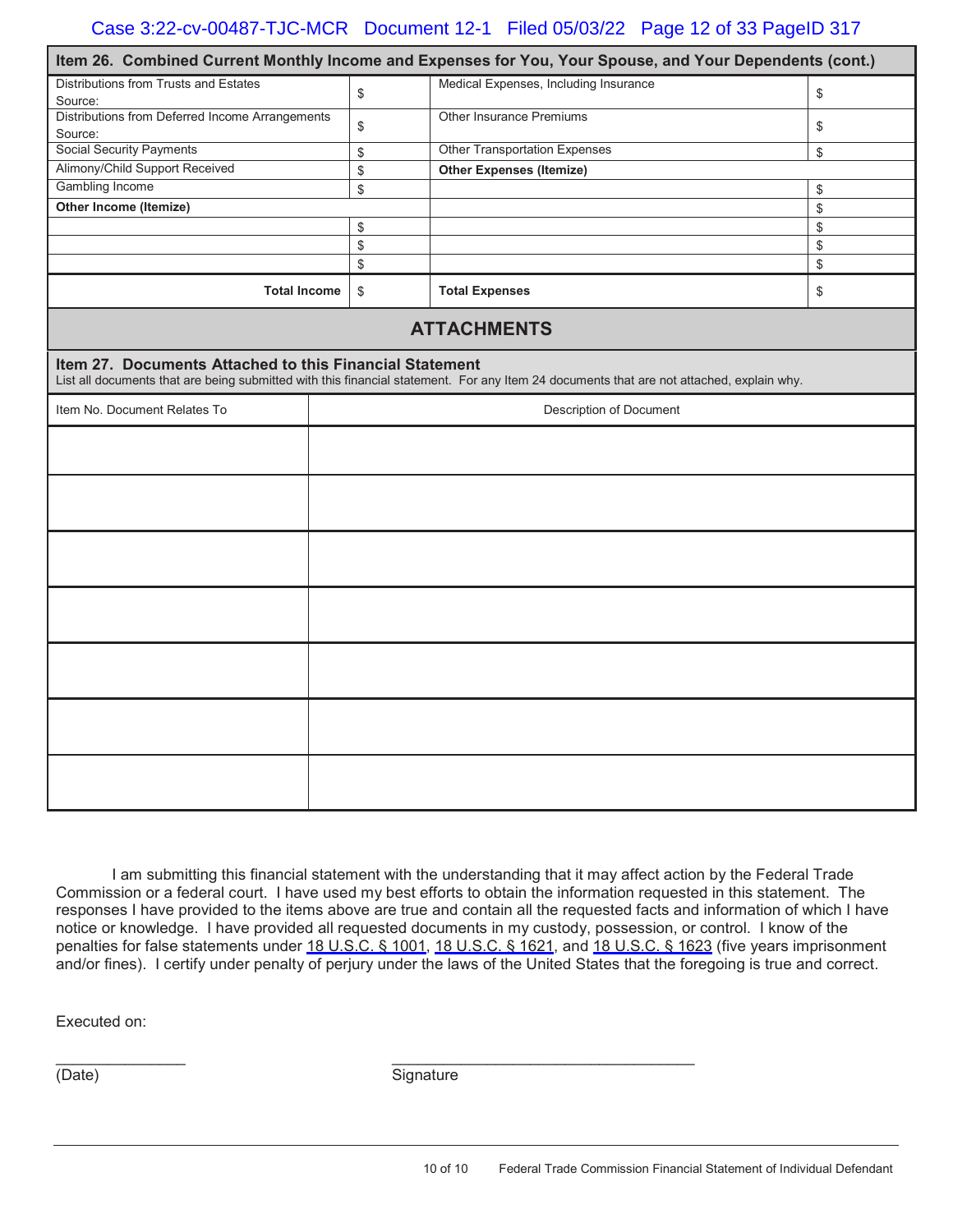|                                                            |               | Item 26. Combined Current Monthly Income and Expenses for You, Your Spouse, and Your Dependents (cont.)                                  |    |  |  |  |
|------------------------------------------------------------|---------------|------------------------------------------------------------------------------------------------------------------------------------------|----|--|--|--|
| Distributions from Trusts and Estates<br>Source:           | \$            | Medical Expenses, Including Insurance<br>\$                                                                                              |    |  |  |  |
| Distributions from Deferred Income Arrangements<br>Source: | \$            | Other Insurance Premiums                                                                                                                 | \$ |  |  |  |
| <b>Social Security Payments</b>                            | \$            | <b>Other Transportation Expenses</b>                                                                                                     | \$ |  |  |  |
| Alimony/Child Support Received                             | \$            | <b>Other Expenses (Itemize)</b>                                                                                                          |    |  |  |  |
| <b>Gambling Income</b>                                     | \$            |                                                                                                                                          | \$ |  |  |  |
| Other Income (Itemize)                                     |               |                                                                                                                                          | \$ |  |  |  |
|                                                            | \$            |                                                                                                                                          | \$ |  |  |  |
|                                                            | \$            |                                                                                                                                          | \$ |  |  |  |
|                                                            | $\mathfrak s$ |                                                                                                                                          | \$ |  |  |  |
| <b>Total Income</b>                                        | \$            | <b>Total Expenses</b>                                                                                                                    | \$ |  |  |  |
|                                                            |               | <b>ATTACHMENTS</b>                                                                                                                       |    |  |  |  |
| Item 27. Documents Attached to this Financial Statement    |               | List all documents that are being submitted with this financial statement. For any Item 24 documents that are not attached, explain why. |    |  |  |  |
| Item No. Document Relates To                               |               | Description of Document                                                                                                                  |    |  |  |  |
|                                                            |               |                                                                                                                                          |    |  |  |  |
|                                                            |               |                                                                                                                                          |    |  |  |  |
|                                                            |               |                                                                                                                                          |    |  |  |  |
|                                                            |               |                                                                                                                                          |    |  |  |  |
|                                                            |               |                                                                                                                                          |    |  |  |  |
|                                                            |               |                                                                                                                                          |    |  |  |  |
|                                                            |               |                                                                                                                                          |    |  |  |  |

I am submitting this financial statement with the understanding that it may affect action by the Federal Trade Commission or a federal court. I have used my best efforts to obtain the information requested in this statement. The responses I have provided to the items above are true and contain all the requested facts and information of which I have notice or knowledge. I have provided all requested documents in my custody, possession, or control. I know of the penalties for false statements under [18 U.S.C. § 1001,](https://www.westlaw.com/Link/Document/FullText?rs=USCLink&vr=3.0&findType=Y&cite=18%2B%2Bu%2Es%2Ec%2E%2B%2B%2B%2B1001&clientid=USCourts) [18](https://www.westlaw.com/Link/Document/FullText?rs=USCLink&vr=3.0&findType=Y&cite=18%2B%2Bu%2Es%2Ec%2E%2B%2B18&clientid=USCourts) [U.S.C. § 1621,](https://www.westlaw.com/Link/Document/FullText?rs=USCLink&vr=3.0&findType=Y&cite=18%2B%2Bu%2Es%2Ec%2E%2B%2B%2B%2B1621&clientid=USCourts) and [1](https://www.westlaw.com/Link/Document/FullText?rs=USCLink&vr=3.0&findType=Y&cite=18%2B%2Bu%2Es%2Ec%2E%2B%2B18&clientid=USCourts)[8 U.S.C. § 1623](https://www.westlaw.com/Link/Document/FullText?rs=USCLink&vr=3.0&findType=Y&cite=18%2B%2Bu%2Es%2Ec%2E%2B%2B%2B%2B1623&clientid=USCourts) (five years imprisonment and/or fines). I certify under penalty of perjury under the laws of the United States that the foregoing is true and correct.

Executed on:

(Date) Signature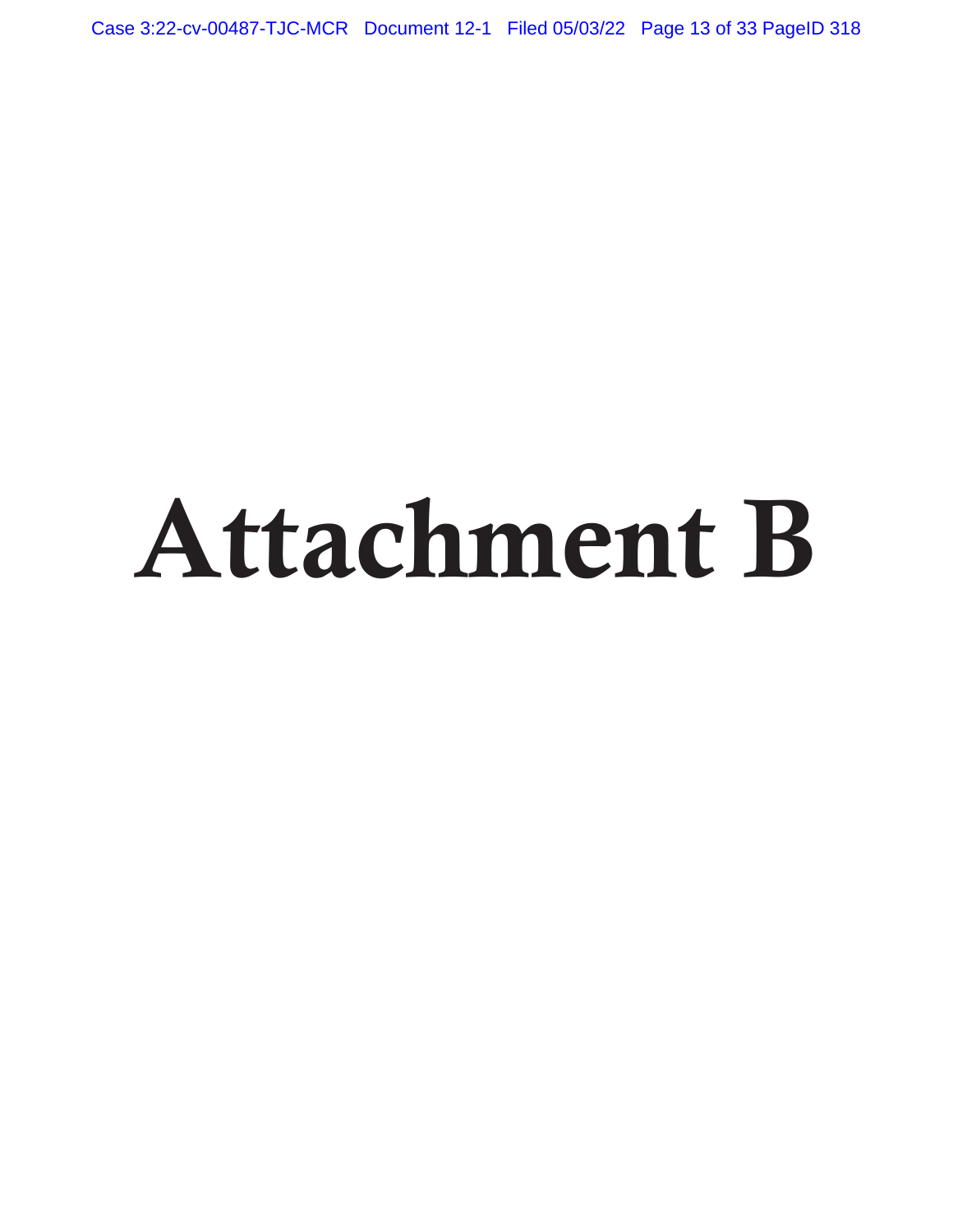Case 3:22-cv-00487-TJC-MCR Document 12-1 Filed 05/03/22 Page 13 of 33 PageID 318

# Attachment B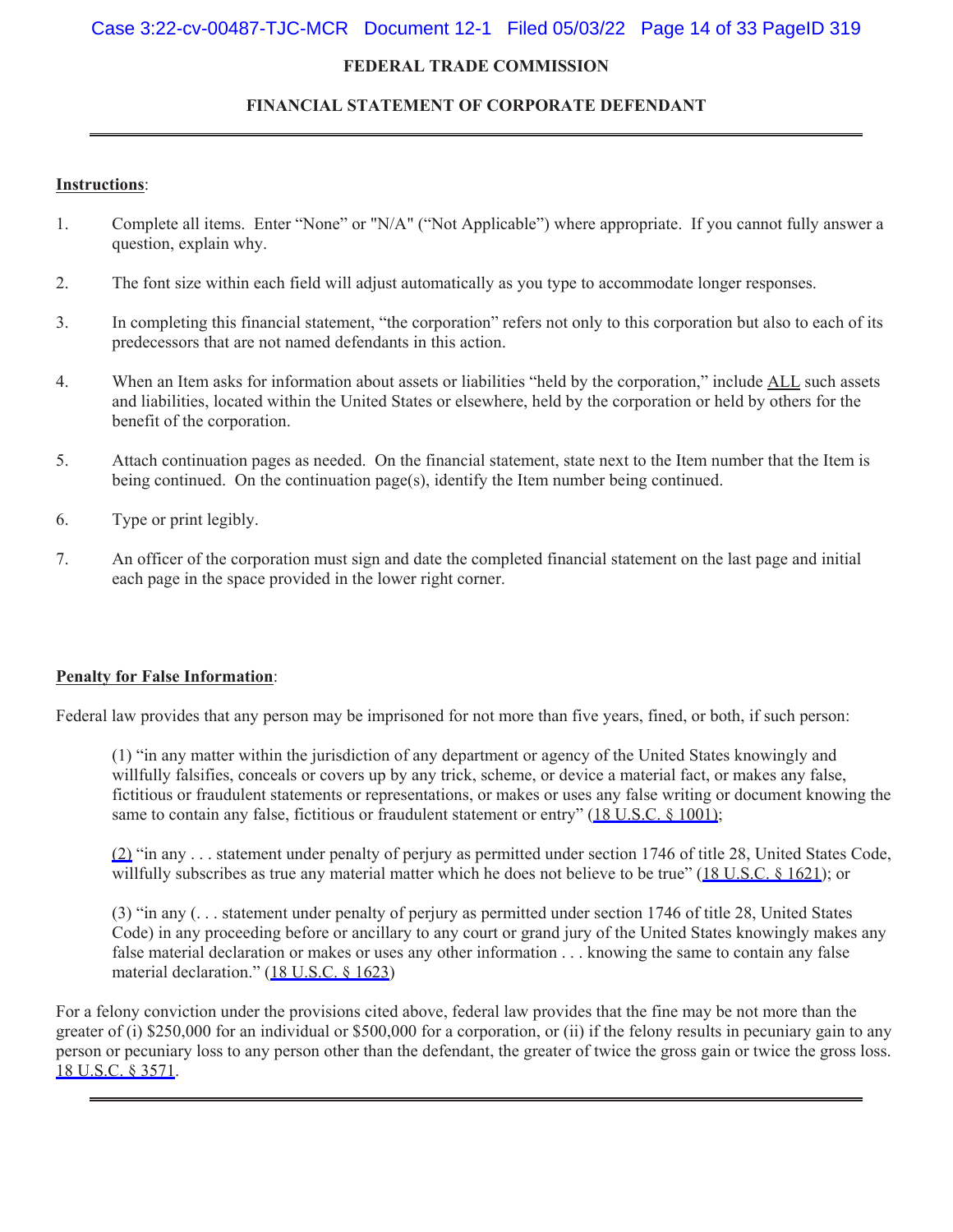# Case 3:22-cv-00487-TJC-MCR Document 12-1 Filed 05/03/22 Page 14 of 33 PageID 319

## **FEDERAL TRADE COMMISSION**

# **FINANCIAL STATEMENT OF CORPORATE DEFENDANT**

## **Instructions**:

- 1. Complete all items. Enter "None" or "N/A" ("Not Applicable") where appropriate. If you cannot fully answer a question, explain why.
- 2. The font size within each field will adjust automatically as you type to accommodate longer responses.
- 3. In completing this financial statement, "the corporation" refers not only to this corporation but also to each of its predecessors that are not named defendants in this action.
- 4. When an Item asks for information about assets or liabilities "held by the corporation," include ALL such assets and liabilities, located within the United States or elsewhere, held by the corporation or held by others for the benefit of the corporation.
- 5. Attach continuation pages as needed. On the financial statement, state next to the Item number that the Item is being continued. On the continuation page(s), identify the Item number being continued.
- 6. Type or print legibly.
- 7. An officer of the corporation must sign and date the completed financial statement on the last page and initial each page in the space provided in the lower right corner.

## **Penalty for False Information**:

Federal law provides that any person may be imprisoned for not more than five years, fined, or both, if such person:

(1) "in any matter within the jurisdiction of any department or agency of the United States knowingly and willfully falsifies, conceals or covers up by any trick, scheme, or device a material fact, or makes any false, fictitious or fraudulent statements or representations, or makes or uses any false writing or document knowing the same to contain any false, fictitious or fraudulent statement or entry" [\(18 U.S.C. § 1001\);](https://www.westlaw.com/Link/Document/FullText?rs=USCLink&vr=3.0&findType=Y&cite=18%2B%2Bu%2Es%2Ec%2E%2B%2B%2B%2B1001%29&clientid=USCourts)

[\(2\)](https://www.westlaw.com/Link/Document/FullText?rs=USCLink&vr=3.0&findType=Y&cite=18%2B%2Bu%2Es%2Ec%2E%2B%2B1001%29&clientid=USCourts) "in any . . . statement under penalty of perjury as permitted under section 1746 of title 28, United States Code, willfully subscribes as true any material matter which he does not believe to be true" [\(18 U.S.C. § 1621\)](https://www.westlaw.com/Link/Document/FullText?rs=USCLink&vr=3.0&findType=Y&cite=18%2B%2Bu%2Es%2Ec%2E%2B%2B%2B%2B1621&clientid=USCourts); or

(3) "in any (. . . statement under penalty of perjury as permitted under section 1746 of title 28, United States Code) in any proceeding before or ancillary to any court or grand jury of the United States knowingly makes any false material declaration or makes or uses any other information . . . knowing the same to contain any false material declaration." ([18 U.S.C. § 1623](https://www.westlaw.com/Link/Document/FullText?rs=USCLink&vr=3.0&findType=Y&cite=18%2B%2Bu%2Es%2Ec%2E%2B%2B%2B%2B1623&clientid=USCourts))

For a felony conviction under the provisions cited above, federal law provides that the fine may be not more than the greater of (i) \$250,000 for an individual or \$500,000 for a corporation, or (ii) if the felony results in pecuniary gain to any person or pecuniary loss to any person other than the defendant, the greater of twice the gross gain or twice the gross loss. [18 U.S.C. § 3571.](https://www.westlaw.com/Link/Document/FullText?rs=USCLink&vr=3.0&findType=Y&cite=18%2B%2Bu%2Es%2Ec%2E%2B%2B%2B%2B3571&clientid=USCourts)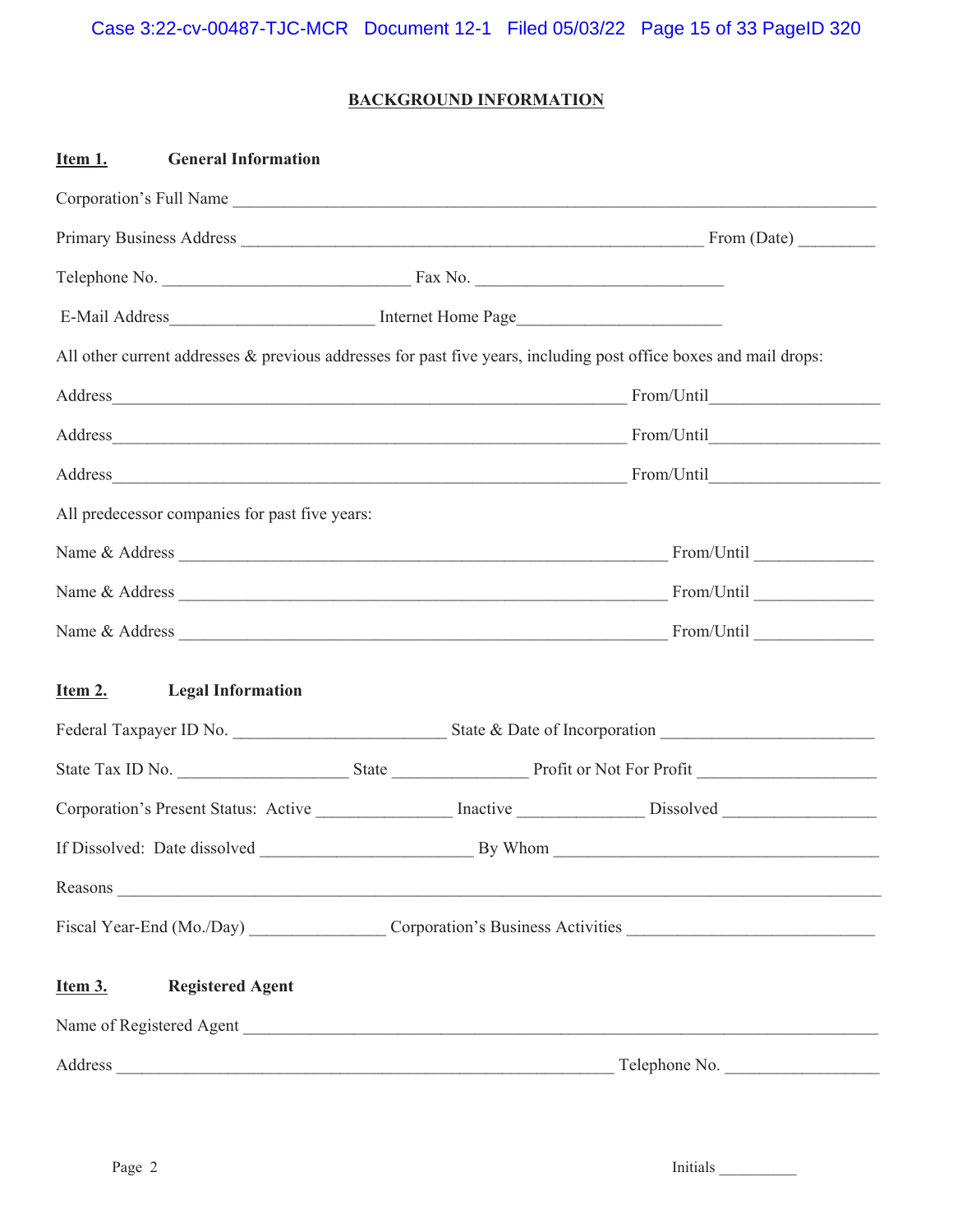# **BACKGROUND INFORMATION**

| Item 1.<br><b>General Information</b>          |                                                                                                                                                                                                                                |
|------------------------------------------------|--------------------------------------------------------------------------------------------------------------------------------------------------------------------------------------------------------------------------------|
| Corporation's Full Name                        |                                                                                                                                                                                                                                |
|                                                |                                                                                                                                                                                                                                |
|                                                |                                                                                                                                                                                                                                |
|                                                |                                                                                                                                                                                                                                |
|                                                | All other current addresses & previous addresses for past five years, including post office boxes and mail drops:                                                                                                              |
|                                                |                                                                                                                                                                                                                                |
|                                                |                                                                                                                                                                                                                                |
|                                                |                                                                                                                                                                                                                                |
| All predecessor companies for past five years: |                                                                                                                                                                                                                                |
|                                                |                                                                                                                                                                                                                                |
|                                                |                                                                                                                                                                                                                                |
|                                                |                                                                                                                                                                                                                                |
| Item 2.<br><b>Legal Information</b>            |                                                                                                                                                                                                                                |
|                                                |                                                                                                                                                                                                                                |
|                                                | State Tax ID No. State State State Profit or Not For Profit                                                                                                                                                                    |
|                                                | Corporation's Present Status: Active ____________ Inactive ____________ Dissolved _________________                                                                                                                            |
|                                                |                                                                                                                                                                                                                                |
|                                                | Reasons experience and the contract of the contract of the contract of the contract of the contract of the contract of the contract of the contract of the contract of the contract of the contract of the contract of the con |
|                                                | Fiscal Year-End (Mo./Day) Corporation's Business Activities _____________________                                                                                                                                              |
| Item 3.<br><b>Registered Agent</b>             |                                                                                                                                                                                                                                |
| Name of Registered Agent                       |                                                                                                                                                                                                                                |
| Address                                        | Telephone No.                                                                                                                                                                                                                  |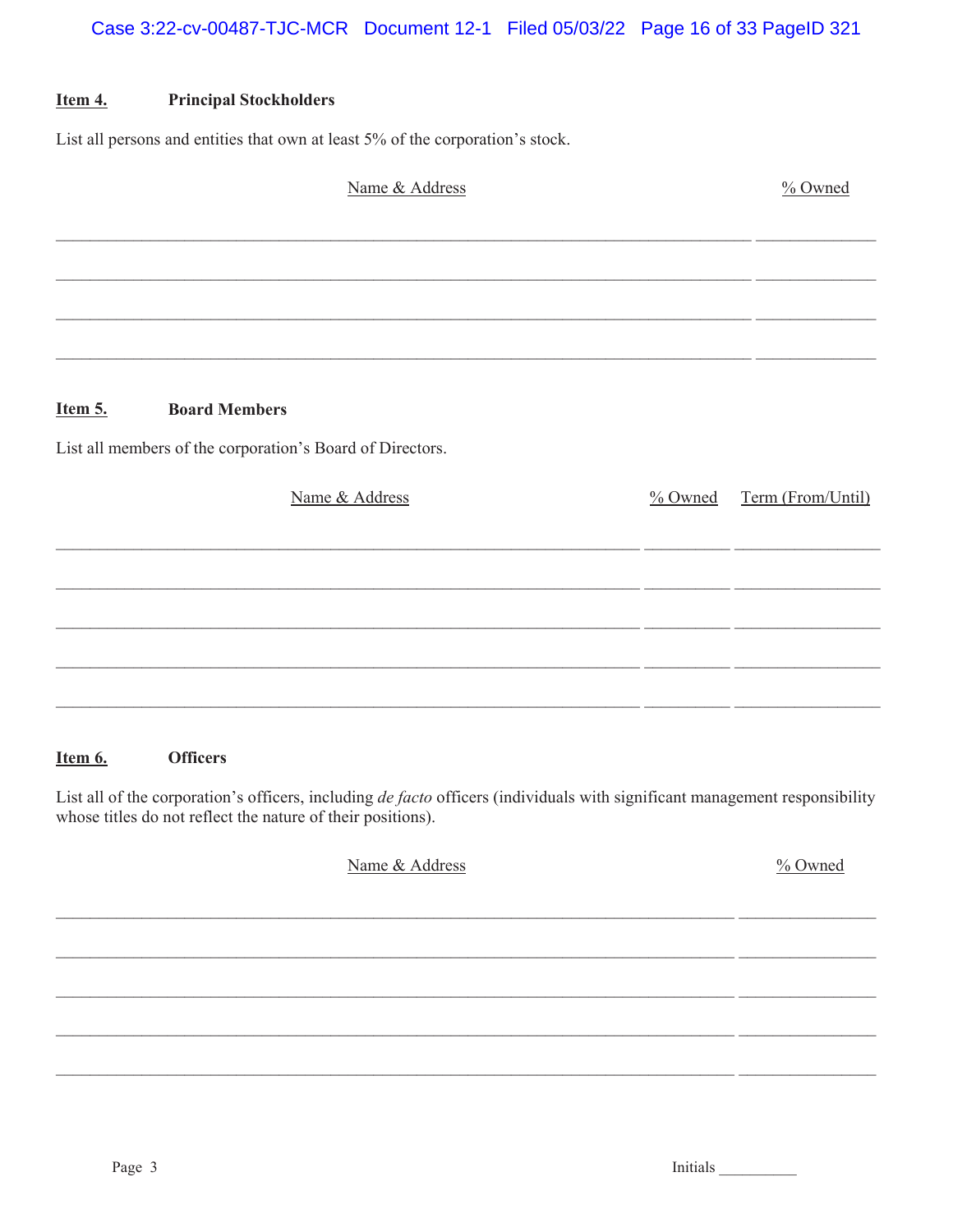#### Item 4. **Principal Stockholders**

List all persons and entities that own at least 5% of the corporation's stock.

| Name & Address                                            | % Owned             |                   |
|-----------------------------------------------------------|---------------------|-------------------|
|                                                           |                     |                   |
|                                                           |                     |                   |
|                                                           |                     |                   |
|                                                           |                     |                   |
| <b>Board Members</b><br>Item 5.                           |                     |                   |
| List all members of the corporation's Board of Directors. |                     |                   |
| Name & Address                                            | $\frac{9}{6}$ Owned | Term (From/Until) |
|                                                           |                     |                   |
|                                                           |                     |                   |
|                                                           |                     |                   |
|                                                           |                     |                   |
|                                                           |                     |                   |
|                                                           |                     |                   |

#### Item 6. **Officers**

List all of the corporation's officers, including de facto officers (individuals with significant management responsibility whose titles do not reflect the nature of their positions).

| Name & Address | % Owned |
|----------------|---------|
|                |         |
|                |         |
|                |         |
|                |         |
|                |         |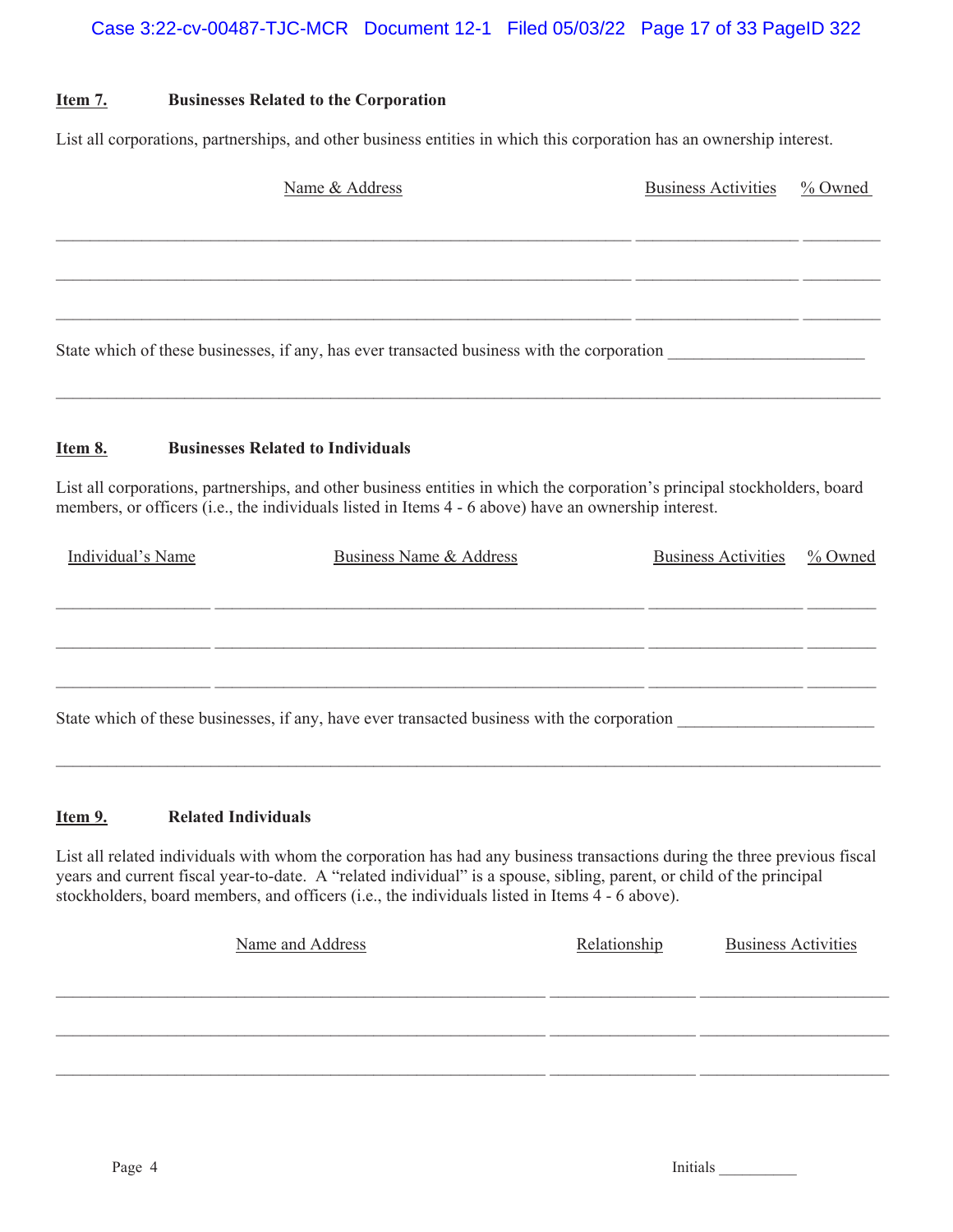# **Item 7. Businesses Related to the Corporation**

List all corporations, partnerships, and other business entities in which this corporation has an ownership interest.

|                                                                                            | <b>Business Activities</b> | % Owned |
|--------------------------------------------------------------------------------------------|----------------------------|---------|
|                                                                                            |                            |         |
|                                                                                            |                            |         |
|                                                                                            |                            |         |
| State which of these businesses, if any, has ever transacted business with the corporation |                            |         |

# **Item 8. Businesses Related to Individuals**

List all corporations, partnerships, and other business entities in which the corporation's principal stockholders, board members, or officers (i.e., the individuals listed in Items 4 - 6 above) have an ownership interest.

| Individual's Name | Business Name & Address                                                                     | <b>Business Activities</b> | % Owned |
|-------------------|---------------------------------------------------------------------------------------------|----------------------------|---------|
|                   |                                                                                             |                            |         |
|                   |                                                                                             |                            |         |
|                   |                                                                                             |                            |         |
|                   |                                                                                             |                            |         |
|                   |                                                                                             |                            |         |
|                   | State which of these businesses, if any, have ever transacted business with the corporation |                            |         |

 $\mathcal{L}_\mathcal{L} = \mathcal{L}_\mathcal{L} = \mathcal{L}_\mathcal{L} = \mathcal{L}_\mathcal{L} = \mathcal{L}_\mathcal{L} = \mathcal{L}_\mathcal{L} = \mathcal{L}_\mathcal{L} = \mathcal{L}_\mathcal{L} = \mathcal{L}_\mathcal{L} = \mathcal{L}_\mathcal{L} = \mathcal{L}_\mathcal{L} = \mathcal{L}_\mathcal{L} = \mathcal{L}_\mathcal{L} = \mathcal{L}_\mathcal{L} = \mathcal{L}_\mathcal{L} = \mathcal{L}_\mathcal{L} = \mathcal{L}_\mathcal{L}$ 

# **Item 9. Related Individuals**

List all related individuals with whom the corporation has had any business transactions during the three previous fiscal years and current fiscal year-to-date. A "related individual" is a spouse, sibling, parent, or child of the principal stockholders, board members, and officers (i.e., the individuals listed in Items 4 - 6 above).

| Name and Address | Relationship | <b>Business Activities</b> |
|------------------|--------------|----------------------------|
|                  |              |                            |
|                  |              |                            |
|                  |              |                            |
|                  |              |                            |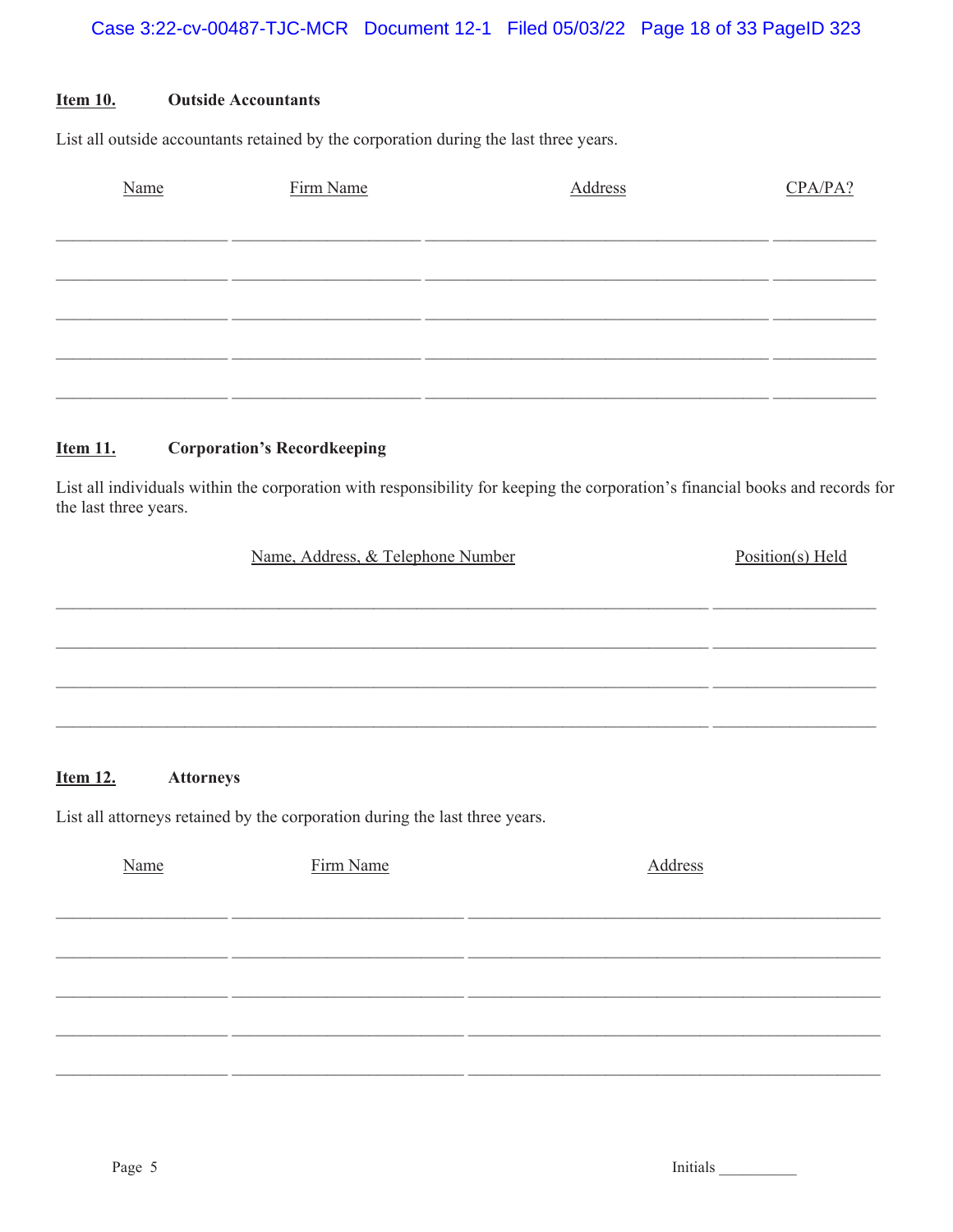#### **Item 10. Outside Accountants**

List all outside accountants retained by the corporation during the last three years.

| Name | Firm Name | Address | CPA/PA? |
|------|-----------|---------|---------|
|      |           |         |         |
|      |           |         |         |
|      |           |         |         |
|      |           |         |         |
|      |           |         |         |
|      |           |         |         |

#### **Item 11. Corporation's Recordkeeping**

List all individuals within the corporation with responsibility for keeping the corporation's financial books and records for the last three years.

| Name, Address, & Telephone Number | Position(s) Held |
|-----------------------------------|------------------|
|                                   |                  |
|                                   |                  |
|                                   |                  |
|                                   |                  |
|                                   |                  |

#### **Item 12. Attorneys**

List all attorneys retained by the corporation during the last three years.

| Name | Firm Name | Address |
|------|-----------|---------|
|      |           |         |
|      |           |         |
|      |           |         |
|      |           |         |
|      |           |         |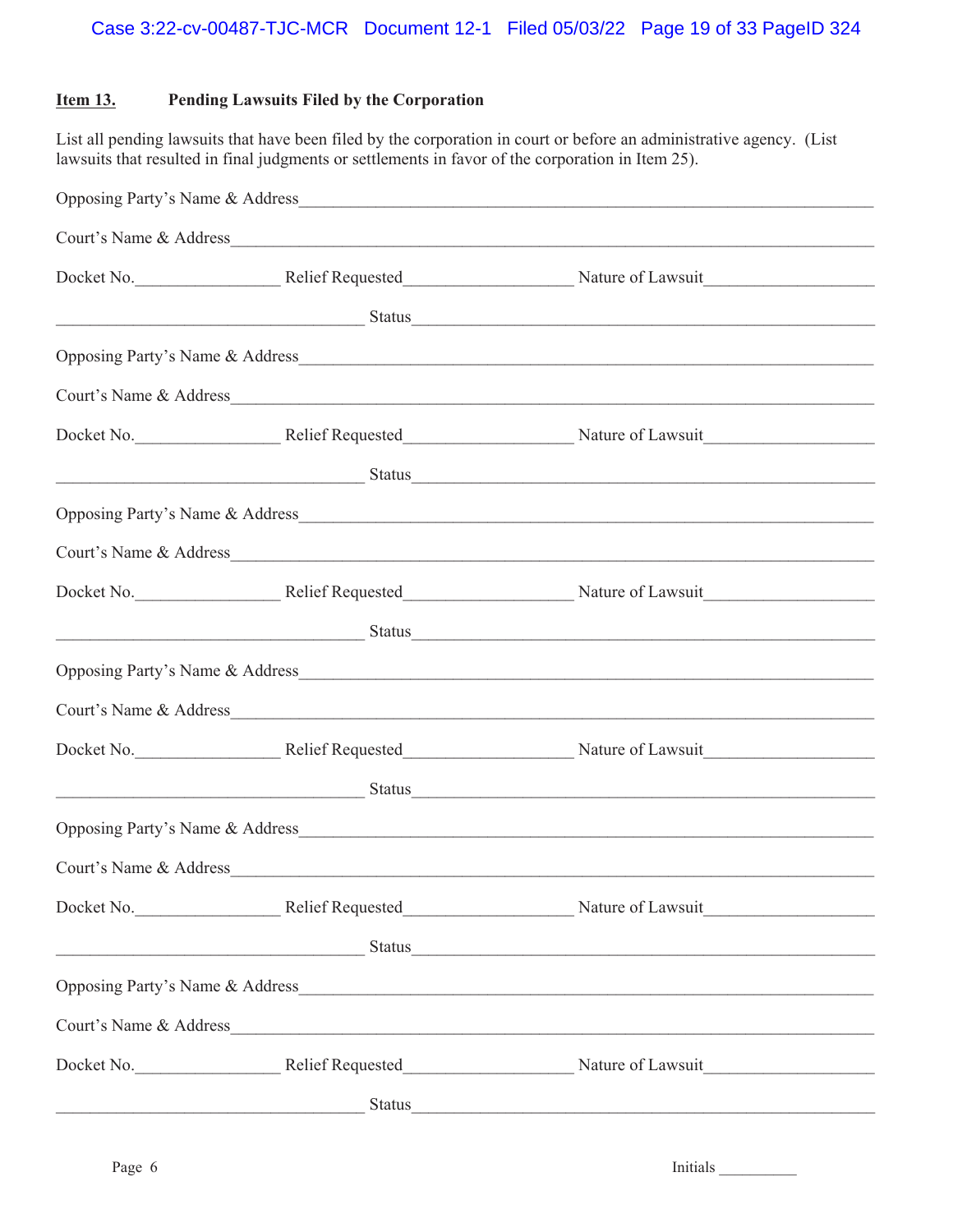# **Item 13. Pending Lawsuits Filed by the Corporation**

List all pending lawsuits that have been filed by the corporation in court or before an administrative agency. (List lawsuits that resulted in final judgments or settlements in favor of the corporation in Item 25).

|                        | <u>Status Status Status Status Status Status Status Status Status Status Status Status Status Status Status Status</u>                                                                                                         |
|------------------------|--------------------------------------------------------------------------------------------------------------------------------------------------------------------------------------------------------------------------------|
|                        |                                                                                                                                                                                                                                |
|                        | Court's Name & Address                                                                                                                                                                                                         |
|                        | Docket No. Relief Requested Nature of Lawsuit                                                                                                                                                                                  |
|                        | <u>Status Status Status Status Status Status Status Status Status Status Status Status Status Status Status Status</u>                                                                                                         |
|                        |                                                                                                                                                                                                                                |
|                        |                                                                                                                                                                                                                                |
|                        |                                                                                                                                                                                                                                |
|                        | Status et al. 2003 and 2004 and 2006 and 2006 and 2007 and 2008 and 2008 and 2008 and 2008 and 2008 and 2008 and 2008 and 2008 and 2008 and 2008 and 2008 and 2008 and 2008 and 2008 and 2008 and 2008 and 2008 and 2008 and 2 |
|                        |                                                                                                                                                                                                                                |
|                        |                                                                                                                                                                                                                                |
|                        | Docket No. Relief Requested Nature of Lawsuit                                                                                                                                                                                  |
|                        | <u>Status Status Status Status Status Status Status Status Status Status Status Status Status Status Status Status</u>                                                                                                         |
|                        |                                                                                                                                                                                                                                |
| Court's Name & Address |                                                                                                                                                                                                                                |
|                        | Docket No. Relief Requested Nature of Lawsuit                                                                                                                                                                                  |
|                        | <u>Status Status Status Status Status Status Status Status Status Status Status Status Status Status Status Status</u>                                                                                                         |
|                        | Opposing Party's Name & Address                                                                                                                                                                                                |
|                        |                                                                                                                                                                                                                                |
|                        | Docket No. Relief Requested Nature of Lawsuit                                                                                                                                                                                  |
|                        | Status Status Status Status Status Status Status Status Status Status Status Status Status Status Status Status Status Status Status Status Status Status Status Status Status Status Status Status Status Status Status Statu |
|                        |                                                                                                                                                                                                                                |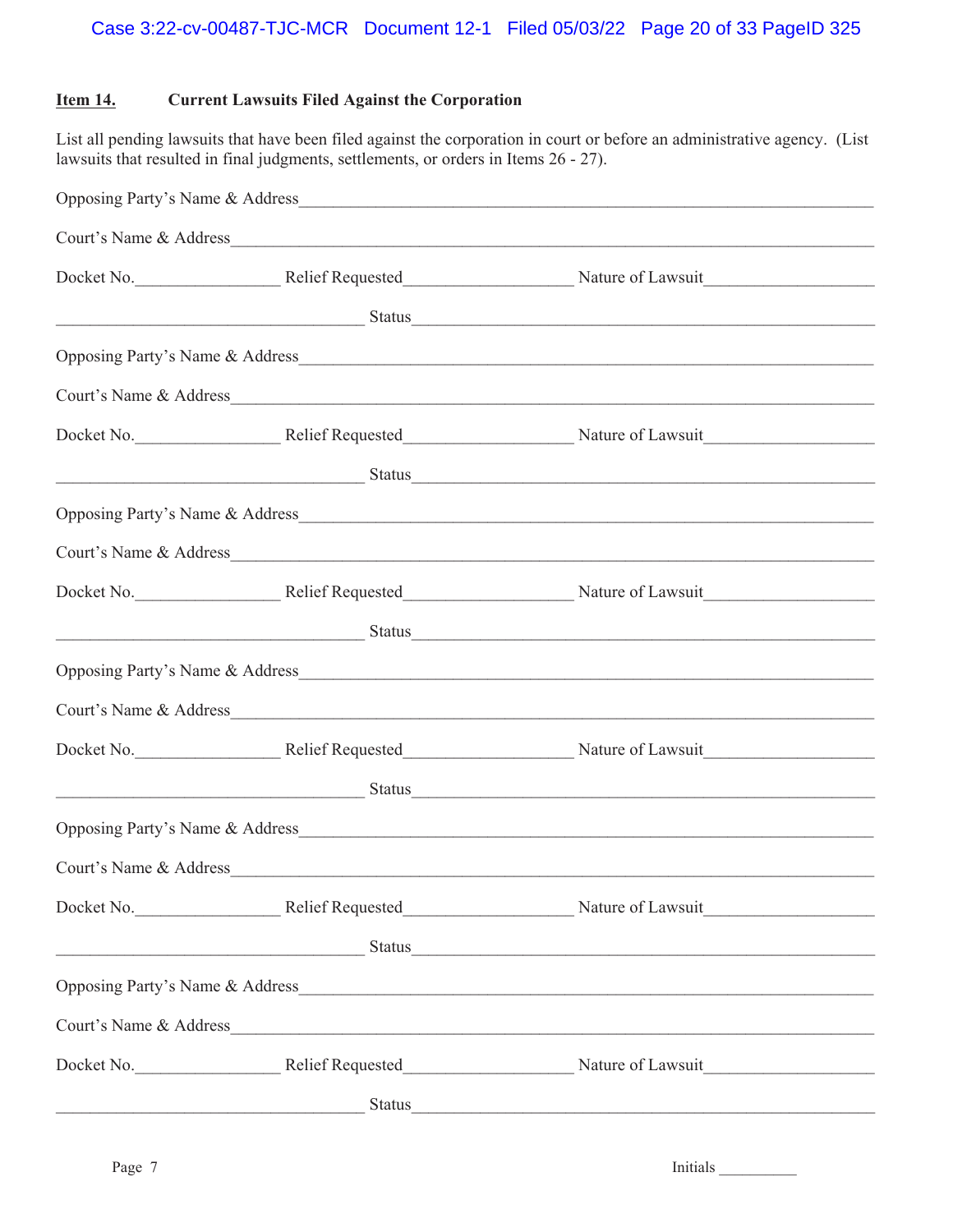# **Item 14. Current Lawsuits Filed Against the Corporation**

List all pending lawsuits that have been filed against the corporation in court or before an administrative agency. (List lawsuits that resulted in final judgments, settlements, or orders in Items 26 - 27).

|                        | Court's Name & Address                                                                                                 |
|------------------------|------------------------------------------------------------------------------------------------------------------------|
|                        |                                                                                                                        |
|                        | <u>Status Status Status Status</u>                                                                                     |
|                        | Opposing Party's Name & Address                                                                                        |
|                        |                                                                                                                        |
|                        |                                                                                                                        |
|                        | <u>Status Status Status Status Status Status Status Status Status Status Status Status Status Status Status Status</u> |
|                        |                                                                                                                        |
|                        |                                                                                                                        |
|                        |                                                                                                                        |
|                        | <u>Status Status Status Status</u>                                                                                     |
|                        |                                                                                                                        |
|                        |                                                                                                                        |
|                        |                                                                                                                        |
|                        | <u>Status Status Status Status Status Status Status Status Status Status Status Status Status Status Status Status</u> |
|                        |                                                                                                                        |
| Court's Name & Address |                                                                                                                        |
|                        | Docket No. Relief Requested Nature of Lawsuit                                                                          |
|                        | <u>Status Status Status Status</u>                                                                                     |
|                        | Opposing Party's Name & Address_                                                                                       |
|                        |                                                                                                                        |
|                        | Docket No. Relief Requested Nature of Lawsuit                                                                          |
|                        | <u>Status Status Status Status Status Status Status Status Status Status Status Status Status Status Status Status</u> |
|                        |                                                                                                                        |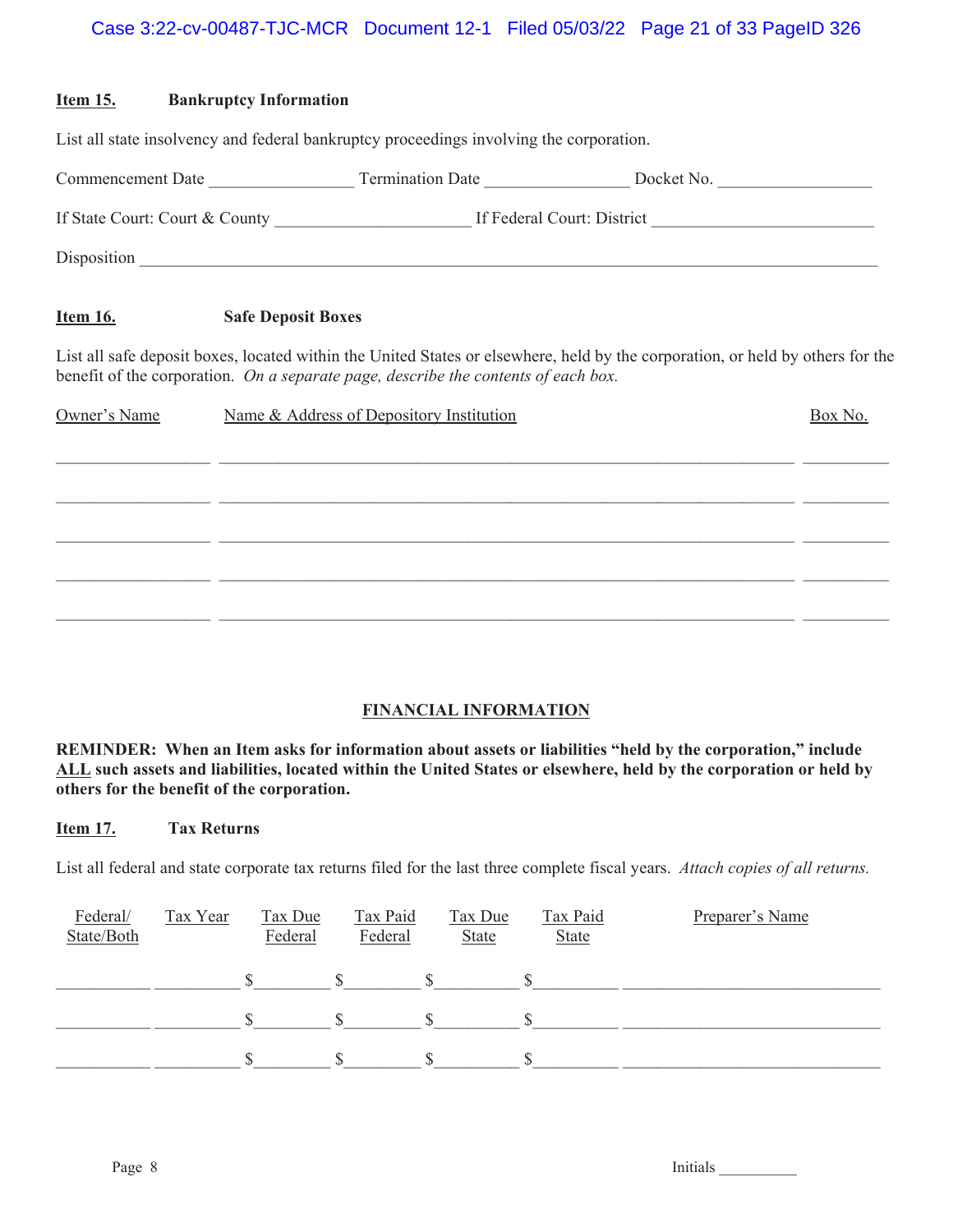| <u>Item 15.</u> | <b>Bankruptcy Information</b> |                                                                                         |                                                                                                                                |         |
|-----------------|-------------------------------|-----------------------------------------------------------------------------------------|--------------------------------------------------------------------------------------------------------------------------------|---------|
|                 |                               | List all state insolvency and federal bankruptcy proceedings involving the corporation. |                                                                                                                                |         |
|                 |                               |                                                                                         | Commencement Date ________________________Termination Date ____________________Docket No. ____________________                 |         |
|                 |                               |                                                                                         |                                                                                                                                |         |
|                 |                               |                                                                                         |                                                                                                                                |         |
| <u>Item 16.</u> | <b>Safe Deposit Boxes</b>     |                                                                                         |                                                                                                                                |         |
|                 |                               | benefit of the corporation. On a separate page, describe the contents of each box.      | List all safe deposit boxes, located within the United States or elsewhere, held by the corporation, or held by others for the |         |
| Owner's Name    |                               | Name & Address of Depository Institution                                                |                                                                                                                                | Box No. |
|                 |                               |                                                                                         |                                                                                                                                |         |
|                 |                               |                                                                                         |                                                                                                                                |         |
|                 |                               |                                                                                         |                                                                                                                                |         |
|                 |                               |                                                                                         |                                                                                                                                |         |

# **FINANCIAL INFORMATION**

 $\mathcal{L}_\mathcal{L} = \mathcal{L}_\mathcal{L} = \mathcal{L}_\mathcal{L} = \mathcal{L}_\mathcal{L} = \mathcal{L}_\mathcal{L} = \mathcal{L}_\mathcal{L} = \mathcal{L}_\mathcal{L} = \mathcal{L}_\mathcal{L} = \mathcal{L}_\mathcal{L} = \mathcal{L}_\mathcal{L} = \mathcal{L}_\mathcal{L} = \mathcal{L}_\mathcal{L} = \mathcal{L}_\mathcal{L} = \mathcal{L}_\mathcal{L} = \mathcal{L}_\mathcal{L} = \mathcal{L}_\mathcal{L} = \mathcal{L}_\mathcal{L}$ 

**REMINDER: When an Item asks for information about assets or liabilities "held by the corporation," include ALL such assets and liabilities, located within the United States or elsewhere, held by the corporation or held by others for the benefit of the corporation.**

## **Item 17. Tax Returns**

List all federal and state corporate tax returns filed for the last three complete fiscal years. *Attach copies of all returns.*

| Federal/<br>State/Both | Tax Year | Tax Due<br>Federal | Tax Paid<br>Federal | Tax Due<br><b>State</b> | Tax Paid<br><b>State</b> | Preparer's Name |
|------------------------|----------|--------------------|---------------------|-------------------------|--------------------------|-----------------|
|                        |          |                    |                     |                         |                          |                 |
|                        |          |                    |                     |                         |                          |                 |
|                        |          |                    |                     |                         |                          |                 |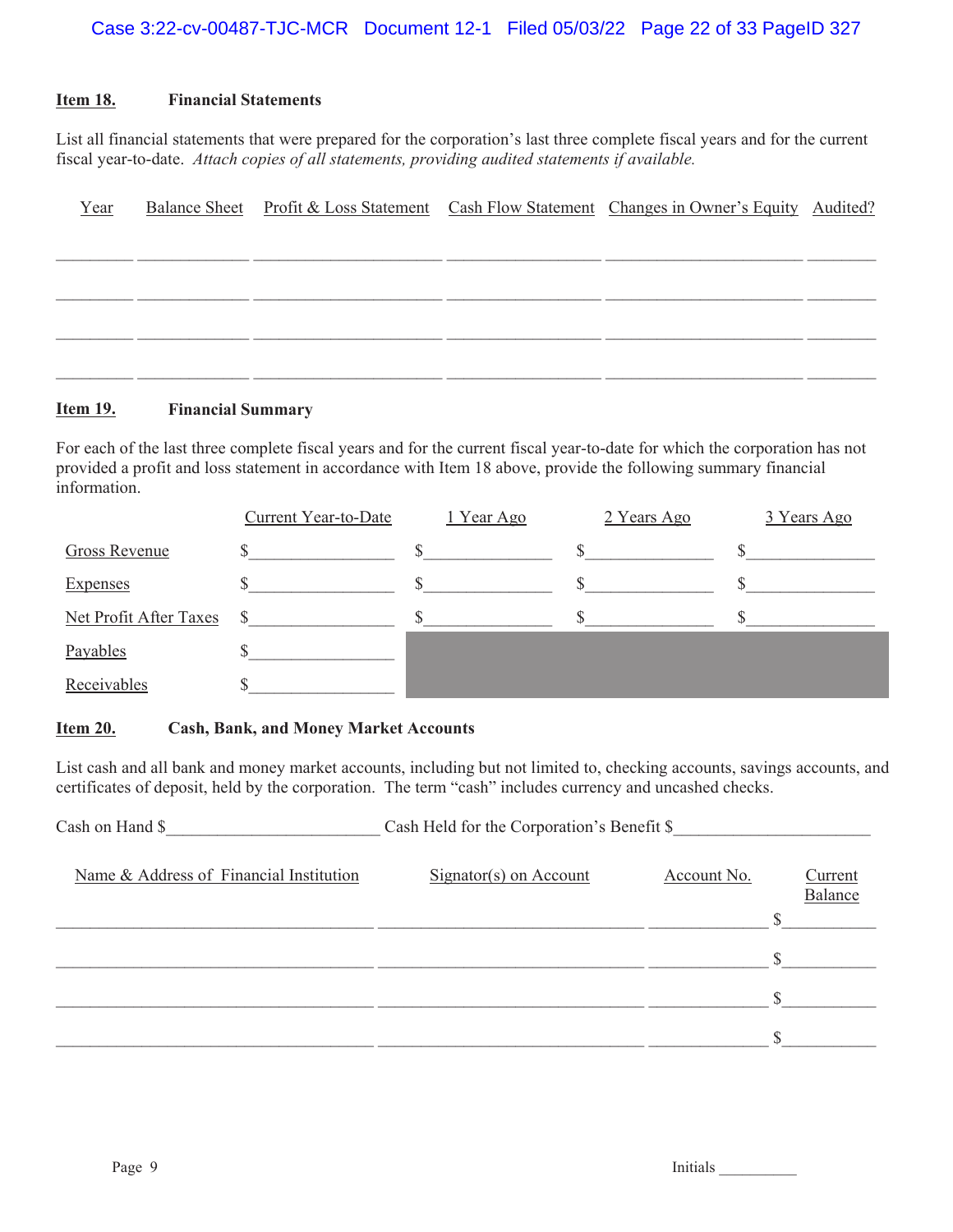# **Item 18. Financial Statements**

List all financial statements that were prepared for the corporation's last three complete fiscal years and for the current fiscal year-to-date. *Attach copies of all statements, providing audited statements if available.*

| Year |  | Balance Sheet Profit & Loss Statement Cash Flow Statement Changes in Owner's Equity Audited? |  |
|------|--|----------------------------------------------------------------------------------------------|--|
|      |  |                                                                                              |  |
|      |  |                                                                                              |  |
|      |  |                                                                                              |  |
|      |  |                                                                                              |  |
|      |  |                                                                                              |  |

# **Item 19. Financial Summary**

For each of the last three complete fiscal years and for the current fiscal year-to-date for which the corporation has not provided a profit and loss statement in accordance with Item 18 above, provide the following summary financial information.

|                        | <b>Current Year-to-Date</b> | 1 Year Ago | 2 Years Ago | 3 Years Ago |
|------------------------|-----------------------------|------------|-------------|-------------|
| Gross Revenue          |                             |            |             |             |
| <b>Expenses</b>        |                             |            |             |             |
| Net Profit After Taxes |                             |            |             |             |
| Payables               |                             |            |             |             |
| Receivables            |                             |            |             |             |

# **Item 20. Cash, Bank, and Money Market Accounts**

List cash and all bank and money market accounts, including but not limited to, checking accounts, savings accounts, and certificates of deposit, held by the corporation. The term "cash" includes currency and uncashed checks.

| Cash on Hand \$                         | Cash Held for the Corporation's Benefit \$ |             |                    |
|-----------------------------------------|--------------------------------------------|-------------|--------------------|
| Name & Address of Financial Institution | $Signator(s)$ on Account                   | Account No. | Current<br>Balance |
|                                         |                                            |             |                    |
|                                         |                                            |             |                    |
|                                         |                                            |             |                    |
|                                         |                                            |             |                    |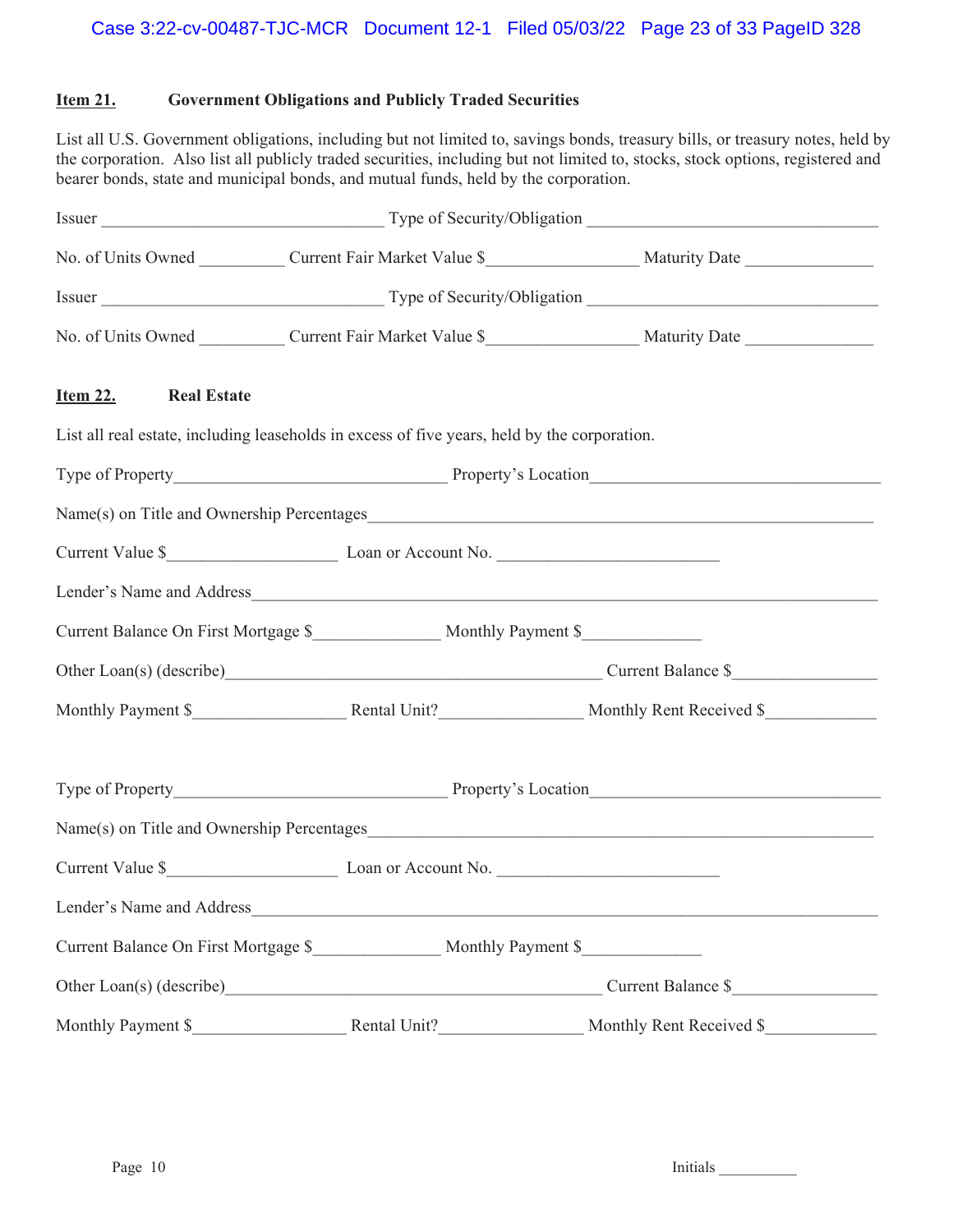# **Item 21. Government Obligations and Publicly Traded Securities**

List all U.S. Government obligations, including but not limited to, savings bonds, treasury bills, or treasury notes, held by the corporation. Also list all publicly traded securities, including but not limited to, stocks, stock options, registered and bearer bonds, state and municipal bonds, and mutual funds, held by the corporation.

|                                                                                              | No. of Units Owned ____________ Current Fair Market Value \$____________________ Maturity Date _______________ |                                                                                                                 |  |  |  |  |  |  |
|----------------------------------------------------------------------------------------------|----------------------------------------------------------------------------------------------------------------|-----------------------------------------------------------------------------------------------------------------|--|--|--|--|--|--|
|                                                                                              |                                                                                                                |                                                                                                                 |  |  |  |  |  |  |
|                                                                                              |                                                                                                                | No. of Units Owned _____________ Current Fair Market Value \$____________________ Maturity Date _______________ |  |  |  |  |  |  |
| Item 22. Real Estate                                                                         |                                                                                                                |                                                                                                                 |  |  |  |  |  |  |
| List all real estate, including leaseholds in excess of five years, held by the corporation. |                                                                                                                |                                                                                                                 |  |  |  |  |  |  |
|                                                                                              |                                                                                                                |                                                                                                                 |  |  |  |  |  |  |
|                                                                                              |                                                                                                                |                                                                                                                 |  |  |  |  |  |  |
| Current Value \$                                                                             |                                                                                                                |                                                                                                                 |  |  |  |  |  |  |
|                                                                                              |                                                                                                                | Lender's Name and Address                                                                                       |  |  |  |  |  |  |
|                                                                                              |                                                                                                                |                                                                                                                 |  |  |  |  |  |  |
| Other Loan(s) (describe)<br>Current Balance \$                                               |                                                                                                                |                                                                                                                 |  |  |  |  |  |  |
|                                                                                              |                                                                                                                |                                                                                                                 |  |  |  |  |  |  |
|                                                                                              |                                                                                                                |                                                                                                                 |  |  |  |  |  |  |
|                                                                                              |                                                                                                                |                                                                                                                 |  |  |  |  |  |  |
|                                                                                              |                                                                                                                |                                                                                                                 |  |  |  |  |  |  |
| Lender's Name and Address                                                                    |                                                                                                                |                                                                                                                 |  |  |  |  |  |  |
|                                                                                              |                                                                                                                |                                                                                                                 |  |  |  |  |  |  |
|                                                                                              | Current Balance \$                                                                                             |                                                                                                                 |  |  |  |  |  |  |
| Monthly Payment \$                                                                           |                                                                                                                | Monthly Rent Received \$                                                                                        |  |  |  |  |  |  |

Page 10 Initials League 10 Initials League 10 Initials League 10 Initials League 10 Initials League 10 Initials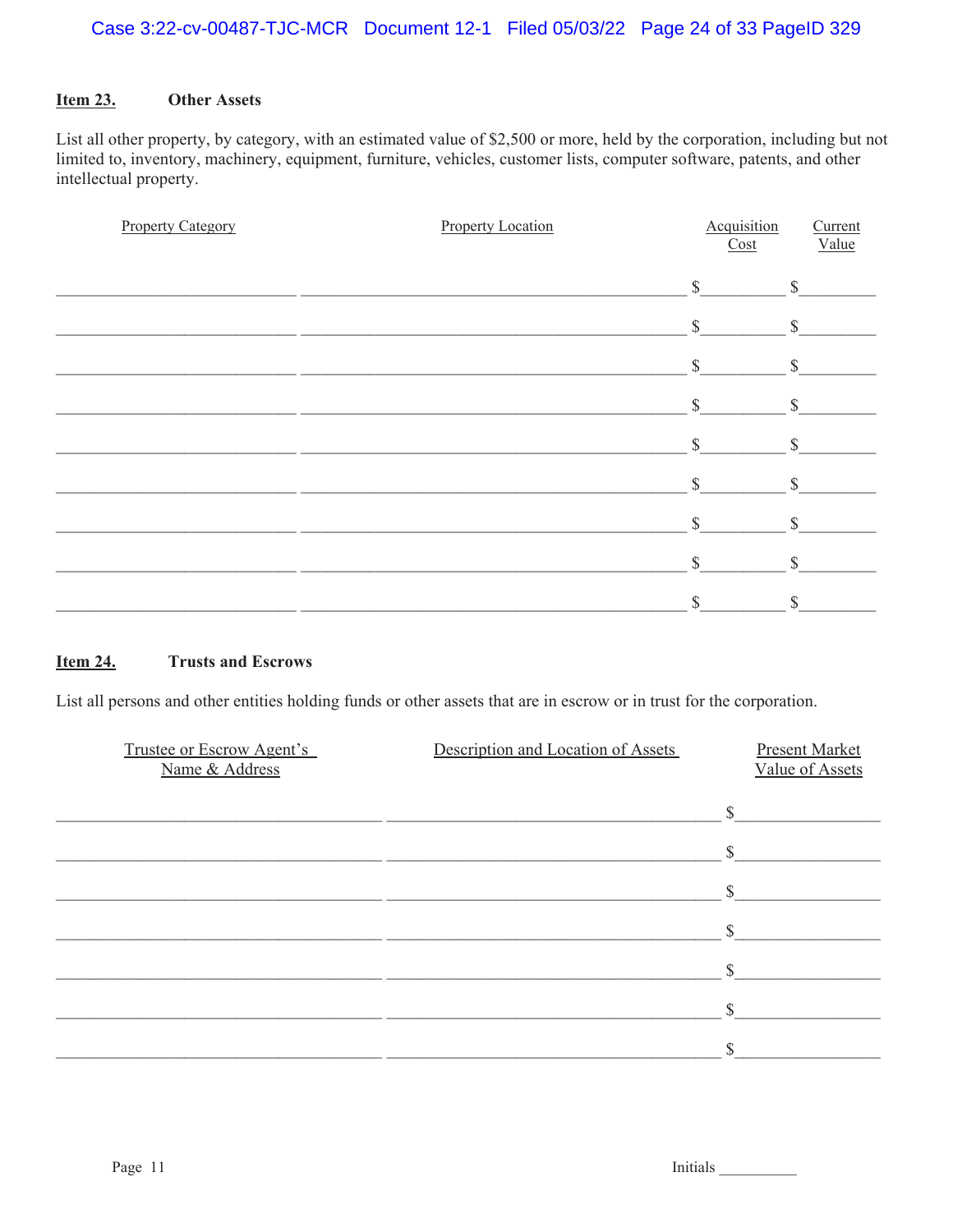#### **Item 23. Other Assets**

List all other property, by category, with an estimated value of \$2,500 or more, held by the corporation, including but not limited to, inventory, machinery, equipment, furniture, vehicles, customer lists, computer software, patents, and other intellectual property.

| <b>Property Category</b> | <b>Property Location</b> | Acquisition<br>Cost | Current<br>Value   |
|--------------------------|--------------------------|---------------------|--------------------|
|                          |                          | $\mathbb{S}$        | $\mathbb{S}$       |
|                          |                          | $\mathbb{S}$        | $\mathbb{S}$       |
|                          |                          | $\mathcal{S}$       | $\mathbb{S}$       |
|                          |                          | \$                  | $\mathbf{\hat{S}}$ |
|                          |                          | S                   | \$                 |
|                          |                          | $\mathcal{S}$       | \$                 |
|                          |                          | $\mathbb{S}$        | \$                 |
|                          |                          | $\mathbb{S}$        | \$                 |
|                          |                          | $\mathbb{S}$        | \$                 |

#### **Item 24. Trusts and Escrows**

List all persons and other entities holding funds or other assets that are in escrow or in trust for the corporation.

| <sup>S</sup><br>\$<br>\$ | <b>Present Market</b><br>Value of Assets |
|--------------------------|------------------------------------------|
|                          |                                          |
|                          |                                          |
|                          |                                          |
|                          |                                          |
|                          |                                          |
|                          |                                          |
|                          |                                          |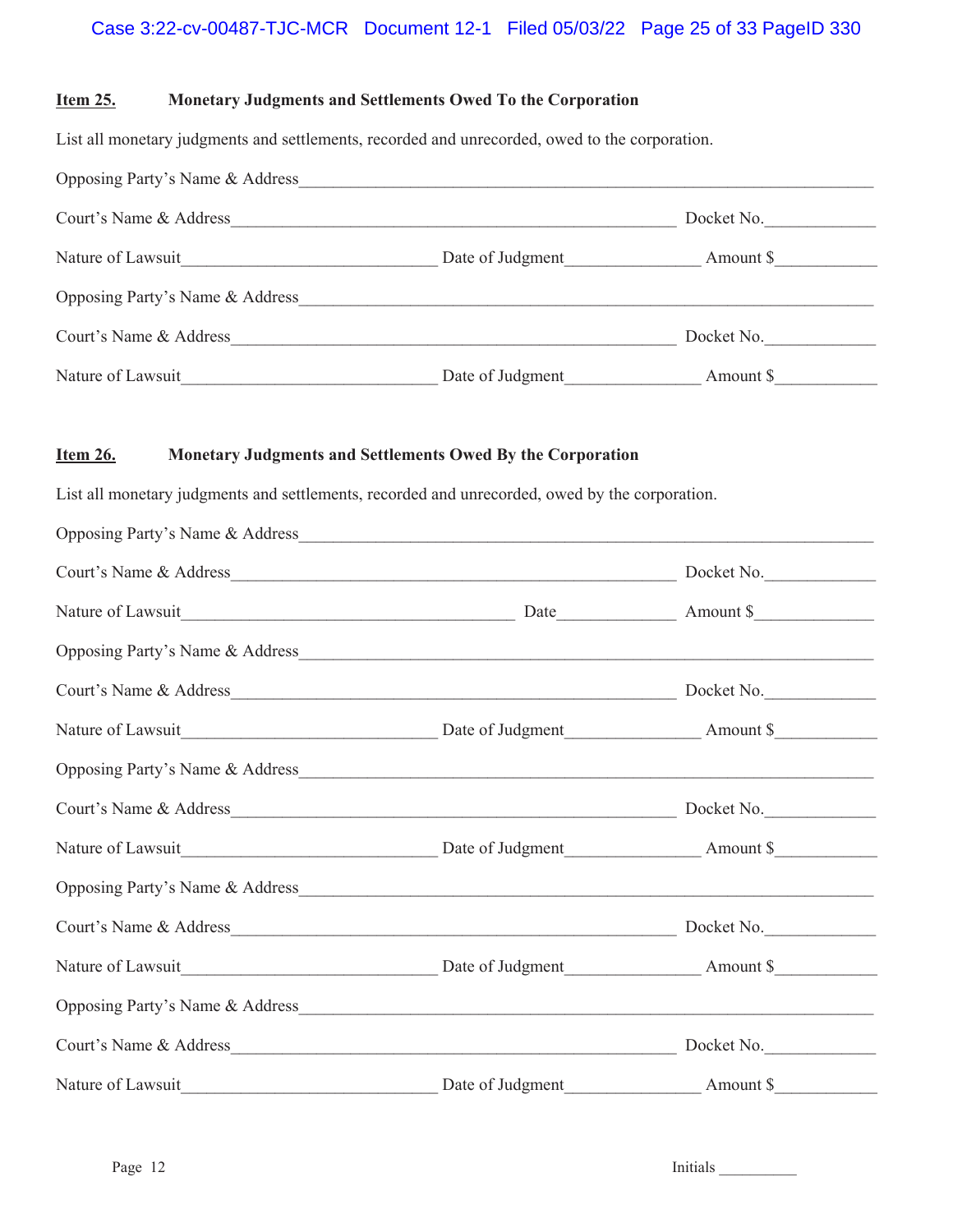# Case 3:22-cv-00487-TJC-MCR Document 12-1 Filed 05/03/22 Page 25 of 33 PageID 330

## **Item 25. Monetary Judgments and Settlements Owed To the Corporation**

List all monetary judgments and settlements, recorded and unrecorded, owed to the corporation.

| Opposing Party's Name & Address |                  |            |  |
|---------------------------------|------------------|------------|--|
| Court's Name & Address          |                  | Docket No. |  |
| Nature of Lawsuit               | Date of Judgment | Amount \$  |  |
| Opposing Party's Name & Address |                  |            |  |
| Court's Name & Address          |                  | Docket No. |  |
| Nature of Lawsuit               | Date of Judgment | Amount \$  |  |

# **Item 26. Monetary Judgments and Settlements Owed By the Corporation**

List all monetary judgments and settlements, recorded and unrecorded, owed by the corporation.

| Opposing Party's Name & Address                                                                                                                                                                                                |            |
|--------------------------------------------------------------------------------------------------------------------------------------------------------------------------------------------------------------------------------|------------|
|                                                                                                                                                                                                                                |            |
| Nature of Lawsuit Mature of Lawsuit Mature of Lawsuit Mature of Lawsuit  Mature of Lawsuit  Mature of Lawsuit   and Mature of Lawsuit   and Mature of Lawsuit   and Mature of Lawsuit   and Mature of Lawsuit  and Mature of L |            |
| Opposing Party's Name & Address                                                                                                                                                                                                |            |
|                                                                                                                                                                                                                                | Docket No. |
|                                                                                                                                                                                                                                |            |
| Opposing Party's Name & Address                                                                                                                                                                                                |            |
|                                                                                                                                                                                                                                |            |
|                                                                                                                                                                                                                                |            |
|                                                                                                                                                                                                                                |            |
|                                                                                                                                                                                                                                | Docket No. |
| Nature of Lawsuit <b>Nature of Lawsuit</b> Date of Judgment <b>Nature of Lawsuit</b> 8                                                                                                                                         |            |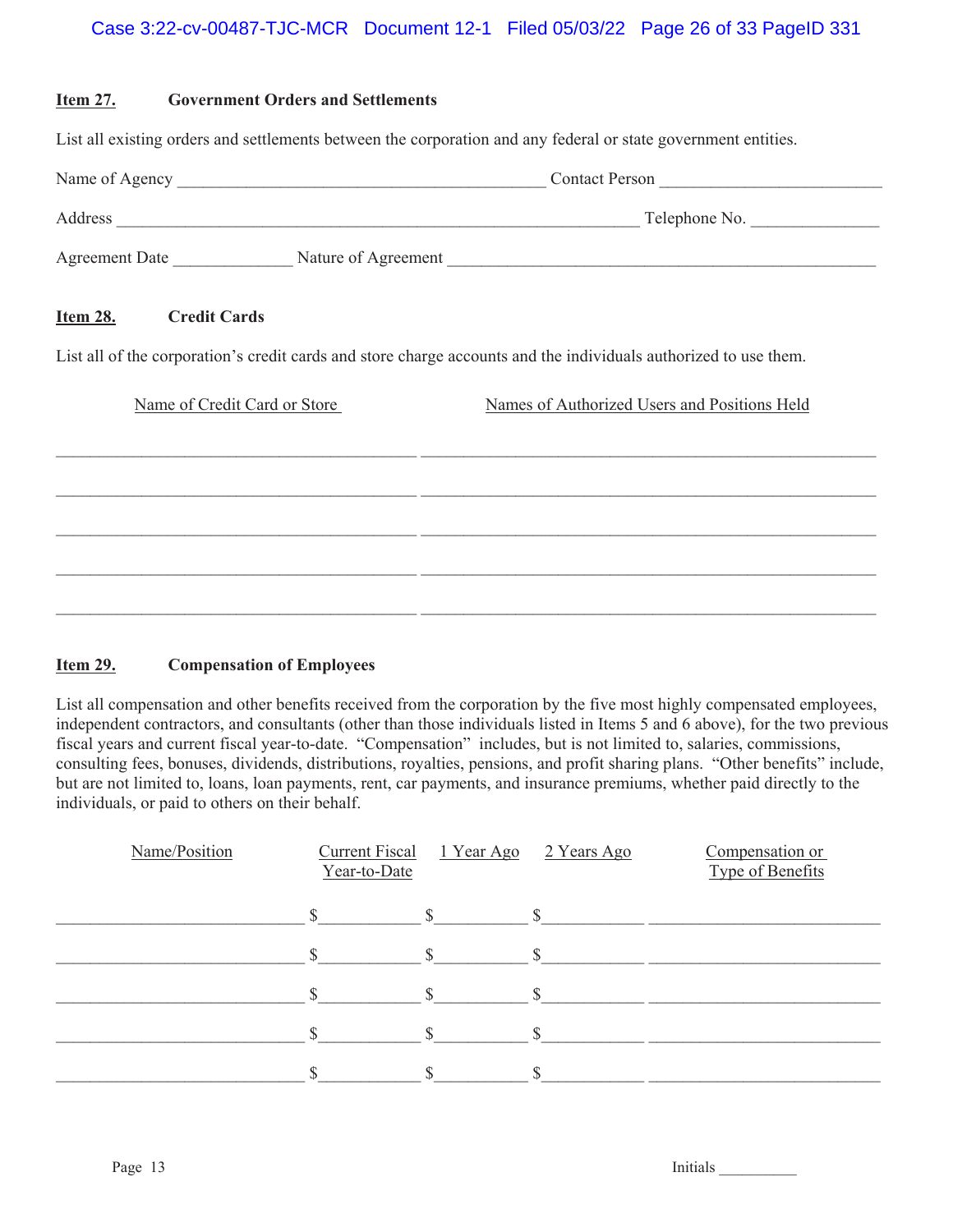# Case 3:22-cv-00487-TJC-MCR Document 12-1 Filed 05/03/22 Page 26 of 33 PageID 331

| <u>Item 27.</u> | <b>Government Orders and Settlements</b>                                                                       |                                                                                                                                                                  |  |  |  |  |
|-----------------|----------------------------------------------------------------------------------------------------------------|------------------------------------------------------------------------------------------------------------------------------------------------------------------|--|--|--|--|
|                 | List all existing orders and settlements between the corporation and any federal or state government entities. |                                                                                                                                                                  |  |  |  |  |
|                 |                                                                                                                |                                                                                                                                                                  |  |  |  |  |
|                 |                                                                                                                |                                                                                                                                                                  |  |  |  |  |
|                 |                                                                                                                |                                                                                                                                                                  |  |  |  |  |
| <u>Item 28.</u> | <b>Credit Cards</b><br>Name of Credit Card or Store                                                            | List all of the corporation's credit cards and store charge accounts and the individuals authorized to use them.<br>Names of Authorized Users and Positions Held |  |  |  |  |
|                 |                                                                                                                |                                                                                                                                                                  |  |  |  |  |
|                 |                                                                                                                |                                                                                                                                                                  |  |  |  |  |
|                 |                                                                                                                |                                                                                                                                                                  |  |  |  |  |

# **Item 29. Compensation of Employees**

List all compensation and other benefits received from the corporation by the five most highly compensated employees, independent contractors, and consultants (other than those individuals listed in Items 5 and 6 above), for the two previous fiscal years and current fiscal year-to-date. "Compensation" includes, but is not limited to, salaries, commissions, consulting fees, bonuses, dividends, distributions, royalties, pensions, and profit sharing plans. "Other benefits" include, but are not limited to, loans, loan payments, rent, car payments, and insurance premiums, whether paid directly to the individuals, or paid to others on their behalf.

| Name/Position | <b>Current Fiscal</b><br>Year-to-Date | 1 Year Ago | 2 Years Ago | Compensation or<br>Type of Benefits |
|---------------|---------------------------------------|------------|-------------|-------------------------------------|
|               |                                       |            |             |                                     |
|               |                                       |            |             |                                     |
|               |                                       |            |             |                                     |
|               |                                       |            |             |                                     |
|               |                                       |            |             |                                     |

Page 13 Initials League 13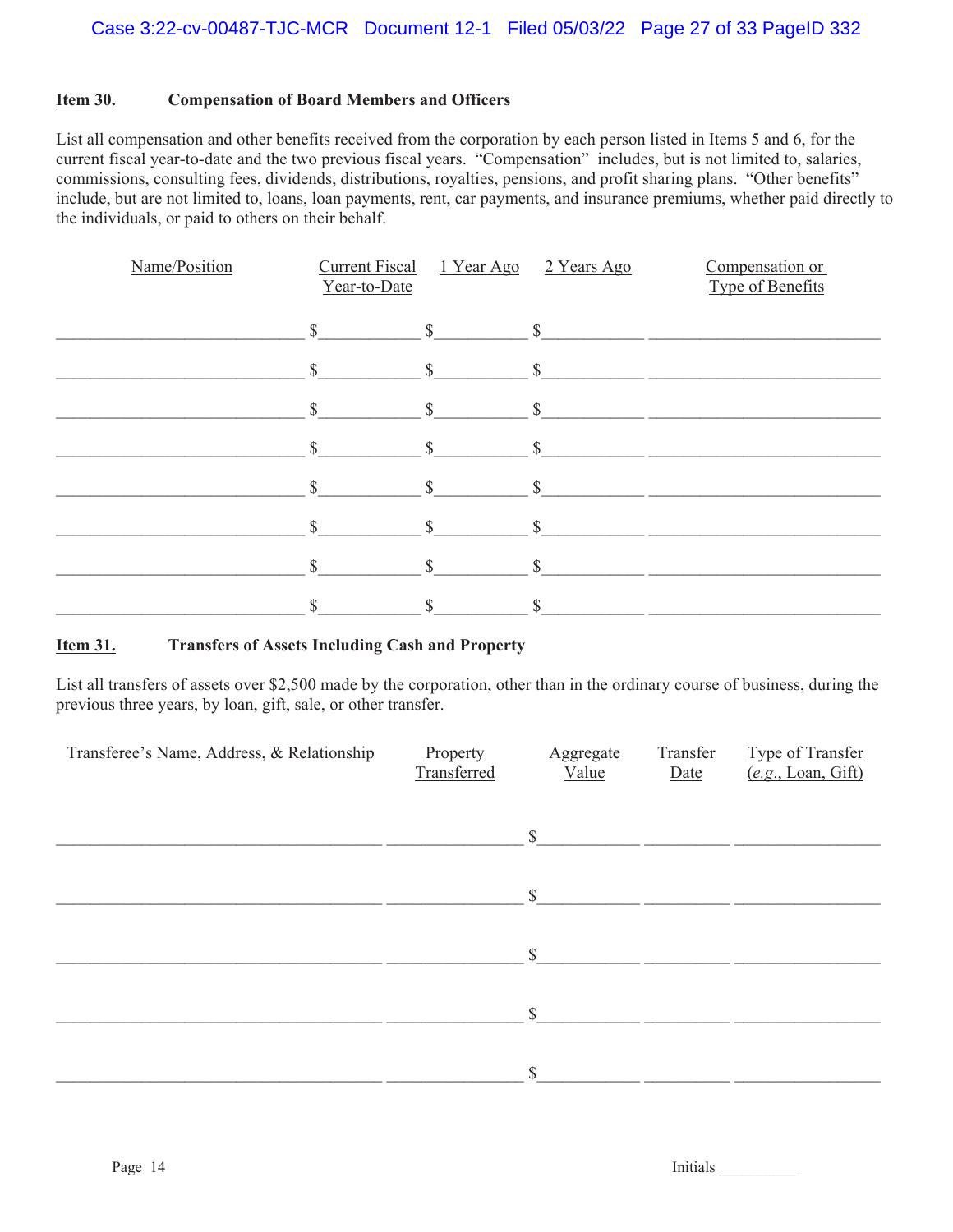# **Item 30. Compensation of Board Members and Officers**

List all compensation and other benefits received from the corporation by each person listed in Items 5 and 6, for the current fiscal year-to-date and the two previous fiscal years. "Compensation" includes, but is not limited to, salaries, commissions, consulting fees, dividends, distributions, royalties, pensions, and profit sharing plans. "Other benefits" include, but are not limited to, loans, loan payments, rent, car payments, and insurance premiums, whether paid directly to the individuals, or paid to others on their behalf.

| Name/Position | <b>Current Fiscal</b><br>Year-to-Date | 1 Year Ago    | 2 Years Ago  | Compensation or<br>Type of Benefits |
|---------------|---------------------------------------|---------------|--------------|-------------------------------------|
|               | $\mathbb{S}$                          | $\mathbb{S}$  | $\mathbb{S}$ |                                     |
|               | $\mathbb{S}$                          | $\mathbb{S}$  | $\mathbb{S}$ |                                     |
|               | $\mathbb{S}$                          | $\mathbb{S}$  | $\mathbb{S}$ |                                     |
|               | $\mathbb{S}$                          | $\mathcal{S}$ | $\mathbb{S}$ |                                     |
|               | <sup>\$</sup>                         | $\mathcal{S}$ | \$           |                                     |
|               | $\mathbf{S}$                          | $\mathbf S$   | $\mathbf S$  |                                     |
|               |                                       |               |              |                                     |
|               |                                       |               | \$           |                                     |

# **Item 31. Transfers of Assets Including Cash and Property**

List all transfers of assets over \$2,500 made by the corporation, other than in the ordinary course of business, during the previous three years, by loan, gift, sale, or other transfer.

| Transferee's Name, Address, & Relationship | Property<br>Transferred | <b>Aggregate</b><br>Value | Transfer<br>Date | Type of Transfer<br>(e.g., Loan, Gift) |
|--------------------------------------------|-------------------------|---------------------------|------------------|----------------------------------------|
|                                            |                         | $\mathbb{S}$              |                  |                                        |
|                                            |                         | $\mathbb{S}$              |                  |                                        |
|                                            |                         | $\mathbb{S}$              |                  |                                        |
|                                            |                         | $\mathbb{S}$              |                  |                                        |
|                                            |                         | $\mathbb{S}$              |                  |                                        |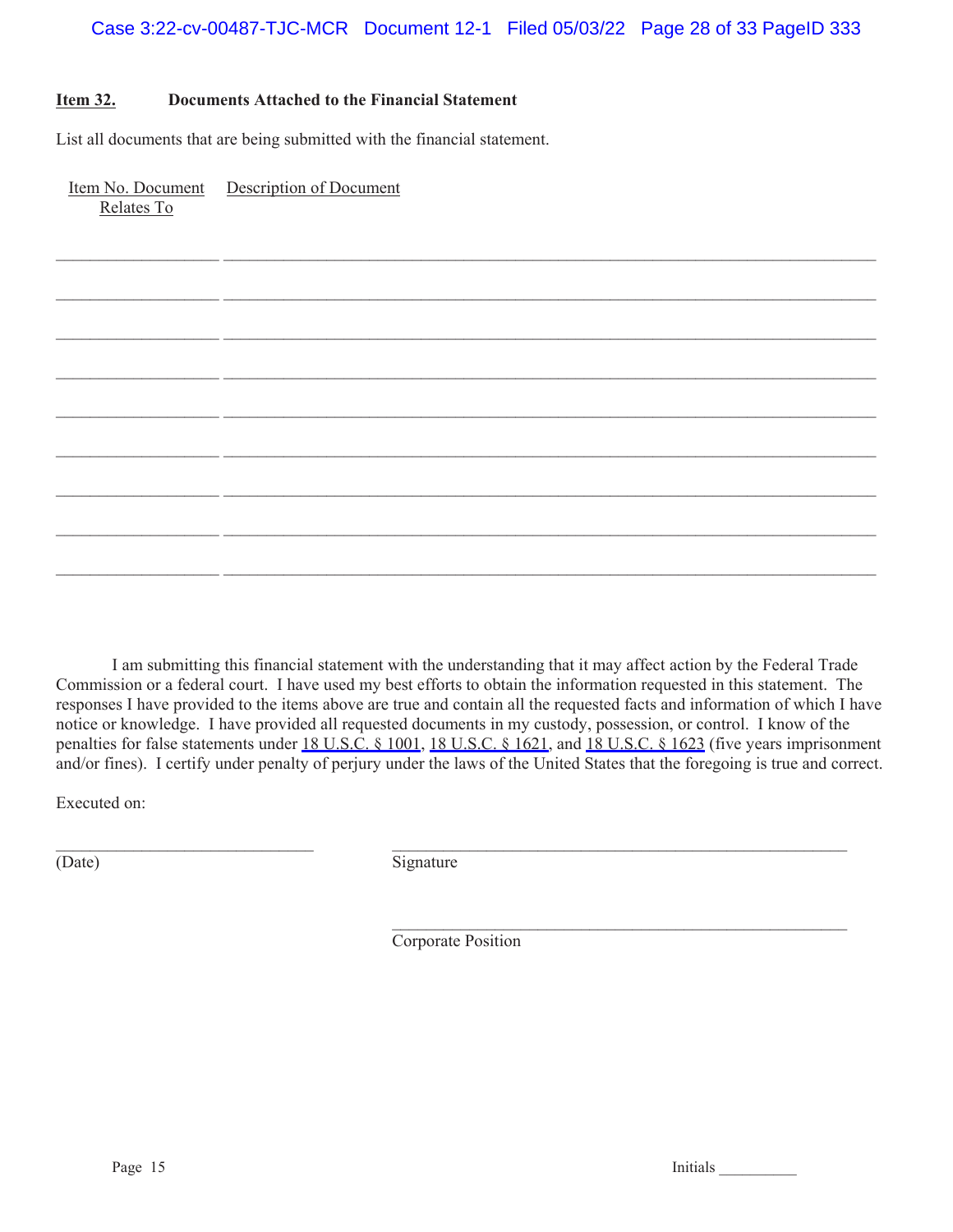$\mathcal{L}_\mathcal{L} = \mathcal{L}_\mathcal{L} = \mathcal{L}_\mathcal{L} = \mathcal{L}_\mathcal{L} = \mathcal{L}_\mathcal{L} = \mathcal{L}_\mathcal{L} = \mathcal{L}_\mathcal{L} = \mathcal{L}_\mathcal{L} = \mathcal{L}_\mathcal{L} = \mathcal{L}_\mathcal{L} = \mathcal{L}_\mathcal{L} = \mathcal{L}_\mathcal{L} = \mathcal{L}_\mathcal{L} = \mathcal{L}_\mathcal{L} = \mathcal{L}_\mathcal{L} = \mathcal{L}_\mathcal{L} = \mathcal{L}_\mathcal{L}$ 

 $\mathcal{L}_\mathcal{L} = \mathcal{L}_\mathcal{L} = \mathcal{L}_\mathcal{L} = \mathcal{L}_\mathcal{L} = \mathcal{L}_\mathcal{L} = \mathcal{L}_\mathcal{L} = \mathcal{L}_\mathcal{L} = \mathcal{L}_\mathcal{L} = \mathcal{L}_\mathcal{L} = \mathcal{L}_\mathcal{L} = \mathcal{L}_\mathcal{L} = \mathcal{L}_\mathcal{L} = \mathcal{L}_\mathcal{L} = \mathcal{L}_\mathcal{L} = \mathcal{L}_\mathcal{L} = \mathcal{L}_\mathcal{L} = \mathcal{L}_\mathcal{L}$ 

 $\mathcal{L}_\mathcal{L} = \mathcal{L}_\mathcal{L} = \mathcal{L}_\mathcal{L} = \mathcal{L}_\mathcal{L} = \mathcal{L}_\mathcal{L} = \mathcal{L}_\mathcal{L} = \mathcal{L}_\mathcal{L} = \mathcal{L}_\mathcal{L} = \mathcal{L}_\mathcal{L} = \mathcal{L}_\mathcal{L} = \mathcal{L}_\mathcal{L} = \mathcal{L}_\mathcal{L} = \mathcal{L}_\mathcal{L} = \mathcal{L}_\mathcal{L} = \mathcal{L}_\mathcal{L} = \mathcal{L}_\mathcal{L} = \mathcal{L}_\mathcal{L}$ 

 $\mathcal{L}_\mathcal{L} = \mathcal{L}_\mathcal{L} = \mathcal{L}_\mathcal{L} = \mathcal{L}_\mathcal{L} = \mathcal{L}_\mathcal{L} = \mathcal{L}_\mathcal{L} = \mathcal{L}_\mathcal{L} = \mathcal{L}_\mathcal{L} = \mathcal{L}_\mathcal{L} = \mathcal{L}_\mathcal{L} = \mathcal{L}_\mathcal{L} = \mathcal{L}_\mathcal{L} = \mathcal{L}_\mathcal{L} = \mathcal{L}_\mathcal{L} = \mathcal{L}_\mathcal{L} = \mathcal{L}_\mathcal{L} = \mathcal{L}_\mathcal{L}$ 

 $\mathcal{L}_\mathcal{L} = \mathcal{L}_\mathcal{L} = \mathcal{L}_\mathcal{L} = \mathcal{L}_\mathcal{L} = \mathcal{L}_\mathcal{L} = \mathcal{L}_\mathcal{L} = \mathcal{L}_\mathcal{L} = \mathcal{L}_\mathcal{L} = \mathcal{L}_\mathcal{L} = \mathcal{L}_\mathcal{L} = \mathcal{L}_\mathcal{L} = \mathcal{L}_\mathcal{L} = \mathcal{L}_\mathcal{L} = \mathcal{L}_\mathcal{L} = \mathcal{L}_\mathcal{L} = \mathcal{L}_\mathcal{L} = \mathcal{L}_\mathcal{L}$ 

 $\mathcal{L}_\mathcal{L} = \mathcal{L}_\mathcal{L} = \mathcal{L}_\mathcal{L} = \mathcal{L}_\mathcal{L} = \mathcal{L}_\mathcal{L} = \mathcal{L}_\mathcal{L} = \mathcal{L}_\mathcal{L} = \mathcal{L}_\mathcal{L} = \mathcal{L}_\mathcal{L} = \mathcal{L}_\mathcal{L} = \mathcal{L}_\mathcal{L} = \mathcal{L}_\mathcal{L} = \mathcal{L}_\mathcal{L} = \mathcal{L}_\mathcal{L} = \mathcal{L}_\mathcal{L} = \mathcal{L}_\mathcal{L} = \mathcal{L}_\mathcal{L}$ 

 $\mathcal{L}_\mathcal{L} = \mathcal{L}_\mathcal{L} = \mathcal{L}_\mathcal{L} = \mathcal{L}_\mathcal{L} = \mathcal{L}_\mathcal{L} = \mathcal{L}_\mathcal{L} = \mathcal{L}_\mathcal{L} = \mathcal{L}_\mathcal{L} = \mathcal{L}_\mathcal{L} = \mathcal{L}_\mathcal{L} = \mathcal{L}_\mathcal{L} = \mathcal{L}_\mathcal{L} = \mathcal{L}_\mathcal{L} = \mathcal{L}_\mathcal{L} = \mathcal{L}_\mathcal{L} = \mathcal{L}_\mathcal{L} = \mathcal{L}_\mathcal{L}$ 

# **Item 32. Documents Attached to the Financial Statement**

List all documents that are being submitted with the financial statement.

Item No. Document Relates To Description of Document

I am submitting this financial statement with the understanding that it may affect action by the Federal Trade Commission or a federal court. I have used my best efforts to obtain the information requested in this statement. The responses I have provided to the items above are true and contain all the requested facts and information of which I have notice or knowledge. I have provided all requested documents in my custody, possession, or control. I know of the penalties for false statements under [18 U.S.C. § 1001](https://www.westlaw.com/Link/Document/FullText?rs=USCLink&vr=3.0&findType=Y&cite=18%2B%2Bu%2Es%2Ec%2E%2B%2B%2B%2B1001&clientid=USCourts), [18](https://www.westlaw.com/Link/Document/FullText?rs=USCLink&vr=3.0&findType=Y&cite=18%2B%2Bu%2Es%2Ec%2E%2B%2B18&clientid=USCourts) [U.S.C. § 1621](https://www.westlaw.com/Link/Document/FullText?rs=USCLink&vr=3.0&findType=Y&cite=18%2B%2Bu%2Es%2Ec%2E%2B%2B%2B%2B1621&clientid=USCourts), and [18](https://www.westlaw.com/Link/Document/FullText?rs=USCLink&vr=3.0&findType=Y&cite=18%2B%2Bu%2Es%2Ec%2E%2B%2B18&clientid=USCourts) [U.S.C. § 1623](https://www.westlaw.com/Link/Document/FullText?rs=USCLink&vr=3.0&findType=Y&cite=18%2B%2Bu%2Es%2Ec%2E%2B%2B%2B%2B1623&clientid=USCourts) (five years imprisonment and/or fines). I certify under penalty of perjury under the laws of the United States that the foregoing is true and correct.

Executed on:

(Date) Signature

Corporate Position

 $\mathcal{L}_\mathcal{L} = \{ \mathcal{L}_\mathcal{L} = \{ \mathcal{L}_\mathcal{L} = \{ \mathcal{L}_\mathcal{L} = \{ \mathcal{L}_\mathcal{L} = \{ \mathcal{L}_\mathcal{L} = \{ \mathcal{L}_\mathcal{L} = \{ \mathcal{L}_\mathcal{L} = \{ \mathcal{L}_\mathcal{L} = \{ \mathcal{L}_\mathcal{L} = \{ \mathcal{L}_\mathcal{L} = \{ \mathcal{L}_\mathcal{L} = \{ \mathcal{L}_\mathcal{L} = \{ \mathcal{L}_\mathcal{L} = \{ \mathcal{L}_\mathcal{$ 

Page 15 Initials League 15

 $\mathcal{L}_\text{max}$  and the contract of the contract of the contract of the contract of the contract of the contract of the contract of the contract of the contract of the contract of the contract of the contract of the contrac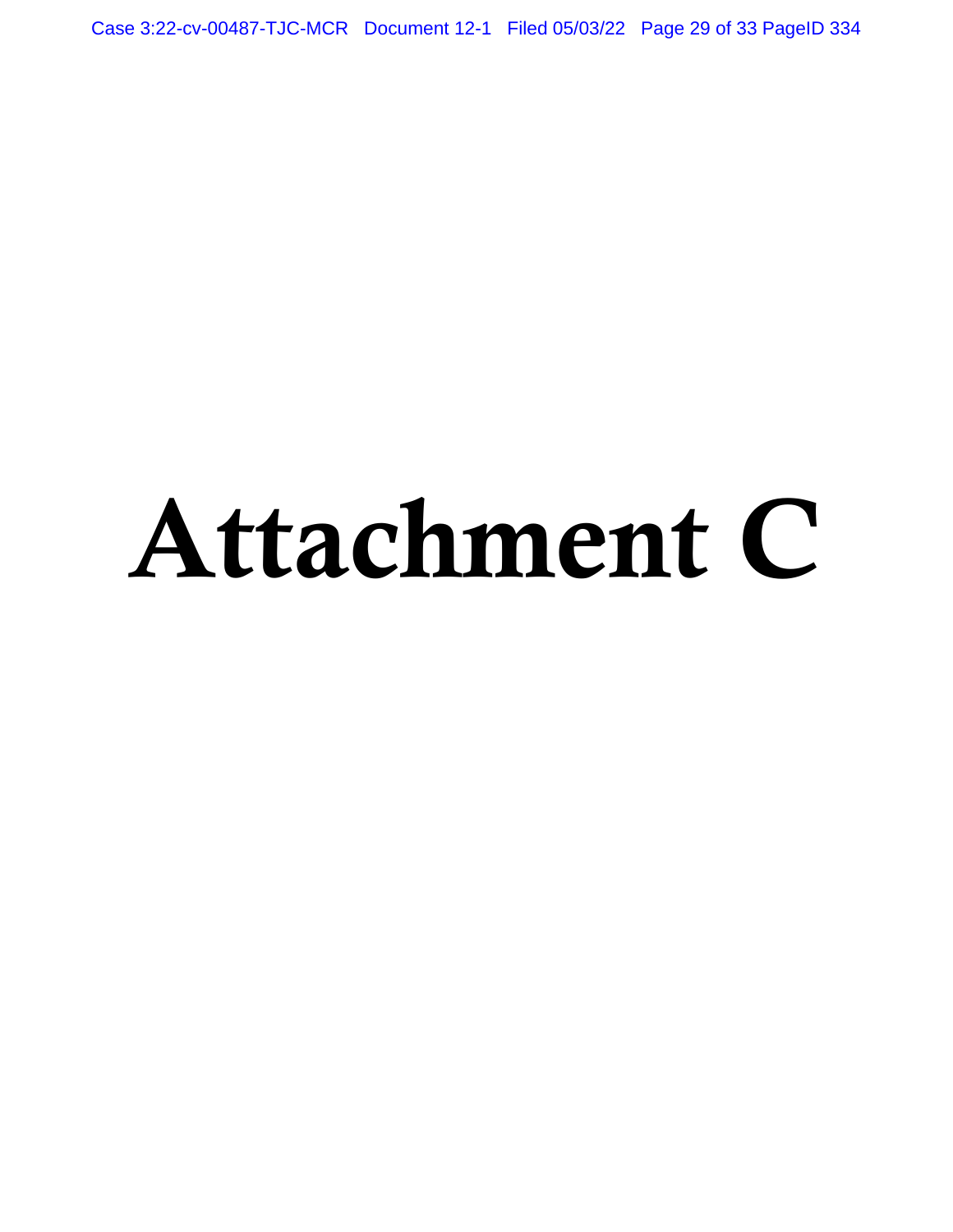Case 3:22-cv-00487-TJC-MCR Document 12-1 Filed 05/03/22 Page 29 of 33 PageID 334

# Attachment C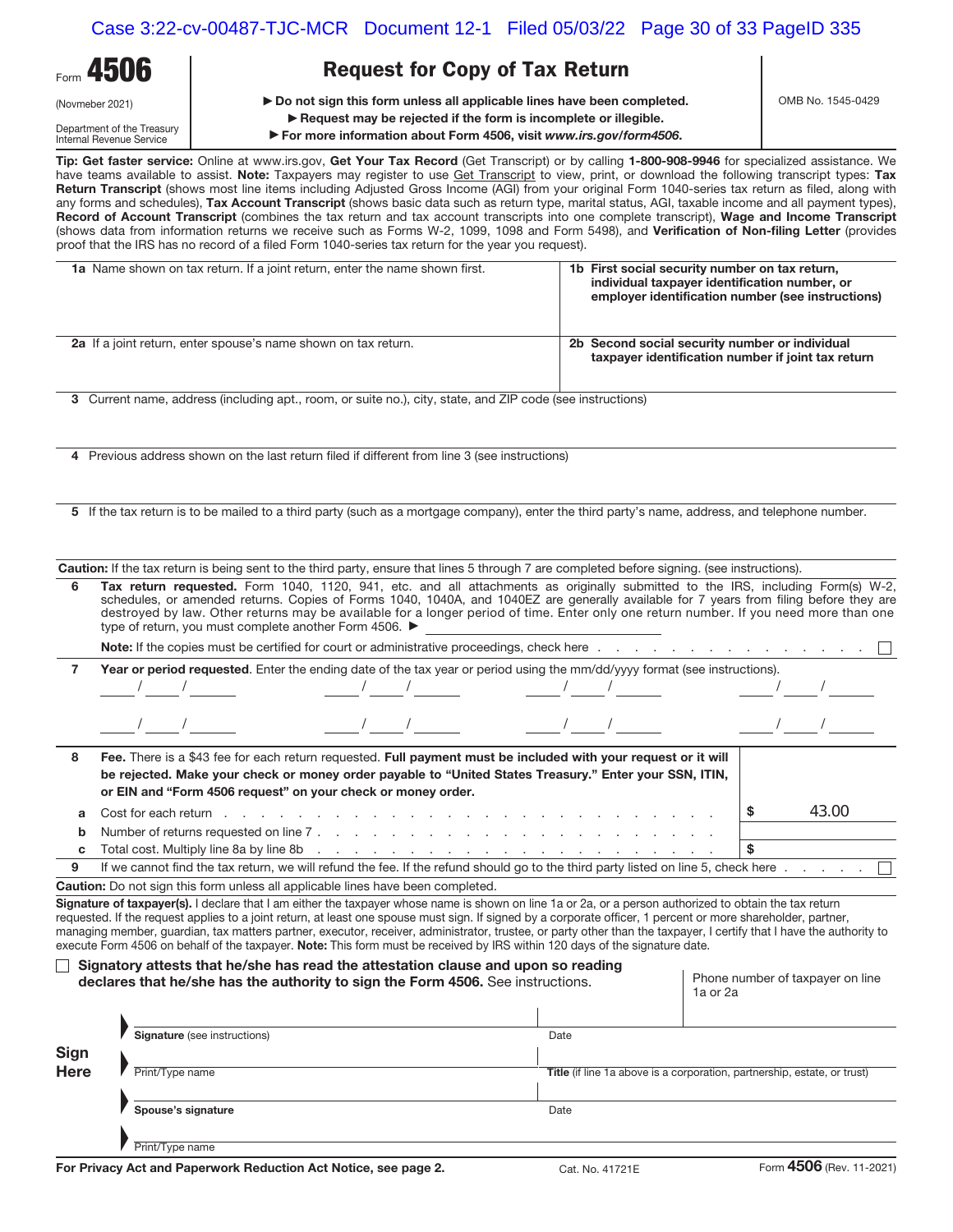| Form 4506                  |  |  |  |  |
|----------------------------|--|--|--|--|
| (Novmeber 2021)            |  |  |  |  |
| Department of the Treasury |  |  |  |  |

Internal Revenue Service

# **Request for Copy of Tax Return**

▶ Do not sign this form unless all applicable lines have been completed.

▶ Request may be rejected if the form is incomplete or illegible.

▶ For more information about Form 4506, visit *www.irs.gov/form4506*.

**Tip: Get faster service:** Online at www.irs.gov, **Get Your Tax Record** (Get Transcript) or by calling **1-800-908-9946** for specialized assistance. We have teams available to assist. **Note:** Taxpayers may register to use Get Transcript to view, print, or download the following transcript types: **Tax Return Transcript** (shows most line items including Adjusted Gross Income (AGI) from your original Form 1040-series tax return as filed, along with any forms and schedules), **Tax Account Transcript** (shows basic data such as return type, marital status, AGI, taxable income and all payment types), **Record of Account Transcript** (combines the tax return and tax account transcripts into one complete transcript), **Wage and Income Transcript** (shows data from information returns we receive such as Forms W-2, 1099, 1098 and Form 5498), and **Verification of Non-filing Letter** (provides

|             | proof that the IRS has no record of a filed Form 1040-series tax return for the year you request).                                                                                                                                                                                                                                                                                                                                                                                                                                                                                                                              |                                                                                                                                                                                                                                                              |                                              |  |
|-------------|---------------------------------------------------------------------------------------------------------------------------------------------------------------------------------------------------------------------------------------------------------------------------------------------------------------------------------------------------------------------------------------------------------------------------------------------------------------------------------------------------------------------------------------------------------------------------------------------------------------------------------|--------------------------------------------------------------------------------------------------------------------------------------------------------------------------------------------------------------------------------------------------------------|----------------------------------------------|--|
|             | 1a Name shown on tax return. If a joint return, enter the name shown first.                                                                                                                                                                                                                                                                                                                                                                                                                                                                                                                                                     | 1b First social security number on tax return,<br>individual taxpayer identification number, or<br>employer identification number (see instructions)<br>2b Second social security number or individual<br>taxpayer identification number if joint tax return |                                              |  |
|             | 2a If a joint return, enter spouse's name shown on tax return.                                                                                                                                                                                                                                                                                                                                                                                                                                                                                                                                                                  |                                                                                                                                                                                                                                                              |                                              |  |
|             | 3 Current name, address (including apt., room, or suite no.), city, state, and ZIP code (see instructions)                                                                                                                                                                                                                                                                                                                                                                                                                                                                                                                      |                                                                                                                                                                                                                                                              |                                              |  |
|             | 4 Previous address shown on the last return filed if different from line 3 (see instructions)                                                                                                                                                                                                                                                                                                                                                                                                                                                                                                                                   |                                                                                                                                                                                                                                                              |                                              |  |
|             | 5 If the tax return is to be mailed to a third party (such as a mortgage company), enter the third party's name, address, and telephone number.                                                                                                                                                                                                                                                                                                                                                                                                                                                                                 |                                                                                                                                                                                                                                                              |                                              |  |
|             | Caution: If the tax return is being sent to the third party, ensure that lines 5 through 7 are completed before signing. (see instructions).                                                                                                                                                                                                                                                                                                                                                                                                                                                                                    |                                                                                                                                                                                                                                                              |                                              |  |
| 6           | Tax return requested. Form 1040, 1120, 941, etc. and all attachments as originally submitted to the IRS, including Form(s) W-2,<br>schedules, or amended returns. Copies of Forms 1040, 1040A, and 1040EZ are generally available for 7 years from filing before they are<br>destroyed by law. Other returns may be available for a longer period of time. Enter only one return number. If you need more than one<br>type of return, you must complete another Form 4506. ▶                                                                                                                                                    |                                                                                                                                                                                                                                                              |                                              |  |
|             |                                                                                                                                                                                                                                                                                                                                                                                                                                                                                                                                                                                                                                 |                                                                                                                                                                                                                                                              |                                              |  |
| 7           | Year or period requested. Enter the ending date of the tax year or period using the mm/dd/yyyy format (see instructions).                                                                                                                                                                                                                                                                                                                                                                                                                                                                                                       |                                                                                                                                                                                                                                                              |                                              |  |
|             |                                                                                                                                                                                                                                                                                                                                                                                                                                                                                                                                                                                                                                 |                                                                                                                                                                                                                                                              |                                              |  |
| 8           | Fee. There is a \$43 fee for each return requested. Full payment must be included with your request or it will<br>be rejected. Make your check or money order payable to "United States Treasury." Enter your SSN, ITIN,<br>or EIN and "Form 4506 request" on your check or money order.                                                                                                                                                                                                                                                                                                                                        |                                                                                                                                                                                                                                                              |                                              |  |
| a           | Cost for each return end on the cost for each return end of the cost for each return end of the cost of the cost of the cost of the cost of the cost of the cost of the cost of the cost of the cost of the cost of the cost o                                                                                                                                                                                                                                                                                                                                                                                                  |                                                                                                                                                                                                                                                              | 43.00<br>-S                                  |  |
| b           |                                                                                                                                                                                                                                                                                                                                                                                                                                                                                                                                                                                                                                 |                                                                                                                                                                                                                                                              |                                              |  |
| c           | Total cost. Multiply line 8a by line 8b (edge) and a series and a series and cost. Multiply line 8a by line 8b (edge) and a series are also assumed to the series of the series of the series of the series of the series of t                                                                                                                                                                                                                                                                                                                                                                                                  |                                                                                                                                                                                                                                                              | \$                                           |  |
| 9           | If we cannot find the tax return, we will refund the fee. If the refund should go to the third party listed on line 5, check here                                                                                                                                                                                                                                                                                                                                                                                                                                                                                               |                                                                                                                                                                                                                                                              |                                              |  |
|             | <b>Caution:</b> Do not sign this form unless all applicable lines have been completed.                                                                                                                                                                                                                                                                                                                                                                                                                                                                                                                                          |                                                                                                                                                                                                                                                              |                                              |  |
|             | Signature of taxpayer(s). I declare that I am either the taxpayer whose name is shown on line 1a or 2a, or a person authorized to obtain the tax return<br>requested. If the request applies to a joint return, at least one spouse must sign. If signed by a corporate officer, 1 percent or more shareholder, partner,<br>managing member, guardian, tax matters partner, executor, receiver, administrator, trustee, or party other than the taxpayer, I certify that I have the authority to<br>execute Form 4506 on behalf of the taxpayer. Note: This form must be received by IRS within 120 days of the signature date. |                                                                                                                                                                                                                                                              |                                              |  |
|             | Signatory attests that he/she has read the attestation clause and upon so reading<br>declares that he/she has the authority to sign the Form 4506. See instructions.                                                                                                                                                                                                                                                                                                                                                                                                                                                            |                                                                                                                                                                                                                                                              | Phone number of taxpayer on line<br>1a or 2a |  |
|             |                                                                                                                                                                                                                                                                                                                                                                                                                                                                                                                                                                                                                                 |                                                                                                                                                                                                                                                              |                                              |  |
|             | Signature (see instructions)                                                                                                                                                                                                                                                                                                                                                                                                                                                                                                                                                                                                    | Date                                                                                                                                                                                                                                                         |                                              |  |
| Sign        |                                                                                                                                                                                                                                                                                                                                                                                                                                                                                                                                                                                                                                 |                                                                                                                                                                                                                                                              |                                              |  |
| <b>Here</b> | Print/Type name                                                                                                                                                                                                                                                                                                                                                                                                                                                                                                                                                                                                                 | Title (if line 1a above is a corporation, partnership, estate, or trust)                                                                                                                                                                                     |                                              |  |

Print/Type name

F

**Spouse's signature** Date

OMB No. 1545-0429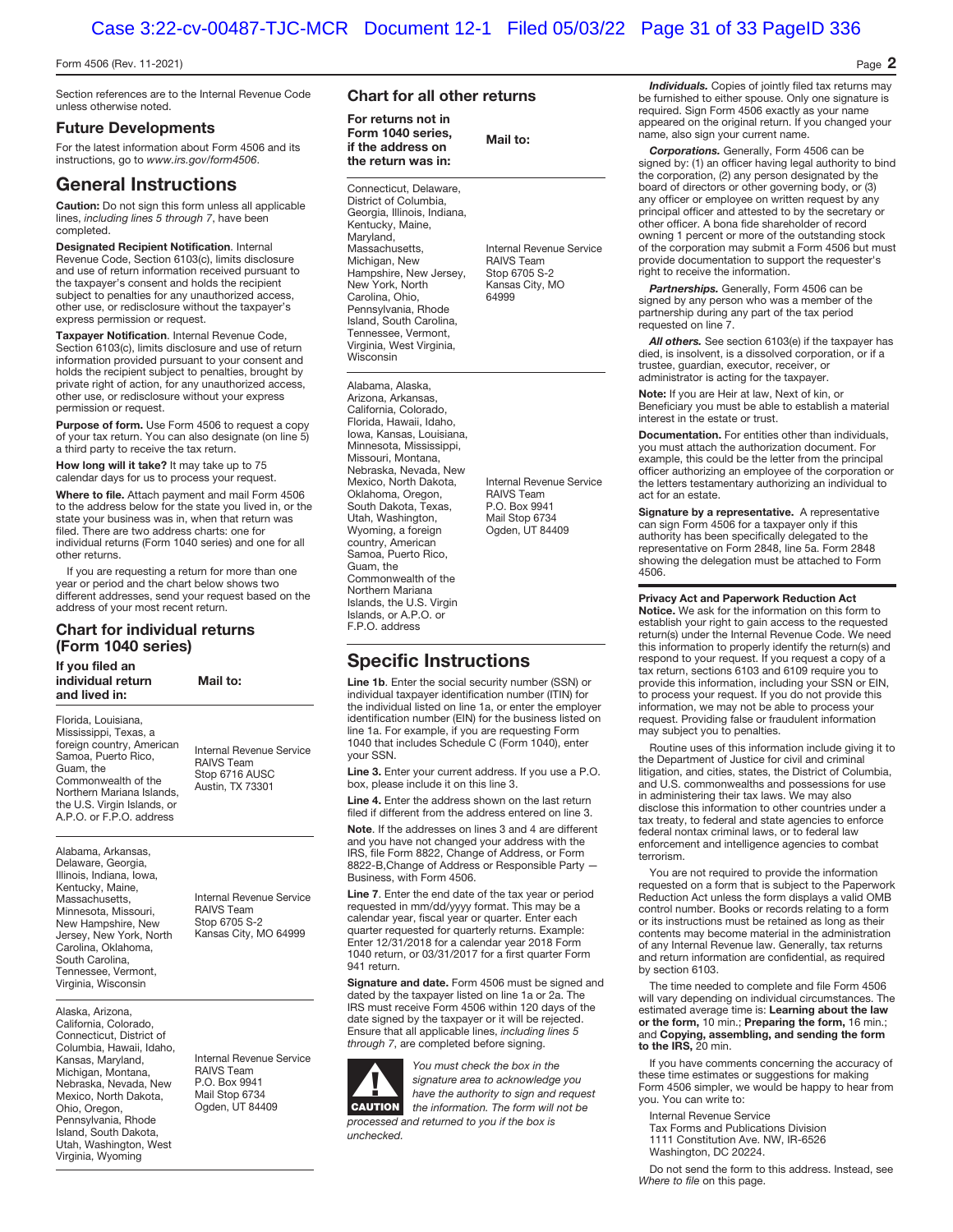**Mail to:** 

#### Form 4506 (Rev. 11-2021) Page **2**

Section references are to the Internal Revenue Code unless otherwise noted.

#### **Future Developments**

For the latest information about Form 4506 and its instructions, go to www.irs.gov/form4506.

### **General Instructions**

**Caution:** Do not sign this form unless all applicable lines, *including lines 5 through 7*, have been completed.

**Designated Recipient Notification**. Internal Revenue Code, Section 6103(c), limits disclosure and use of return information received pursuant to the taxpayer's consent and holds the recipient subject to penalties for any unauthorized access, other use, or redisclosure without the taxpayer's express permission or request.

**Taxpayer Notification**. Internal Revenue Code, Section 6103(c), limits disclosure and use of return information provided pursuant to your consent and holds the recipient subject to penalties, brought by private right of action, for any unauthorized access, other use, or redisclosure without your express permission or request.

**Purpose of form.** Use Form 4506 to request a copy of your tax return. You can also designate (on line 5) a third party to receive the tax return.

**How long will it take?** It may take up to 75 calendar days for us to process your request.

**Where to file.** Attach payment and mail Form 4506 to the address below for the state you lived in, or the state your business was in, when that return was filed. There are two address charts: one for individual returns (Form 1040 series) and one for all other returns.

If you are requesting a return for more than one year or period and the chart below shows two different addresses, send your request based on the address of your most recent return.

#### **Chart for individual returns (Form 1040 series)**

**If you filed an individual return and lived in:** 

**Mail to:** 

Florida, Louisiana, Mississippi, Texas, a foreign country, American Samoa, Puerto Rico, Guam, the Commonwealth of the Northern Mariana Islands, the U.S. Virgin Islands, or A.P.O. or F.P.O. address

Alabama, Arkansas, Delaware, Georgia, Illinois, Indiana, Iowa, Kentucky, Maine, Massachusetts, Minnesota, Missouri, New Hampshire, New Jersey, New York, North Carolina, Oklahoma, South Carolina, Tennessee, Vermont, Virginia, Wisconsin

Alaska, Arizona, California, Colorado, Connecticut, District of Columbia, Hawaii, Idaho, Kansas, Maryland, Michigan, Montana, Nebraska, Nevada, New Mexico, North Dakota, Ohio, Oregon, Pennsylvania, Rhode Island, South Dakota, Utah, Washington, West Virginia, Wyoming

RAIVS Team Stop 6716 AUSC Austin, TX 73301

Internal Revenue Service

Internal Revenue Service RAIVS Team Stop 6705 S-2 Kansas City, MO 64999

Internal Revenue Service RAIVS Team P.O. Box 9941 Mail Stop 6734 Ogden, UT 84409

#### **Chart for all other returns**

**For returns not in Form 1040 series, if the address on the return was in:**

Connecticut, Delaware, District of Columbia, Georgia, Illinois, Indiana, Kentucky, Maine, Maryland, Massachusetts, Michigan, New Hampshire, New Jersey, New York, North Carolina, Ohio, Pennsylvania, Rhode Island, South Carolina, Tennessee, Vermont, Virginia, West Virginia, Wisconsin

Internal Revenue Service RAIVS Team Stop 6705 S-2 Kansas City, MO 64999

Alabama, Alaska, Arizona, Arkansas, California, Colorado, Florida, Hawaii, Idaho, Iowa, Kansas, Louisiana, Minnesota, Mississippi, Missouri, Montana, Nebraska, Nevada, New Mexico, North Dakota, Oklahoma, Oregon,<br>South Dakota, Texas, Utah, Washington, Wyoming, a foreign country, American Samoa, Puerto Rico, Guam, the Commonwealth of the Northern Mariana Islands, the U.S. Virgin Islands, or A.P.O. or

Internal Revenue Service RAIVS Team P.O. Box 9941 Mail Stop 6734 Ogden, UT 84409

F.P.O. address

## **Specific Instructions**

**Line 1b**. Enter the social security number (SSN) or individual taxpayer identification number (ITIN) for the individual listed on line 1a, or enter the employer identification number (EIN) for the business listed on line 1a. For example, if you are requesting Form 1040 that includes Schedule C (Form 1040), enter your SSN.

**Line 3.** Enter your current address. If you use a P.O. box, please include it on this line 3.

Line 4. Enter the address shown on the last return filed if different from the address entered on line 3. **Note**. If the addresses on lines 3 and 4 are different

and you have not changed your address with the IRS, file Form 8822, Change of Address, or Form 8822-B, Change of Address or Responsible Party Business, with Form 4506.

**Line 7**. Enter the end date of the tax year or period requested in mm/dd/yyyy format. This may be a calendar year, fiscal year or quarter. Enter each quarter requested for quarterly returns. Example: Enter 12/31/2018 for a calendar year 2018 Form 1040 return, or 03/31/2017 for a first quarter Form 941 return.

**Signature and date.** Form 4506 must be signed and dated by the taxpayer listed on line 1a or 2a. The IRS must receive Form 4506 within 120 days of the date signed by the taxpayer or it will be rejected. Ensure that all applicable lines, including lines 5 through 7, are completed before signing.

F**! CAUTION**

unchecked.

You must check the box in the signature area to acknowledge you have the authority to sign and request the information. The form will not be processed and returned to you if the box is

*Individuals.* Copies of jointly filed tax returns may be furnished to either spouse. Only one signature is required. Sign Form 4506 exactly as your name appeared on the original return. If you changed your name, also sign your current name.

*Corporations.* Generally, Form 4506 can be signed by: (1) an officer having legal authority to bind the corporation, (2) any person designated by the board of directors or other governing body, or (3) any officer or employee on written request by any principal officer and attested to by the secretary or other officer. A bona fide shareholder of record owning 1 percent or more of the outstanding stock of the corporation may submit a Form 4506 but must provide documentation to support the requester's right to receive the information.

*Partnerships.* Generally, Form 4506 can be signed by any person who was a member of the partnership during any part of the tax period requested on line 7.

*All others.* See section 6103(e) if the taxpayer has died, is insolvent, is a dissolved corporation, or if a trustee, guardian, executor, receiver, or administrator is acting for the taxpayer.

**Note:** If you are Heir at law, Next of kin, or Beneficiary you must be able to establish a material interest in the estate or trust.

**Documentation.** For entities other than individuals, you must attach the authorization document. For example, this could be the letter from the principal officer authorizing an employee of the corporation or the letters testamentary authorizing an individual to act for an estate.

**Signature by a representative.** A representative can sign Form 4506 for a taxpayer only if this authority has been specifically delegated to the representative on Form 2848, line 5a. Form 2848 showing the delegation must be attached to Form 4506.

**Privacy Act and Paperwork Reduction Act** 

**Notice.** We ask for the information on this form to establish your right to gain access to the requested return(s) under the Internal Revenue Code. We need this information to properly identify the return(s) and respond to your request. If you request a copy of a tax return, sections 6103 and 6109 require you to provide this information, including your SSN or EIN, to process your request. If you do not provide this information, we may not be able to process your request. Providing false or fraudulent information may subject you to penalties.

Routine uses of this information include giving it to the Department of Justice for civil and criminal litigation, and cities, states, the District of Columbia, and U.S. commonwealths and possessions for use in administering their tax laws. We may also disclose this information to other countries under a tax treaty, to federal and state agencies to enforce federal nontax criminal laws, or to federal law enforcement and intelligence agencies to combat terrorism.

You are not required to provide the information requested on a form that is subject to the Paperwork Reduction Act unless the form displays a valid OMB control number. Books or records relating to a form or its instructions must be retained as long as their contents may become material in the administration of any Internal Revenue law. Generally, tax returns and return information are confidential, as required by section 6103.

The time needed to complete and file Form 4506 will vary depending on individual circumstances. The estimated average time is: **Learning about the law or the form,** 10 min.; **Preparing the form,** 16 min.; and **Copying, assembling, and sending the form to the IRS,** 20 min.

If you have comments concerning the accuracy of these time estimates or suggestions for making Form 4506 simpler, we would be happy to hear from you. You can write to:

Internal Revenue Service

Tax Forms and Publications Division

- 1111 Constitution Ave. NW, IR-6526
- Washington, DC 20224.

Do not send the form to this address. Instead, see Where to file on this page.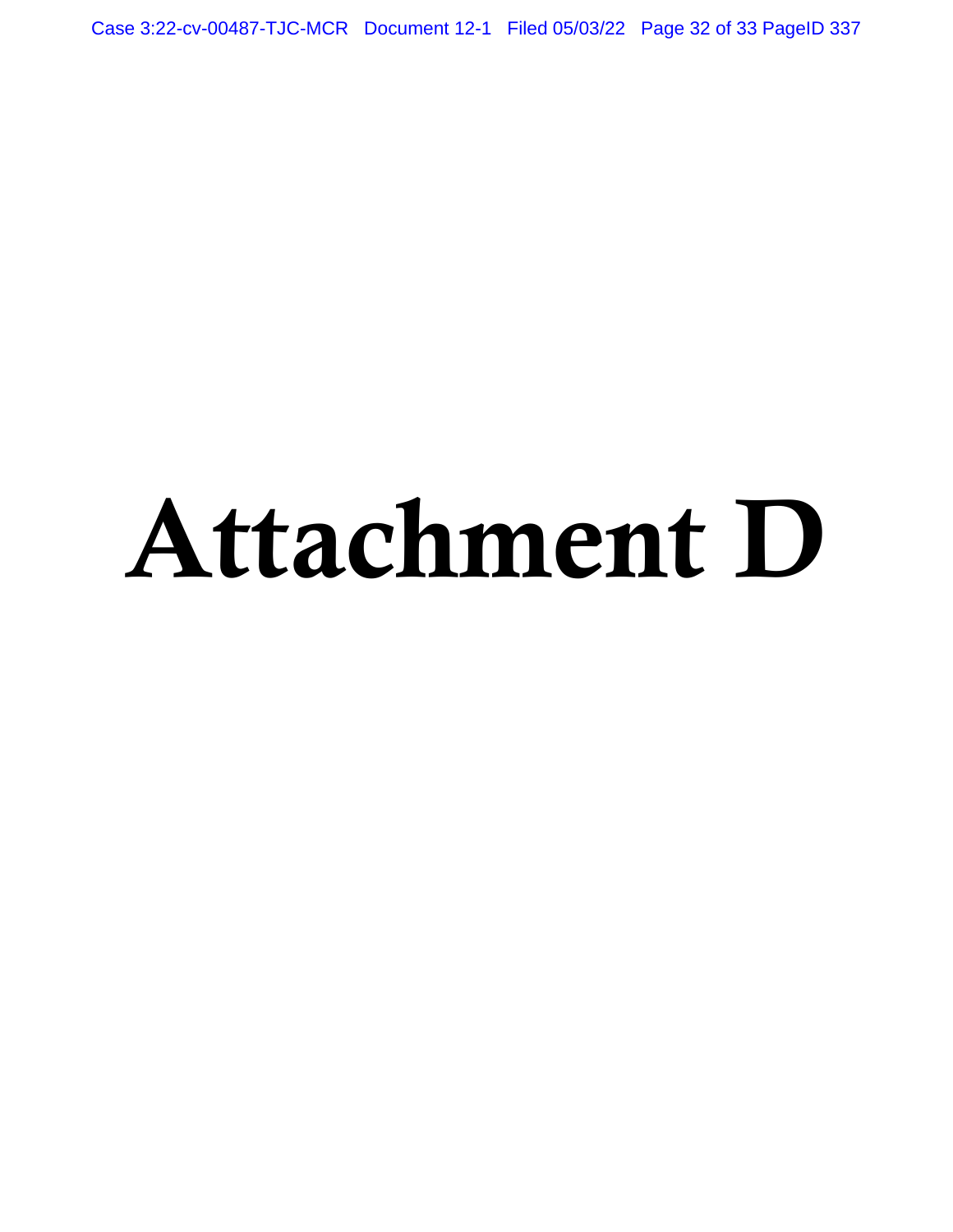Case 3:22-cv-00487-TJC-MCR Document 12-1 Filed 05/03/22 Page 32 of 33 PageID 337

# Attachment D